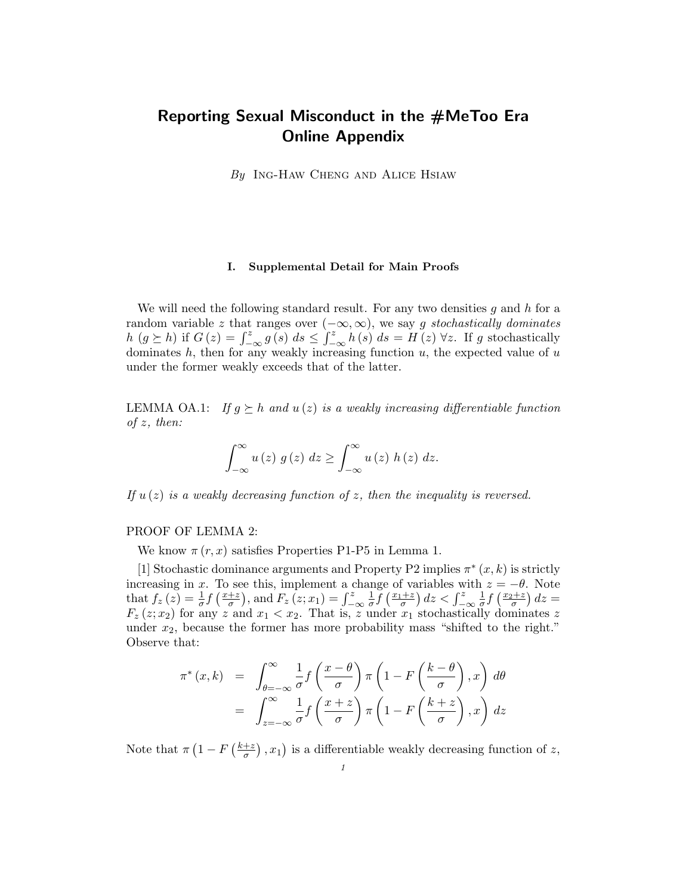# Reporting Sexual Misconduct in the #MeToo Era Online Appendix

 $By$  Ing-Haw Cheng and Alice Hsiaw

#### I. Supplemental Detail for Main Proofs

We will need the following standard result. For any two densities  $g$  and  $h$  for a random variable z that ranges over  $(-\infty, \infty)$ , we say g stochastically dominates  $h(g \succeq h)$  if  $G(z) = \int_{-\infty}^{z} g(s) ds \leq \int_{-\infty}^{z} h(s) ds = H(z) \forall z$ . If g stochastically dominates  $h$ , then for any weakly increasing function  $u$ , the expected value of  $u$ under the former weakly exceeds that of the latter.

LEMMA OA.1: If  $g \succeq h$  and  $u(z)$  is a weakly increasing differentiable function of z, then:

$$
\int_{-\infty}^{\infty} u(z) g(z) dz \geq \int_{-\infty}^{\infty} u(z) h(z) dz.
$$

If  $u(z)$  is a weakly decreasing function of z, then the inequality is reversed.

## PROOF OF LEMMA 2:

We know  $\pi(r, x)$  satisfies Properties P1-P5 in Lemma 1.

[1] Stochastic dominance arguments and Property P2 implies  $\pi^*(x, k)$  is strictly increasing in x. To see this, implement a change of variables with  $z = -\theta$ . Note that  $f_z(z) = \frac{1}{\sigma} f\left(\frac{x+z}{\sigma}\right)$  $\left(\frac{+z}{\sigma}\right)$ , and  $F_z(z;x_1)=\int_{-\infty}^z$ 1  $\frac{1}{\sigma} \int \left( \frac{x_1+z}{\sigma} \right) dz < \int_{-\infty}^z$ 1  $\frac{1}{\sigma} f\left(\frac{x_2+z}{\sigma}\right) dz =$  $F_z(z; x_2)$  for any z and  $x_1 < x_2$ . That is, z under  $x_1$  stochastically dominates z under  $x_2$ , because the former has more probability mass "shifted to the right." Observe that:

$$
\pi^*(x,k) = \int_{\theta=-\infty}^{\infty} \frac{1}{\sigma} f\left(\frac{x-\theta}{\sigma}\right) \pi \left(1 - F\left(\frac{k-\theta}{\sigma}\right), x\right) d\theta
$$

$$
= \int_{z=-\infty}^{\infty} \frac{1}{\sigma} f\left(\frac{x+z}{\sigma}\right) \pi \left(1 - F\left(\frac{k+z}{\sigma}\right), x\right) dz
$$

Note that  $\pi \left(1 - F\left(\frac{k+z}{\tau}\right)\right)$  $\left(\frac{+z}{\sigma}\right)$ ,  $x_1$ ) is a differentiable weakly decreasing function of z,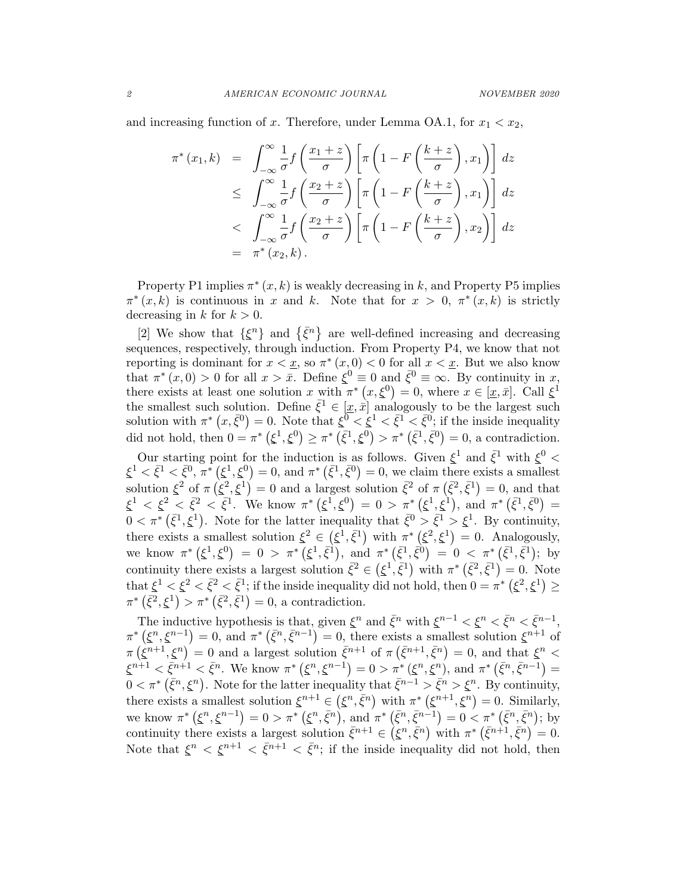and increasing function of x. Therefore, under Lemma OA.1, for  $x_1 < x_2$ ,

$$
\pi^*(x_1, k) = \int_{-\infty}^{\infty} \frac{1}{\sigma} f\left(\frac{x_1 + z}{\sigma}\right) \left[\pi \left(1 - F\left(\frac{k + z}{\sigma}\right), x_1\right)\right] dz
$$
  
\n
$$
\leq \int_{-\infty}^{\infty} \frac{1}{\sigma} f\left(\frac{x_2 + z}{\sigma}\right) \left[\pi \left(1 - F\left(\frac{k + z}{\sigma}\right), x_1\right)\right] dz
$$
  
\n
$$
< \int_{-\infty}^{\infty} \frac{1}{\sigma} f\left(\frac{x_2 + z}{\sigma}\right) \left[\pi \left(1 - F\left(\frac{k + z}{\sigma}\right), x_2\right)\right] dz
$$
  
\n
$$
= \pi^*(x_2, k).
$$

Property P1 implies  $\pi^*(x, k)$  is weakly decreasing in k, and Property P5 implies  $\pi^*(x, k)$  is continuous in x and k. Note that for  $x > 0$ ,  $\pi^*(x, k)$  is strictly decreasing in k for  $k > 0$ .

[2] We show that  $\{\xi^n\}$  and  $\{\bar{\xi}^n\}$  are well-defined increasing and decreasing sequences, respectively, through induction. From Property P4, we know that not reporting is dominant for  $x < x$ , so  $\pi^*(x, 0) < 0$  for all  $x < x$ . But we also know that  $\pi^*(x,0) > 0$  for all  $x > \overline{x}$ . Define  $\xi^0 \equiv 0$  and  $\overline{\xi}^0 \equiv \infty$ . By continuity in x, there exists at least one solution x with  $\pi^*(x,\xi^0) = 0$ , where  $x \in [\underline{x}, \overline{x}]$ . Call  $\xi^1$ the smallest such solution. Define  $\bar{\zeta}^1 \in [\underline{x}, \bar{x}]$  analogously to be the largest such solution with  $\pi^*(x,\bar{\xi}^0)=0$ . Note that  $\xi^0<\xi^1<\bar{\xi}^1<\bar{\xi}^0$ ; if the inside inequality did not hold, then  $0 = \pi^* (\xi^1, \xi^0) \ge \pi^* (\bar{\xi}^1, \xi^0) > \pi^* (\bar{\xi}^1, \bar{\xi}^0) = 0$ , a contradiction.

Our starting point for the induction is as follows. Given  $\xi^1$  and  $\bar{\xi}^1$  with  $\xi^0$  <  $\xi^1 < \bar{\xi}^1, \bar{\xi}^0, \pi^* (\xi^1, \xi^0) = 0$ , and  $\pi^* (\bar{\xi}^1, \bar{\xi}^0) = 0$ , we claim there exists a smallest solution  $\xi^2$  of  $\pi(\xi^2, \xi^1) = 0$  and a largest solution  $\bar{\xi}^2$  of  $\pi(\bar{\xi}^2, \bar{\xi}^1) = 0$ , and that  $\xi^1 < \xi^2 < \bar{\xi}^2 < \bar{\xi}^1$ . We know  $\pi^* (\xi^1, \xi^0) = 0 > \pi^* (\xi^1, \xi^1)$ , and  $\pi^* (\bar{\xi}^1, \bar{\xi}^0) =$  $0 < \pi^* \left( \bar{\xi}^1, \xi^1 \right)$ . Note for the latter inequality that  $\bar{\xi}^0 > \bar{\xi}^1 > \xi^1$ . By continuity, there exists a smallest solution  $\xi^2 \in (\xi^1, \overline{\xi}^1)$  with  $\pi^* (\xi^2, \xi^1) = 0$ . Analogously, we know  $\pi^* (\xi^1, \xi^0) = 0 > \pi^* (\xi^1, \overline{\xi}^1)$ , and  $\pi^* (\overline{\xi}^1, \overline{\xi}^0) = 0 < \pi^* (\overline{\xi}^1, \overline{\xi}^1)$ ; by continuity there exists a largest solution  $\bar{\xi}^2 \in (\xi^1, \bar{\xi}^1)$  with  $\pi^* (\bar{\xi}^2, \bar{\xi}^1) = 0$ . Note that  $\xi^1 < \xi^2 < \bar{\xi}^2 < \bar{\xi}^1$ ; if the inside inequality did not hold, then  $0 = \pi^*$   $(\xi^2, \xi^1) \ge$  $\pi^* (\bar{\xi}^2, \xi^1) > \pi^* (\bar{\xi}^2, \bar{\xi}^1) = 0$ , a contradiction.

The inductive hypothesis is that, given  $\xi^n$  and  $\bar{\xi}^n$  with  $\xi^{n-1} < \xi^n < \bar{\xi}^n < \bar{\xi}^{n-1}$ ,  $\pi^* (\xi^n, \xi^{n-1}) = 0$ , and  $\pi^* (\bar{\xi}^n, \bar{\xi}^{n-1}) = 0$ , there exists a smallest solution  $\xi^{n+1}$  of  $\pi(\tilde{\xi}^{n+1},\tilde{\xi}^n) = 0$  and a largest solution  $\bar{\xi}^{n+1}$  of  $\pi(\bar{\xi}^{n+1},\bar{\xi}^n) = 0$ , and that  $\xi^n$  $\xi^{n+1} < \bar{\xi}^{n+1} < \bar{\xi}^n$ . We know  $\pi^* (\xi^n, \xi^{n-1}) = 0 > \pi^* (\xi^n, \xi^n)$ , and  $\pi^* (\bar{\xi}^n, \bar{\xi}^{n-1}) = 0$  $0 < \pi^* (\bar{\xi}^n, \xi^n)$ . Note for the latter inequality that  $\bar{\xi}^{n-1} > \bar{\xi}^n > \xi^n$ . By continuity, there exists a smallest solution  $\xi^{n+1} \in (\xi^n, \bar{\xi}^n)$  with  $\pi^* (\xi^{n+1}, \xi^n) = 0$ . Similarly, we know  $\pi^* (\xi^n, \xi^{n-1}) = 0 > \pi^* (\xi^n, \bar{\xi}^n)$ , and  $\pi^* (\bar{\xi}^n, \bar{\xi}^{n-1}) = 0 < \pi^* (\bar{\xi}^n, \bar{\xi}^n)$ ; by continuity there exists a largest solution  $\bar{\xi}^{n+1} \in (\xi^n, \bar{\xi}^n)$  with  $\pi^* (\bar{\xi}^{n+1}, \bar{\xi}^n) = 0$ . Note that  $\xi^n < \xi^{n+1} < \overline{\xi}^{n+1} < \overline{\xi}^n$ ; if the inside inequality did not hold, then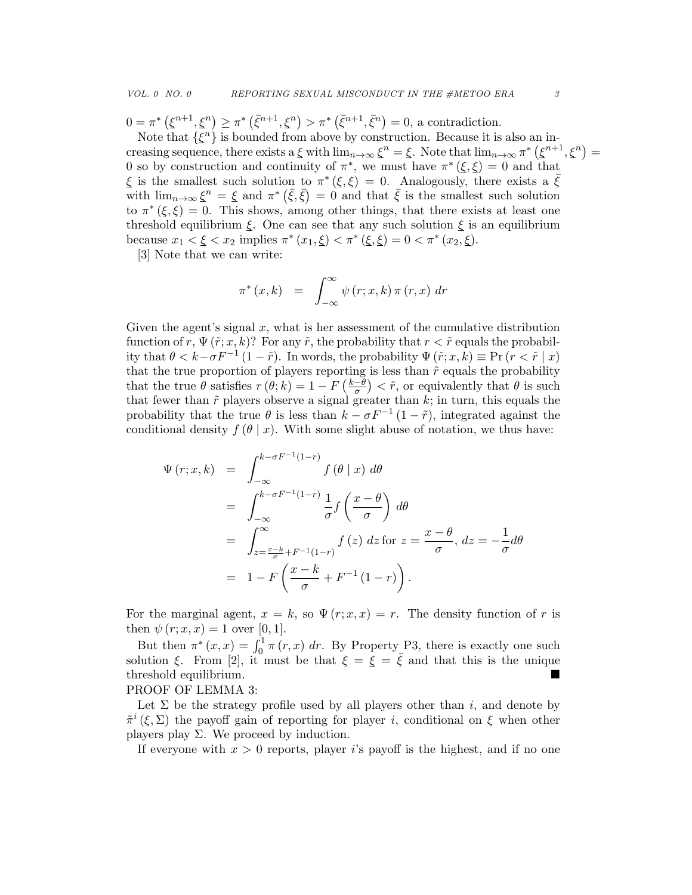$0 = \pi^* (\xi^{n+1}, \xi^n) \ge \pi^* (\bar{\xi}^{n+1}, \xi^n) > \pi^* (\bar{\xi}^{n+1}, \bar{\xi}^n) = 0$ , a contradiction.

Note that  $\{\xi^n\}$  is bounded from above by construction. Because it is also an increasing sequence, there exists a  $\xi$  with  $\lim_{n\to\infty} \xi^n = \xi$ . Note that  $\lim_{n\to\infty} \pi^* (\xi^{n+1}, \xi^n) =$ 0 so by construction and continuity of  $\pi^*$ , we must have  $\pi^*(\xi,\xi) = 0$  and that  $\xi$  is the smallest such solution to  $\pi^*(\xi,\xi) = 0$ . Analogously, there exists a  $\bar{\xi}$ with  $\lim_{n\to\infty} \xi^n = \xi$  and  $\pi^* (\bar{\xi}, \bar{\xi}) = 0$  and that  $\bar{\xi}$  is the smallest such solution to  $\pi^*(\xi,\xi) = 0$ . This shows, among other things, that there exists at least one threshold equilibrium  $\xi$ . One can see that any such solution  $\xi$  is an equilibrium because  $x_1 < \xi < x_2$  implies  $\pi^*(x_1, \xi) < \pi^*(\xi, \xi) = 0 < \pi^*(x_2, \xi)$ .

[3] Note that we can write:

$$
\pi^*(x,k) = \int_{-\infty}^{\infty} \psi(r;x,k) \pi(r,x) dr
$$

Given the agent's signal  $x$ , what is her assessment of the cumulative distribution function of r,  $\Psi(\tilde{r};x,k)$ ? For any  $\tilde{r}$ , the probability that  $r < \tilde{r}$  equals the probability that  $\theta < k - \sigma F^{-1} (1 - \tilde{r})$ . In words, the probability  $\Psi(\tilde{r}; x, k) \equiv \Pr(r < \tilde{r} \mid x)$ that the true proportion of players reporting is less than  $\tilde{r}$  equals the probability that the true  $\theta$  satisfies  $r(\theta; k) = 1 - F\left(\frac{k-\theta}{\sigma}\right)$  $\left(\frac{-\theta}{\sigma}\right) < \tilde{r}$ , or equivalently that  $\theta$  is such that fewer than  $\tilde{r}$  players observe a signal greater than  $k$ ; in turn, this equals the probability that the true  $\theta$  is less than  $k - \sigma F^{-1} (1 - \tilde{r})$ , integrated against the conditional density  $f(\theta | x)$ . With some slight abuse of notation, we thus have:

$$
\Psi(r; x, k) = \int_{-\infty}^{k-\sigma F^{-1}(1-r)} f(\theta | x) d\theta
$$
  
\n
$$
= \int_{-\infty}^{k-\sigma F^{-1}(1-r)} \frac{1}{\sigma} f(\frac{x-\theta}{\sigma}) d\theta
$$
  
\n
$$
= \int_{z=\frac{x-k}{\sigma}+F^{-1}(1-r)}^{\infty} f(z) dz \text{ for } z = \frac{x-\theta}{\sigma}, dz = -\frac{1}{\sigma} d\theta
$$
  
\n
$$
= 1 - F(\frac{x-k}{\sigma} + F^{-1}(1-r)).
$$

For the marginal agent,  $x = k$ , so  $\Psi(r; x, x) = r$ . The density function of r is then  $\psi(r; x, x) = 1$  over [0, 1].

But then  $\pi^*(x, x) = \int_0^1 \pi(r, x) dr$ . By Property P3, there is exactly one such solution ξ. From [2], it must be that  $\xi = \overline{\xi} = \overline{\xi}$  and that this is the unique threshold equilibrium.

# PROOF OF LEMMA 3:

Let  $\Sigma$  be the strategy profile used by all players other than i, and denote by  $\tilde{\pi}^i(\xi,\Sigma)$  the payoff gain of reporting for player *i*, conditional on  $\xi$  when other players play  $\Sigma$ . We proceed by induction.

If everyone with  $x > 0$  reports, player is payoff is the highest, and if no one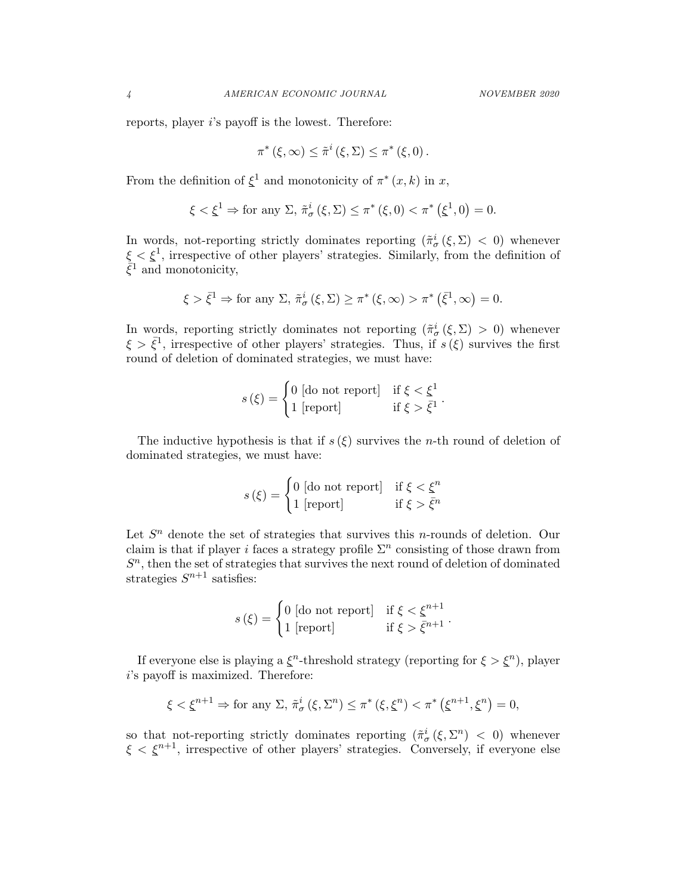reports, player i's payoff is the lowest. Therefore:

$$
\pi^*(\xi,\infty) \leq \tilde{\pi}^i(\xi,\Sigma) \leq \pi^*(\xi,0).
$$

From the definition of  $\xi^1$  and monotonicity of  $\pi^*(x, k)$  in x,

$$
\xi < \xi^1 \Rightarrow \text{for any } \Sigma, \, \tilde{\pi}^i_\sigma\left(\xi, \Sigma\right) \leq \pi^*\left(\xi, 0\right) < \pi^*\left(\xi^1, 0\right) = 0.
$$

In words, not-reporting strictly dominates reporting  $(\tilde{\pi}^i_{\sigma}(\xi, \Sigma) < 0)$  whenever  $\xi < \xi^1$ , irrespective of other players' strategies. Similarly, from the definition of  $\bar{\xi}^1$  and monotonicity,

$$
\xi > \bar{\xi}^1 \Rightarrow \text{for any } \Sigma, \, \tilde{\pi}^i_\sigma\left(\xi, \Sigma\right) \geq \pi^*\left(\xi, \infty\right) > \pi^*\left(\bar{\xi}^1, \infty\right) = 0.
$$

In words, reporting strictly dominates not reporting  $(\tilde{\pi}^i_{\sigma}(\xi,\Sigma) > 0)$  whenever  $\xi > \bar{\xi}^1$ , irrespective of other players' strategies. Thus, if  $s(\xi)$  survives the first round of deletion of dominated strategies, we must have:

$$
s(\xi) = \begin{cases} 0 \text{ [do not report]} & \text{if } \xi < \xi^1 \\ 1 \text{ [report]} & \text{if } \xi > \bar{\xi}^1 \end{cases}.
$$

The inductive hypothesis is that if  $s(\xi)$  survives the *n*-th round of deletion of dominated strategies, we must have:

$$
s(\xi) = \begin{cases} 0 \text{ [do not report]} & \text{if } \xi < \xi^n \\ 1 \text{ [report]} & \text{if } \xi > \bar{\xi}^n \end{cases}
$$

Let  $S<sup>n</sup>$  denote the set of strategies that survives this *n*-rounds of deletion. Our claim is that if player i faces a strategy profile  $\Sigma<sup>n</sup>$  consisting of those drawn from  $S<sup>n</sup>$ , then the set of strategies that survives the next round of deletion of dominated strategies  $S^{n+1}$  satisfies:

$$
s(\xi) = \begin{cases} 0 \text{ [do not report]} & \text{if } \xi < \xi^{n+1} \\ 1 \text{ [report]} & \text{if } \xi > \bar{\xi}^{n+1} \end{cases}.
$$

If everyone else is playing a  $\xi^n$ -threshold strategy (reporting for  $\xi > \xi^n$ ), player i's payoff is maximized. Therefore:

$$
\xi < \xi^{n+1} \Rightarrow \text{for any } \Sigma, \, \tilde{\pi}^i_{\sigma}(\xi, \Sigma^n) \le \pi^*(\xi, \xi^n) < \pi^*\left(\xi^{n+1}, \xi^n\right) = 0,
$$

so that not-reporting strictly dominates reporting  $(\tilde{\pi}^i_{\sigma}(\xi, \Sigma^n) < 0)$  whenever  $\xi < \xi^{n+1}$ , irrespective of other players' strategies. Conversely, if everyone else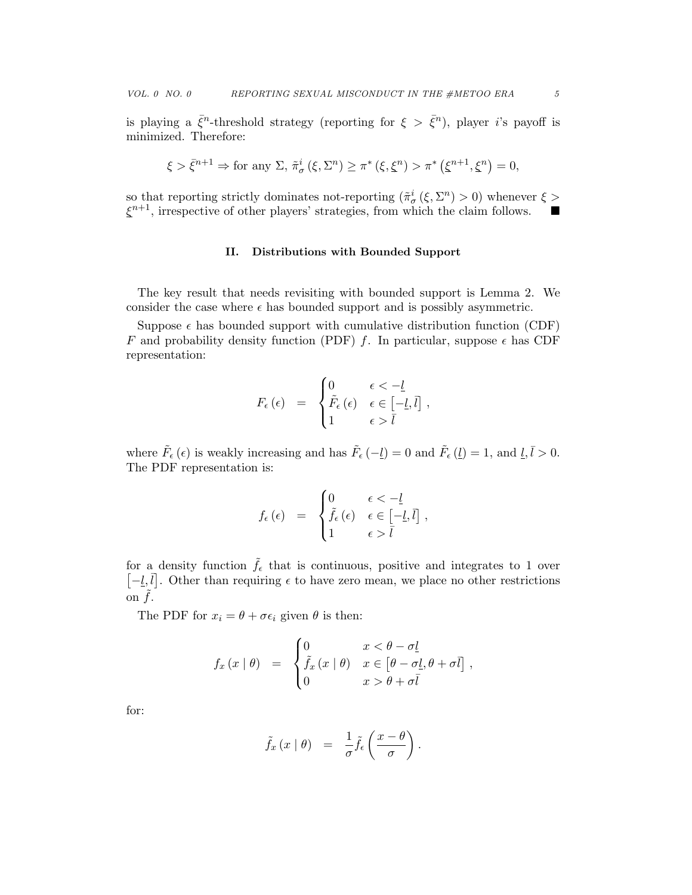is playing a  $\bar{\xi}^n$ -threshold strategy (reporting for  $\xi > \bar{\xi}^n$ ), player *i*'s payoff is minimized. Therefore:

$$
\xi > \bar{\xi}^{n+1} \Rightarrow \text{for any } \Sigma, \, \tilde{\pi}^i_{\sigma}(\xi, \Sigma^n) \ge \pi^*(\xi, \xi^n) > \pi^*\left(\xi^{n+1}, \xi^n\right) = 0,
$$

so that reporting strictly dominates not-reporting  $(\tilde{\pi}_{\sigma}^{i}(\xi, \Sigma^{n}) > 0)$  whenever  $\xi >$  $\xi^{n+1}$ , irrespective of other players' strategies, from which the claim follows.

#### II. Distributions with Bounded Support

The key result that needs revisiting with bounded support is Lemma 2. We consider the case where  $\epsilon$  has bounded support and is possibly asymmetric.

Suppose  $\epsilon$  has bounded support with cumulative distribution function (CDF) F and probability density function (PDF) f. In particular, suppose  $\epsilon$  has CDF representation:

$$
F_{\epsilon}(\epsilon) = \begin{cases} 0 & \epsilon < -\underline{l} \\ \tilde{F}_{\epsilon}(\epsilon) & \epsilon \in [-\underline{l}, \overline{l}] \\ 1 & \epsilon > \overline{l} \end{cases},
$$

where  $\tilde{F}_{\epsilon}(\epsilon)$  is weakly increasing and has  $\tilde{F}_{\epsilon}(-\underline{l}) = 0$  and  $\tilde{F}_{\epsilon}(\underline{l}) = 1$ , and  $\underline{l}, \overline{l} > 0$ . The PDF representation is:

$$
f_{\epsilon}(\epsilon) = \begin{cases} 0 & \epsilon < -\underline{l} \\ \tilde{f}_{\epsilon}(\epsilon) & \epsilon \in [-\underline{l}, \overline{l}] \\ 1 & \epsilon > \overline{l} \end{cases},
$$

for a density function  $\tilde{f}_{\epsilon}$  that is continuous, positive and integrates to 1 over  $[-\underline{l}, \overline{l}]$ . Other than requiring  $\epsilon$  to have zero mean, we place no other restrictions on  $\tilde{f}$ .

The PDF for  $x_i = \theta + \sigma \epsilon_i$  given  $\theta$  is then:

$$
f_x(x | \theta) = \begin{cases} 0 & x < \theta - \sigma \underline{l} \\ \tilde{f}_x(x | \theta) & x \in [\theta - \sigma \underline{l}, \theta + \sigma \overline{l}] \\ 0 & x > \theta + \sigma \overline{l} \end{cases},
$$

for:

$$
\tilde{f}_x(x \mid \theta) = \frac{1}{\sigma} \tilde{f}_{\epsilon} \left( \frac{x - \theta}{\sigma} \right).
$$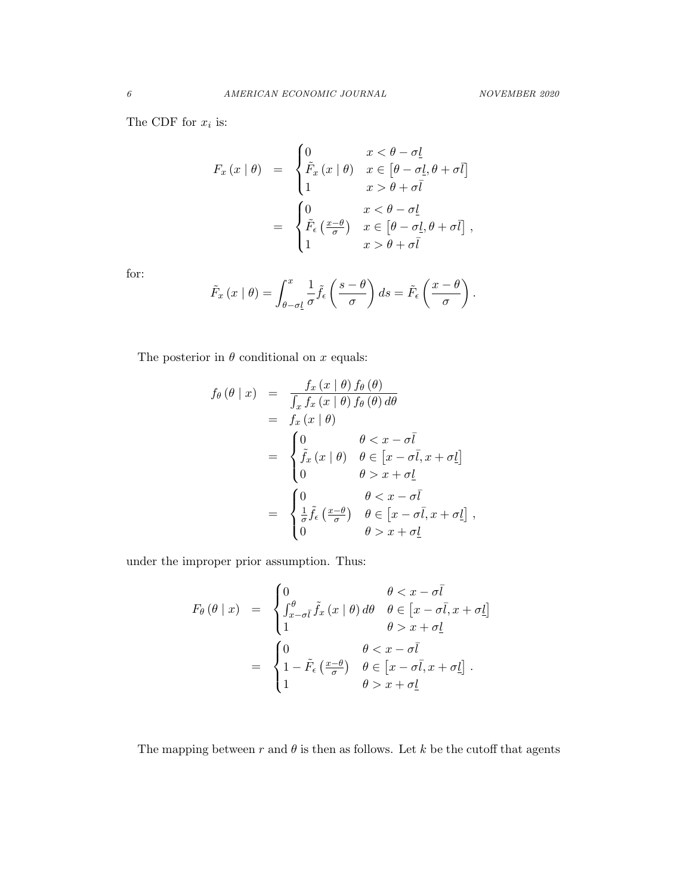The CDF for  $x_i$  is:

$$
F_x(x | \theta) = \begin{cases} 0 & x < \theta - \sigma \underline{l} \\ \tilde{F}_x(x | \theta) & x \in [\theta - \sigma \underline{l}, \theta + \sigma \overline{l}] \\ 1 & x > \theta + \sigma \overline{l} \end{cases}
$$

$$
= \begin{cases} 0 & x < \theta - \sigma \underline{l} \\ \tilde{F}_\epsilon \left( \frac{x - \theta}{\sigma} \right) & x \in [\theta - \sigma \underline{l}, \theta + \sigma \overline{l}], \\ 1 & x > \theta + \sigma \overline{l} \end{cases}
$$

for:

$$
\tilde{F}_x(x \mid \theta) = \int_{\theta - \sigma \underline{l}}^x \frac{1}{\sigma} \tilde{f}_{\epsilon} \left( \frac{s - \theta}{\sigma} \right) ds = \tilde{F}_{\epsilon} \left( \frac{x - \theta}{\sigma} \right).
$$

The posterior in  $\theta$  conditional on  $x$  equals:

$$
f_{\theta}(\theta | x) = \frac{f_x(x | \theta) f_{\theta}(\theta)}{\int_x f_x(x | \theta) f_{\theta}(\theta) d\theta}
$$
  
\n
$$
= f_x(x | \theta)
$$
  
\n
$$
= \begin{cases} 0 & \theta < x - \sigma\overline{l} \\ \tilde{f}_x(x | \theta) & \theta \in [x - \sigma\overline{l}, x + \sigma\underline{l}] \\ 0 & \theta > x + \sigma\underline{l} \end{cases}
$$
  
\n
$$
= \begin{cases} 0 & \theta < x - \sigma\overline{l} \\ \frac{1}{\sigma}\tilde{f}_\epsilon\left(\frac{x - \theta}{\sigma}\right) & \theta \in [x - \sigma\overline{l}, x + \sigma\underline{l}] \\ 0 & \theta > x + \sigma\underline{l} \end{cases}
$$

under the improper prior assumption. Thus:

$$
F_{\theta}(\theta \mid x) = \begin{cases} 0 & \theta < x - \sigma \bar{l} \\ \int_{x-\sigma \bar{l}}^{\theta} \tilde{f}_{x}(x \mid \theta) d\theta & \theta \in [x - \sigma \bar{l}, x + \sigma \underline{l}] \\ 1 & \theta > x + \sigma \underline{l} \end{cases}
$$

$$
= \begin{cases} 0 & \theta < x - \sigma \bar{l} \\ 1 - \tilde{F}_{\epsilon}(\frac{x-\theta}{\sigma}) & \theta \in [x - \sigma \bar{l}, x + \sigma \underline{l}] \\ 1 & \theta > x + \sigma \underline{l} \end{cases}.
$$

The mapping between  $r$  and  $\theta$  is then as follows. Let  $k$  be the cutoff that agents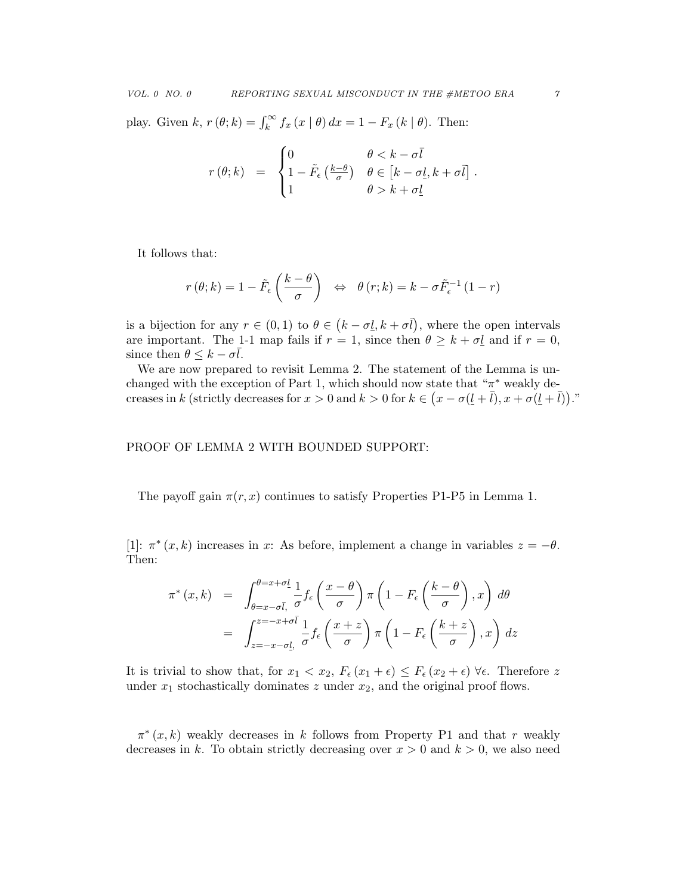play. Given k,  $r(\theta; k) = \int_k^{\infty} f_x(x | \theta) dx = 1 - F_x(k | \theta)$ . Then:

$$
r(\theta; k) = \begin{cases} 0 & \theta < k - \sigma \overline{l} \\ 1 - \tilde{F}_{\epsilon} \left( \frac{k - \theta}{\sigma} \right) & \theta \in \left[ k - \sigma \underline{l}, k + \sigma \overline{l} \right] \\ 1 & \theta > k + \sigma \underline{l} \end{cases}.
$$

It follows that:

$$
r(\theta; k) = 1 - \tilde{F}_{\epsilon} \left( \frac{k - \theta}{\sigma} \right) \iff \theta(r; k) = k - \sigma \tilde{F}_{\epsilon}^{-1} (1 - r)
$$

is a bijection for any  $r \in (0,1)$  to  $\theta \in (k - \sigma \underline{l}, k + \sigma \overline{l})$ , where the open intervals are important. The 1-1 map fails if  $r = 1$ , since then  $\theta \geq k + \sigma \underline{l}$  and if  $r = 0$ , since then  $\theta \leq k - \sigma l$ .

We are now prepared to revisit Lemma 2. The statement of the Lemma is unchanged with the exception of Part 1, which should now state that " $\pi^*$  weakly decreases in k (strictly decreases for  $x > 0$  and  $k > 0$  for  $k \in (x - \sigma(\underline{l} + \overline{l}), x + \sigma(\underline{l} + \overline{l})).$ "

## PROOF OF LEMMA 2 WITH BOUNDED SUPPORT:

The payoff gain  $\pi(r, x)$  continues to satisfy Properties P1-P5 in Lemma 1.

[1]:  $\pi^*(x, k)$  increases in x: As before, implement a change in variables  $z = -\theta$ . Then:

$$
\pi^*(x, k) = \int_{\theta=x-\sigma\bar{l}, \sigma}^{\theta=x+\sigma\bar{l}} \frac{1}{\sigma} f_{\epsilon} \left(\frac{x-\theta}{\sigma}\right) \pi \left(1 - F_{\epsilon} \left(\frac{k-\theta}{\sigma}\right), x\right) d\theta
$$

$$
= \int_{z=-x-\sigma\bar{l}, \sigma}^{z=-x+\sigma\bar{l}} \frac{1}{\sigma} f_{\epsilon} \left(\frac{x+z}{\sigma}\right) \pi \left(1 - F_{\epsilon} \left(\frac{k+z}{\sigma}\right), x\right) dz
$$

It is trivial to show that, for  $x_1 < x_2$ ,  $F_{\epsilon}(x_1 + \epsilon) \leq F_{\epsilon}(x_2 + \epsilon)$   $\forall \epsilon$ . Therefore z under  $x_1$  stochastically dominates z under  $x_2$ , and the original proof flows.

 $\pi^*(x, k)$  weakly decreases in k follows from Property P1 and that r weakly decreases in k. To obtain strictly decreasing over  $x > 0$  and  $k > 0$ , we also need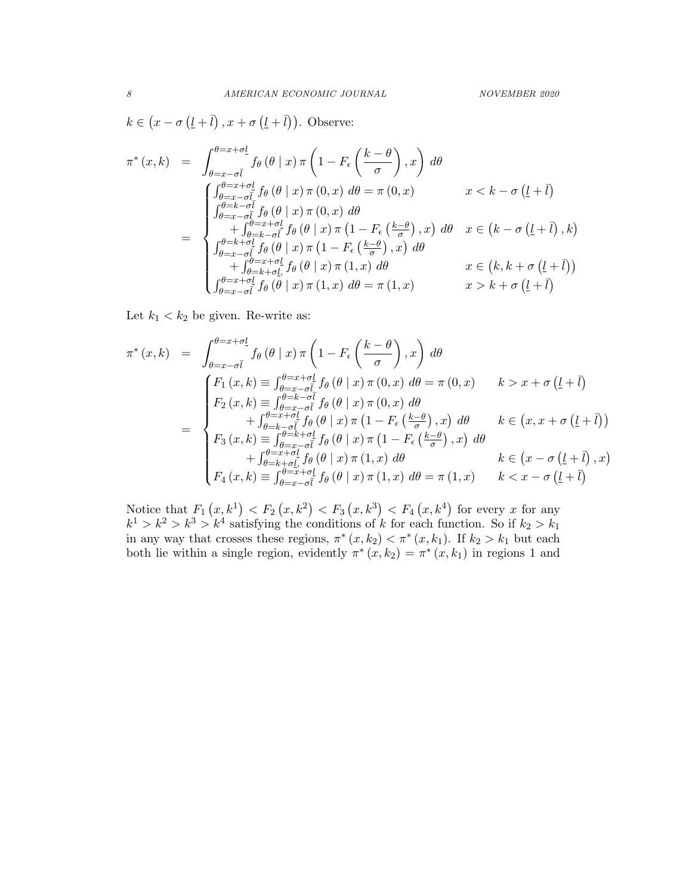$k \in (x - \sigma (l + \bar{l}), x + \sigma (l + \bar{l})).$  Observe:

$$
\pi^*(x,k) = \int_{\theta=x-\sigma\bar{l}}^{\theta=x+\sigma\underline{l}} f_{\theta}(\theta | x) \pi \left(1 - F_{\epsilon}\left(\frac{k-\theta}{\sigma}\right), x\right) d\theta
$$
\n
$$
= \begin{cases}\n\int_{\theta=x-\sigma\bar{l}}^{\theta=x+\sigma\underline{l}} f_{\theta}(\theta | x) \pi (0, x) d\theta = \pi (0, x) & x < k - \sigma (\underline{l}+\bar{l}) \\
\int_{\theta=x-\sigma\bar{l}}^{\theta=x+\sigma\underline{l}} f_{\theta}(\theta | x) \pi (0, x) d\theta \\
+ \int_{\theta=k-\sigma\bar{l}}^{\theta=x+\sigma\underline{l}} f_{\theta}(\theta | x) \pi (1 - F_{\epsilon}\left(\frac{k-\theta}{\sigma}\right), x) d\theta & x \in (k - \sigma (\underline{l}+\bar{l}), k) \\
\int_{\theta=x-\sigma\bar{l}}^{\theta=k+\sigma\underline{l}} f_{\theta}(\theta | x) \pi (1 - F_{\epsilon}\left(\frac{k-\theta}{\sigma}\right), x) d\theta & x \in (k, k + \sigma (\underline{l}+\bar{l})) \\
\int_{\theta=x+\sigma\underline{l}}^{\theta=x+\sigma\underline{l}} f_{\theta}(\theta | x) \pi (1, x) d\theta = \pi (1, x) & x > k + \sigma (\underline{l}+\bar{l})\n\end{cases}
$$

Let  $k_1 < k_2$  be given. Re-write as:

$$
\pi^*(x,k) = \int_{\theta=x-\sigma\bar{l}}^{\theta=x+\sigma\underline{l}} f_{\theta}(\theta | x) \pi \left(1 - F_{\epsilon} \left(\frac{k-\theta}{\sigma}\right), x\right) d\theta
$$
  
\n
$$
= \begin{cases}\nF_1(x,k) \equiv \int_{\theta=x-\sigma\bar{l}}^{\theta=x+\sigma\underline{l}} f_{\theta}(\theta | x) \pi (0, x) d\theta = \pi (0, x) & k > x + \sigma (\underline{l} + \overline{l}) \\
F_2(x,k) \equiv \int_{\theta=x-\sigma\bar{l}}^{\theta=k-\sigma\bar{l}} f_{\theta}(\theta | x) \pi (0, x) d\theta \\
+ \int_{\theta=k-\sigma\bar{l}}^{\theta=x+\sigma\underline{l}} f_{\theta}(\theta | x) \pi (1 - F_{\epsilon} \left(\frac{k-\theta}{\sigma}\right), x) d\theta & k \in (x, x + \sigma (\underline{l} + \overline{l})) \\
F_3(x,k) \equiv \int_{\theta=x-\sigma\bar{l}}^{\theta=k+\sigma\underline{l}} f_{\theta}(\theta | x) \pi (1 - F_{\epsilon} \left(\frac{k-\theta}{\sigma}\right), x) d\theta \\
+ \int_{\theta=k+\sigma\underline{l}}^{\theta=x+\sigma\underline{l}} f_{\theta}(\theta | x) \pi (1, x) d\theta & k \in (x - \sigma (\underline{l} + \overline{l}), x) \\
F_4(x,k) \equiv \int_{\theta=x-\sigma\bar{l}}^{\theta=x+\sigma\underline{l}} f_{\theta}(\theta | x) \pi (1, x) d\theta = \pi (1, x) & k < x - \sigma (\underline{l} + \overline{l})\n\end{cases}
$$

Notice that  $F_1(x, k^1) < F_2(x, k^2) < F_3(x, k^3) < F_4(x, k^4)$  for every x for any  $k^1 > k^2 > k^3 > k^4$  satisfying the conditions of k for each function. So if  $k_2 > k_1$ in any way that crosses these regions,  $\pi^*(x, k_2) < \pi^*(x, k_1)$ . If  $k_2 > k_1$  but each both lie within a single region, evidently  $\pi^*(x, k_2) = \pi^*(x, k_1)$  in regions 1 and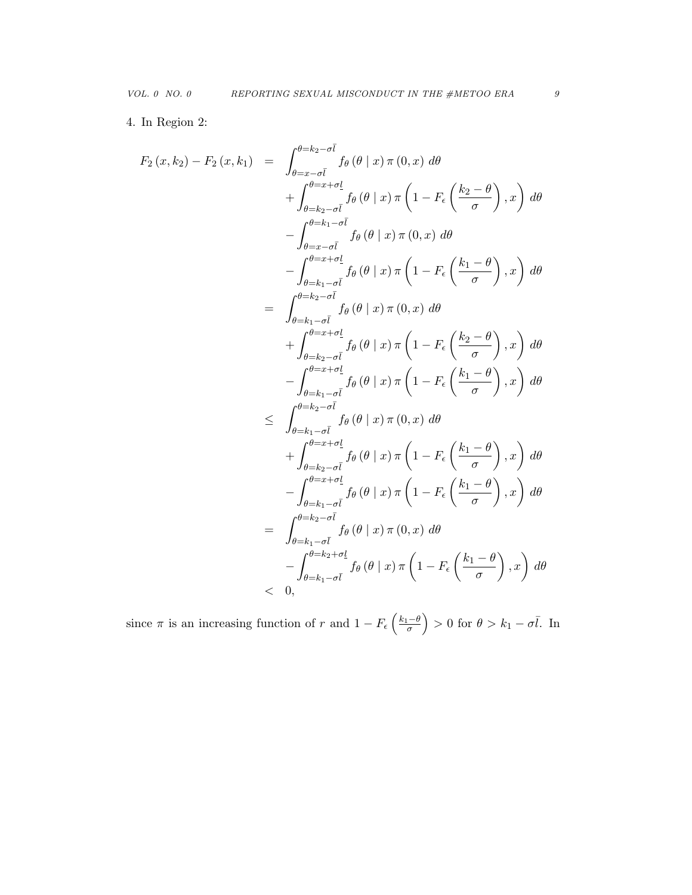4. In Region 2:

$$
F_2(x, k_2) - F_2(x, k_1) = \int_{\theta = x - \sigma \bar{l}}^{\theta = k_2 - \sigma \bar{l}} f_{\theta}(\theta | x) \pi (0, x) d\theta
$$
  
+ 
$$
\int_{\theta = k_2 - \sigma \bar{l}}^{\theta = x + \sigma l} f_{\theta}(\theta | x) \pi \left(1 - F_{\epsilon} \left(\frac{k_2 - \theta}{\sigma}\right), x\right) d\theta
$$
  
- 
$$
\int_{\theta = k_1 - \sigma \bar{l}}^{\theta = k_1 - \sigma \bar{l}} f_{\theta}(\theta | x) \pi (0, x) d\theta
$$
  
- 
$$
\int_{\theta = k_1 - \sigma \bar{l}}^{\theta = x + \sigma \bar{l}} f_{\theta}(\theta | x) \pi \left(1 - F_{\epsilon} \left(\frac{k_1 - \theta}{\sigma}\right), x\right) d\theta
$$
  
= 
$$
\int_{\theta = k_1 - \sigma \bar{l}}^{\theta = k_2 - \sigma \bar{l}} f_{\theta}(\theta | x) \pi (0, x) d\theta
$$
  
+ 
$$
\int_{\theta = k_2 - \sigma \bar{l}}^{\theta = x + \sigma \bar{l}} f_{\theta}(\theta | x) \pi \left(1 - F_{\epsilon} \left(\frac{k_2 - \theta}{\sigma}\right), x\right) d\theta
$$
  
- 
$$
\int_{\theta = k_1 - \sigma \bar{l}}^{\theta = k_2 - \sigma \bar{l}} f_{\theta}(\theta | x) \pi \left(1 - F_{\epsilon} \left(\frac{k_1 - \theta}{\sigma}\right), x\right) d\theta
$$
  

$$
\leq \int_{\theta = k_2 - \sigma \bar{l}}^{\theta = k_2 - \sigma \bar{l}} f_{\theta}(\theta | x) \pi (0, x) d\theta
$$
  
+ 
$$
\int_{\theta = k_2 - \sigma \bar{l}}^{\theta = k_2 - \sigma \bar{l}} f_{\theta}(\theta | x) \pi \left(1 - F_{\epsilon} \left(\frac{k_1 - \theta}{\sigma}\right), x\right) d\theta
$$
  
= 
$$
\int_{\theta = k_1 - \sigma \bar{l}}^{\theta = k_2 - \sigma \bar{l}} f_{\theta}(\theta | x) \pi (0, x) d\theta
$$
  
= 
$$
\int_{\theta = k_1 - \sigma \bar{l}}^{\theta = k_
$$

since  $\pi$  is an increasing function of r and  $1 - F_{\epsilon} \left( \frac{k_1 - \theta}{\sigma} \right) > 0$  for  $\theta > k_1 - \sigma \overline{l}$ . In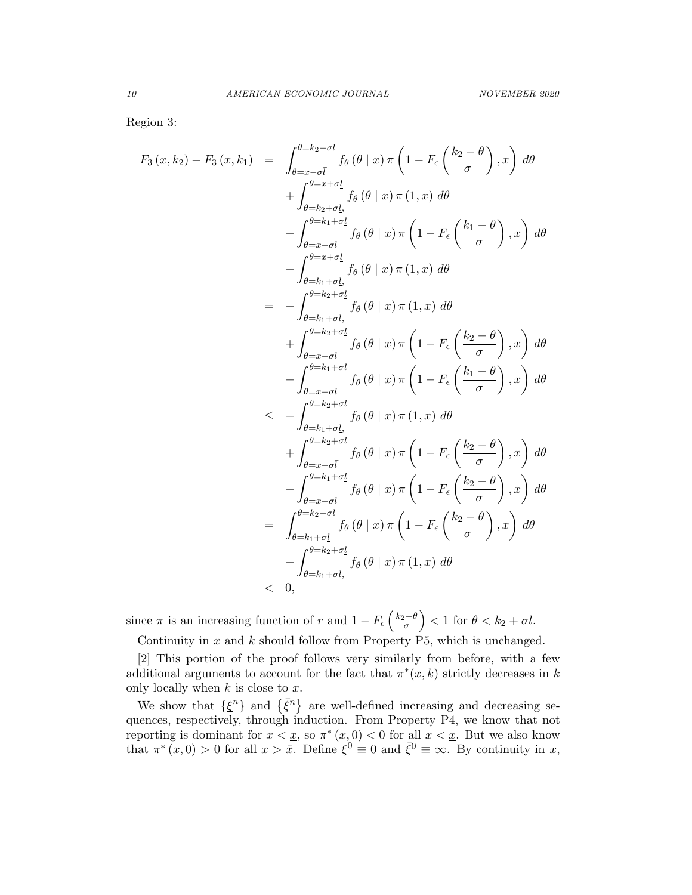Region 3:

$$
F_3(x, k_2) - F_3(x, k_1) = \int_{\theta = x - \sigma \bar{l}}^{\theta = k_2 + \sigma \bar{l}} f_{\theta}(\theta | x) \pi \left(1 - F_{\epsilon} \left(\frac{k_2 - \theta}{\sigma}\right), x\right) d\theta
$$
  
+ 
$$
\int_{\theta = k_2 + \sigma \bar{l}}^{\theta = x + \sigma \bar{l}} f_{\theta}(\theta | x) \pi (1, x) d\theta
$$
  
- 
$$
\int_{\theta = x - \sigma \bar{l}}^{\theta = k_1 + \sigma \bar{l}} f_{\theta}(\theta | x) \pi \left(1 - F_{\epsilon} \left(\frac{k_1 - \theta}{\sigma}\right), x\right) d\theta
$$
  
- 
$$
\int_{\theta = k_1 + \sigma \bar{l}}^{\theta = k_2 + \sigma \bar{l}} f_{\theta}(\theta | x) \pi (1, x) d\theta
$$
  
= 
$$
- \int_{\theta = k_2 + \sigma \bar{l}}^{\theta = k_2 + \sigma \bar{l}} f_{\theta}(\theta | x) \pi (1, x) d\theta
$$
  
+ 
$$
\int_{\theta = x - \sigma \bar{l}}^{\theta = k_2 + \sigma \bar{l}} f_{\theta}(\theta | x) \pi \left(1 - F_{\epsilon} \left(\frac{k_2 - \theta}{\sigma}\right), x\right) d\theta
$$
  
- 
$$
\int_{\theta = k_2 + \sigma \bar{l}}^{\theta = k_2 + \sigma \bar{l}} f_{\theta}(\theta | x) \pi (1, x) d\theta
$$
  

$$
\leq - \int_{\theta = k_2 + \sigma \bar{l}}^{\theta = k_2 + \sigma \bar{l}} f_{\theta}(\theta | x) \pi (1, x) d\theta
$$
  
+ 
$$
\int_{\theta = x - \sigma \bar{l}}^{\theta = k_2 + \sigma \bar{l}} f_{\theta}(\theta | x) \pi \left(1 - F_{\epsilon} \left(\frac{k_2 - \theta}{\sigma}\right), x\right) d\theta
$$
  
= 
$$
\int_{\theta = k_1 + \sigma \bar{l}}^{\theta = k_2 + \sigma \bar{l}} f_{\theta}(\theta | x) \pi \left(1 - F_{\epsilon} \left(\frac{k_2 - \theta}{\sigma}\right), x\right) d\theta
$$
  
= 
$$
\int_{\theta = k_1 + \sigma \bar{l}}^{\theta
$$

since  $\pi$  is an increasing function of r and  $1 - F_{\epsilon} \left( \frac{k_2 - \theta}{\sigma} \right) < 1$  for  $\theta < k_2 + \sigma \underline{l}$ .

Continuity in  $x$  and  $k$  should follow from Property P5, which is unchanged.

[2] This portion of the proof follows very similarly from before, with a few additional arguments to account for the fact that  $\pi^*(x, k)$  strictly decreases in k only locally when  $k$  is close to  $x$ .

We show that  $\{\xi^n\}$  and  $\{\bar{\xi}^n\}$  are well-defined increasing and decreasing sequences, respectively, through induction. From Property P4, we know that not reporting is dominant for  $x < \underline{x}$ , so  $\pi^*(x, 0) < 0$  for all  $x < \underline{x}$ . But we also know that  $\pi^*(x,0) > 0$  for all  $x > \overline{x}$ . Define  $\xi^0 \equiv 0$  and  $\overline{\xi}^0 \equiv \infty$ . By continuity in x,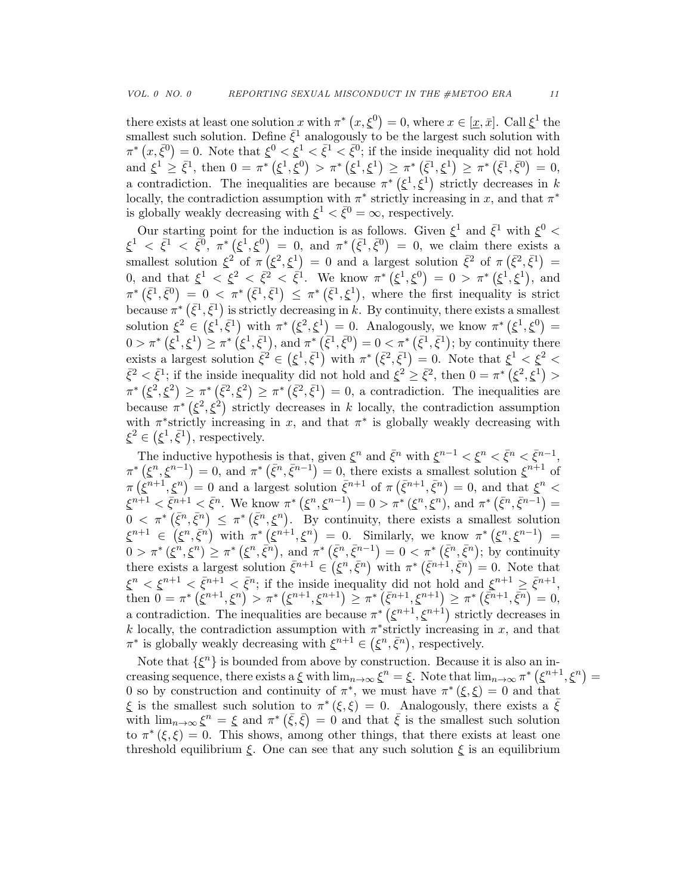there exists at least one solution x with  $\pi^*(x,\xi^0) = 0$ , where  $x \in [\underline{x}, \overline{x}]$ . Call  $\xi^1$  the smallest such solution. Define  $\bar{\xi}^1$  analogously to be the largest such solution with  $\pi^*(x,\bar{\xi}^0)=0$ . Note that  $\xi^0<\bar{\xi}^1<\bar{\xi}^0$ ; if the inside inequality did not hold and  $\xi^1 \geq \bar{\xi}^1$ , then  $0 = \pi^* (\xi^1, \xi^0) > \pi^* (\xi^1, \xi^1) \geq \pi^* (\bar{\xi}^1, \xi^1) \geq \pi^* (\bar{\xi}^1, \bar{\xi}^0) = 0$ , a contradiction. The inequalities are because  $\pi^* (\xi^1, \xi^1)$  strictly decreases in k locally, the contradiction assumption with  $\pi^*$  strictly increasing in x, and that  $\pi^*$ is globally weakly decreasing with  $\xi^1 < \bar{\xi}^0 = \infty$ , respectively.

Our starting point for the induction is as follows. Given  $\xi^1$  and  $\bar{\xi}^1$  with  $\xi^0$  <  $\xi^1 \leq \bar{\xi}^1 \leq \bar{\xi}^0$ ,  $\pi^* (\xi^1, \xi^0) = 0$ , and  $\pi^* (\bar{\xi}^1, \bar{\xi}^0) = 0$ , we claim there exists a smallest solution  $\xi^2$  of  $\pi(\xi^2, \xi^1) = 0$  and a largest solution  $\bar{\xi}^2$  of  $\pi(\bar{\xi}^2, \bar{\xi}^1) =$ 0, and that  $\xi^1 < \xi^2 < \bar{\xi}^2 < \bar{\xi}^1$ . We know  $\pi^* (\xi^1, \xi^0) = 0 > \pi^* (\xi^1, \xi^1)$ , and  $\pi^* (\bar{\xi}^1, \bar{\xi}^0) = 0 < \pi^* (\bar{\xi}^1, \bar{\xi}^1) \leq \pi^* (\bar{\xi}^1, \xi^1)$ , where the first inequality is strict because  $\pi^*$   $(\bar{\xi}^1, \bar{\xi}^1)$  is strictly decreasing in k. By continuity, there exists a smallest solution  $\xi^2 \in (\xi^1, \bar{\xi}^1)$  with  $\pi^* (\xi^2, \xi^1) = 0$ . Analogously, we know  $\pi^* (\xi^1, \xi^0) =$  $0 > \pi^* (\xi^1, \xi^1) \geq \pi^* (\xi^1, \bar{\xi}^1)$ , and  $\pi^* (\bar{\xi}^1, \bar{\xi}^0) = 0 < \pi^* (\bar{\xi}^1, \bar{\xi}^1)$ ; by continuity there exists a largest solution  $\bar{\xi}^2 \in (\xi^1, \bar{\xi}^1)$  with  $\pi^* (\bar{\xi}^2, \bar{\xi}^1) = 0$ . Note that  $\xi^1 < \xi^2 <$  $\bar{\xi}^2 < \bar{\xi}^1$ ; if the inside inequality did not hold and  $\xi^2 \geq \bar{\xi}^2$ , then  $0 = \pi^* (\xi^2, \xi^1) >$  $\pi^* (\xi^2, \xi^2) \geq \pi^* (\bar{\xi}^2, \xi^2) \geq \pi^* (\bar{\xi}^2, \bar{\xi}^1) = 0$ , a contradiction. The inequalities are because  $\pi^*$  ( $\xi^2$ , $\xi^2$ ) strictly decreases in k locally, the contradiction assumption with  $\pi^*$  strictly increasing in x, and that  $\pi^*$  is globally weakly decreasing with  $\xi^2 \in (\xi^1, \bar{\xi}^1)$ , respectively.

The inductive hypothesis is that, given  $\xi^n$  and  $\bar{\xi}^n$  with  $\xi^{n-1} < \xi^n < \bar{\xi}^n < \bar{\xi}^{n-1}$ ,  $\pi^*\left(\xi^n,\xi^{n-1}\right)=0$ , and  $\pi^*\left(\bar{\xi}^n,\bar{\xi}^{n-1}\right)=0$ , there exists a smallest solution  $\xi^{n+1}$  of  $\pi(\tilde{\xi}^{n+1},\tilde{\xi}^n) = 0$  and a largest solution  $\bar{\xi}^{n+1}$  of  $\pi(\bar{\xi}^{n+1},\bar{\xi}^n) = 0$ , and that  $\xi^n$  $\xi^{n+1} < \bar{\xi}^{n+1} < \bar{\xi}^n$ . We know  $\pi^* (\xi^n, \xi^{n-1}) = 0 > \pi^* (\xi^n, \xi^n)$ , and  $\pi^* (\bar{\xi}^n, \bar{\xi}^{n-1}) = 0$  $0 < \pi^* (\bar{\xi}^n, \bar{\xi}^n) \leq \pi^* (\bar{\xi}^n, \xi^n)$ . By continuity, there exists a smallest solution  $\xi^{n+1} \in (\xi^n, \bar{\xi}^n)$  with  $\pi^*(\xi^{n+1}, \xi^n) = 0$ . Similarly, we know  $\pi^*(\xi^n, \xi^{n-1}) =$  $0 > \pi^* (\xi^n, \xi^n) \geq \pi^* (\xi^n, \bar{\xi}^n)$ , and  $\pi^* (\bar{\xi}^n, \bar{\xi}^{n-1}) = 0 < \pi^* (\bar{\xi}^n, \bar{\xi}^n)$ ; by continuity there exists a largest solution  $\bar{\xi}^{n+1} \in (\xi^n, \bar{\xi}^n)$  with  $\pi^* (\bar{\xi}^{n+1}, \bar{\xi}^n) = 0$ . Note that  $\xi^n < \xi^{n+1} < \bar{\xi}^{n+1} < \bar{\xi}^n$ ; if the inside inequality did not hold and  $\xi^{n+1} \geq \bar{\xi}^{n+1}$ , then  $0 = \pi^* (\xi^{n+1}, \xi^n) > \pi^* (\xi^{n+1}, \xi^{n+1}) \geq \pi^* (\bar{\xi}^{n+1}, \xi^{n+1}) \geq \pi^* (\bar{\xi}^{n+1}, \bar{\xi}^n) = 0,$ a contradiction. The inequalities are because  $\pi^*$   $(\xi^{n+1}, \xi^{n+1})$  strictly decreases in k locally, the contradiction assumption with  $\pi^*$  strictly increasing in x, and that  $\pi^*$  is globally weakly decreasing with  $\xi^{n+1} \in (\xi^n, \bar{\xi}^n)$ , respectively.

Note that  $\{\xi^n\}$  is bounded from above by construction. Because it is also an increasing sequence, there exists a  $\xi$  with  $\lim_{n\to\infty} \xi^n = \xi$ . Note that  $\lim_{n\to\infty} \pi^* (\xi^{n+1}, \xi^n) =$ 0 so by construction and continuity of  $\pi^*$ , we must have  $\pi^*(\xi,\xi) = 0$  and that  $\xi$  is the smallest such solution to  $\pi^*(\xi,\xi) = 0$ . Analogously, there exists a  $\bar{\xi}$ with  $\lim_{n\to\infty} \xi^n = \xi$  and  $\pi^* (\bar{\xi}, \bar{\xi}) = 0$  and that  $\bar{\xi}$  is the smallest such solution to  $\pi^*(\xi,\xi) = 0$ . This shows, among other things, that there exists at least one threshold equilibrium  $\xi$ . One can see that any such solution  $\xi$  is an equilibrium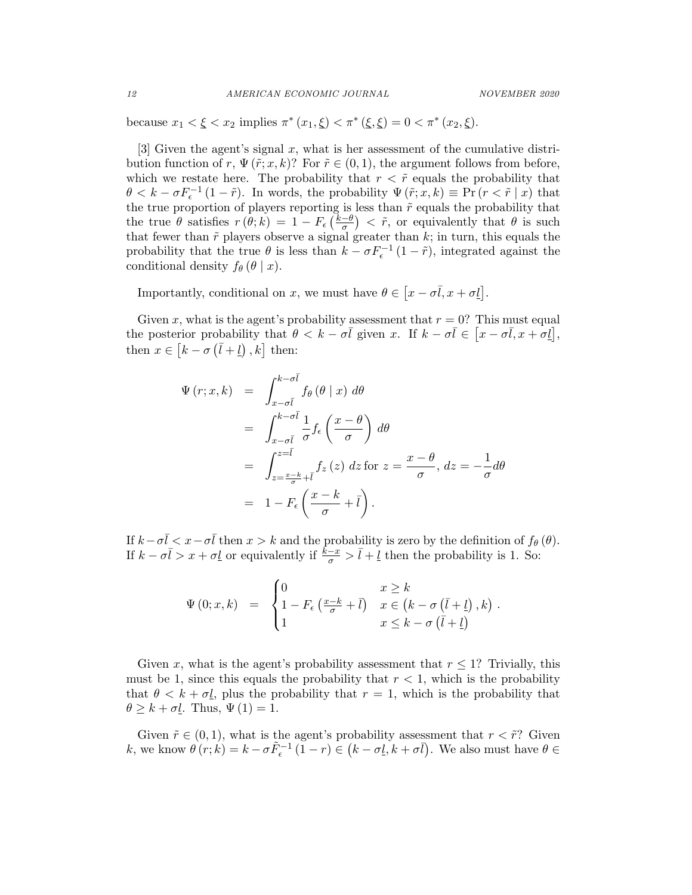because  $x_1 < \xi < x_2$  implies  $\pi^*(x_1, \xi) < \pi^*(\xi, \xi) = 0 < \pi^*(x_2, \xi)$ .

[3] Given the agent's signal  $x$ , what is her assessment of the cumulative distribution function of r,  $\Psi(\tilde{r};x,k)$ ? For  $\tilde{r} \in (0,1)$ , the argument follows from before, which we restate here. The probability that  $r < \tilde{r}$  equals the probability that  $\theta < k - \sigma F_{\epsilon}^{-1} (1 - \tilde{r})$ . In words, the probability  $\Psi(\tilde{r}; x, k) \equiv \Pr (r < \tilde{r} | x)$  that  $\sigma < \kappa - \sigma r_{\epsilon}$  (1-7). In words, the probability  $\Psi(r; x, \kappa) = \text{FT}(r < r | x)$  that the true proportion of players reporting is less than  $\tilde{r}$  equals the probability that the true  $\theta$  satisfies  $r(\theta; k) = 1 - F_{\epsilon} \left( \frac{k-\theta}{\sigma} \right)$  $\left(\frac{-\theta}{\sigma}\right) < \tilde{r}$ , or equivalently that  $\theta$  is such that fewer than  $\tilde{r}$  players observe a signal greater than  $k$ ; in turn, this equals the probability that the true  $\theta$  is less than  $k - \sigma F_{\epsilon}^{-1} (1 - \tilde{r})$ , integrated against the conditional density  $f_{\theta}(\theta | x)$ .

Importantly, conditional on x, we must have  $\theta \in [x - \sigma \overline{l}, x + \sigma \underline{l}]$ .

Given x, what is the agent's probability assessment that  $r = 0$ ? This must equal the posterior probability that  $\theta < k - \sigma \overline{l}$  given x. If  $k - \sigma \overline{l} \in [x - \sigma \overline{l}, x + \sigma \underline{l}]$ , then  $x \in [k - \sigma (\bar{l} + \underline{l})], k]$  then:

$$
\Psi(r; x, k) = \int_{x-\sigma\bar{l}}^{k-\sigma\bar{l}} f_{\theta}(\theta | x) d\theta
$$
  
\n
$$
= \int_{x-\sigma\bar{l}}^{k-\sigma\bar{l}} \frac{1}{\sigma} f_{\epsilon} \left( \frac{x-\theta}{\sigma} \right) d\theta
$$
  
\n
$$
= \int_{z=\frac{x-k}{\sigma}+\bar{l}}^{z=\bar{l}} f_{z}(z) dz \text{ for } z = \frac{x-\theta}{\sigma}, dz = -\frac{1}{\sigma} d\theta
$$
  
\n
$$
= 1 - F_{\epsilon} \left( \frac{x-k}{\sigma} + \bar{l} \right).
$$

If  $k - \sigma \bar{l} < x - \sigma \bar{l}$  then  $x > k$  and the probability is zero by the definition of  $f_{\theta}(\theta)$ . If  $k - \sigma \bar{l} > x + \sigma \underline{l}$  or equivalently if  $\frac{\hat{k}-x}{\sigma} > \bar{l} + \underline{l}$  then the probability is 1. So:

$$
\Psi(0; x, k) = \begin{cases} 0 & x \geq k \\ 1 - F_{\epsilon} \left( \frac{x - k}{\sigma} + \bar{l} \right) & x \in \left( k - \sigma \left( \bar{l} + \underline{l} \right), k \right) . \\ 1 & x \leq k - \sigma \left( \bar{l} + \underline{l} \right) \end{cases}
$$

Given x, what is the agent's probability assessment that  $r \leq 1$ ? Trivially, this must be 1, since this equals the probability that  $r < 1$ , which is the probability that  $\theta < k + \sigma \ell$ , plus the probability that  $r = 1$ , which is the probability that  $\theta \geq k + \sigma L$ . Thus,  $\Psi(1) = 1$ .

Given  $\tilde{r} \in (0, 1)$ , what is the agent's probability assessment that  $r < \tilde{r}$ ? Given k, we know  $\theta(r; k) = k - \sigma \tilde{F}_{\epsilon}^{-1} (1 - r) \in (k - \sigma \tilde{I}, k + \sigma \tilde{I}).$  We also must have  $\theta \in$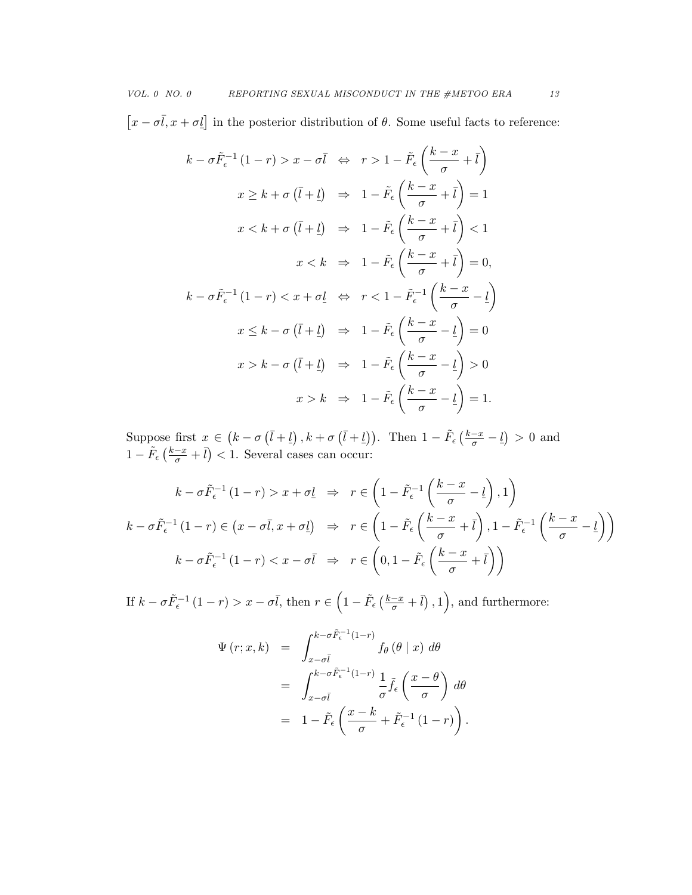$[x - \sigma \bar{l}, x + \sigma \underline{l}]$  in the posterior distribution of  $\theta$ . Some useful facts to reference:

$$
k - \sigma \tilde{F}_{\epsilon}^{-1} (1 - r) > x - \sigma \bar{l} \quad \Leftrightarrow \quad r > 1 - \tilde{F}_{\epsilon} \left( \frac{k - x}{\sigma} + \bar{l} \right)
$$
\n
$$
x \geq k + \sigma \left( \bar{l} + \underline{l} \right) \quad \Rightarrow \quad 1 - \tilde{F}_{\epsilon} \left( \frac{k - x}{\sigma} + \bar{l} \right) = 1
$$
\n
$$
x < k + \sigma \left( \bar{l} + \underline{l} \right) \quad \Rightarrow \quad 1 - \tilde{F}_{\epsilon} \left( \frac{k - x}{\sigma} + \bar{l} \right) < 1
$$
\n
$$
x < k \quad \Rightarrow \quad 1 - \tilde{F}_{\epsilon} \left( \frac{k - x}{\sigma} + \bar{l} \right) = 0,
$$
\n
$$
k - \sigma \tilde{F}_{\epsilon}^{-1} (1 - r) < x + \sigma \underline{l} \quad \Leftrightarrow \quad r < 1 - \tilde{F}_{\epsilon}^{-1} \left( \frac{k - x}{\sigma} - \underline{l} \right)
$$
\n
$$
x \leq k - \sigma \left( \bar{l} + \underline{l} \right) \quad \Rightarrow \quad 1 - \tilde{F}_{\epsilon} \left( \frac{k - x}{\sigma} - \underline{l} \right) = 0
$$
\n
$$
x > k - \sigma \left( \bar{l} + \underline{l} \right) \quad \Rightarrow \quad 1 - \tilde{F}_{\epsilon} \left( \frac{k - x}{\sigma} - \underline{l} \right) > 0
$$
\n
$$
x > k \quad \Rightarrow \quad 1 - \tilde{F}_{\epsilon} \left( \frac{k - x}{\sigma} - \underline{l} \right) = 1.
$$

Suppose first  $x \in (k - \sigma (\bar{l} + \underline{l}), k + \sigma (\bar{l} + \underline{l})).$  Then  $1 - \tilde{F}_{\epsilon} (\frac{k - x}{\sigma} - \underline{l}) > 0$  and  $1 - \tilde{F}_{\epsilon} \left( \frac{k - x}{\sigma} + \bar{l} \right) < 1$ . Several cases can occur:

$$
k - \sigma \tilde{F}_{\epsilon}^{-1} (1 - r) > x + \sigma \underline{l} \quad \Rightarrow \quad r \in \left( 1 - \tilde{F}_{\epsilon}^{-1} \left( \frac{k - x}{\sigma} - \underline{l} \right), 1 \right)
$$
\n
$$
k - \sigma \tilde{F}_{\epsilon}^{-1} (1 - r) \in \left( x - \sigma \overline{l}, x + \sigma \underline{l} \right) \quad \Rightarrow \quad r \in \left( 1 - \tilde{F}_{\epsilon} \left( \frac{k - x}{\sigma} + \overline{l} \right), 1 - \tilde{F}_{\epsilon}^{-1} \left( \frac{k - x}{\sigma} - \underline{l} \right) \right)
$$
\n
$$
k - \sigma \tilde{F}_{\epsilon}^{-1} (1 - r) < x - \sigma \overline{l} \quad \Rightarrow \quad r \in \left( 0, 1 - \tilde{F}_{\epsilon} \left( \frac{k - x}{\sigma} + \overline{l} \right) \right)
$$

If  $k - \sigma \tilde{F}_{\epsilon}^{-1} (1 - r) > x - \sigma \bar{l}$ , then  $r \in \left(1 - \tilde{F}_{\epsilon} \left(\frac{k - x}{\sigma} + \bar{l}\right), 1\right)$ , and furthermore:

$$
\Psi(r; x, k) = \int_{x-\sigma \bar{l}}^{k-\sigma \tilde{F}_{\epsilon}^{-1}(1-r)} f_{\theta}(\theta | x) d\theta
$$

$$
= \int_{x-\sigma \bar{l}}^{k-\sigma \tilde{F}_{\epsilon}^{-1}(1-r)} \frac{1}{\sigma} \tilde{f}_{\epsilon}(\frac{x-\theta}{\sigma}) d\theta
$$

$$
= 1 - \tilde{F}_{\epsilon}(\frac{x-k}{\sigma} + \tilde{F}_{\epsilon}^{-1}(1-r)).
$$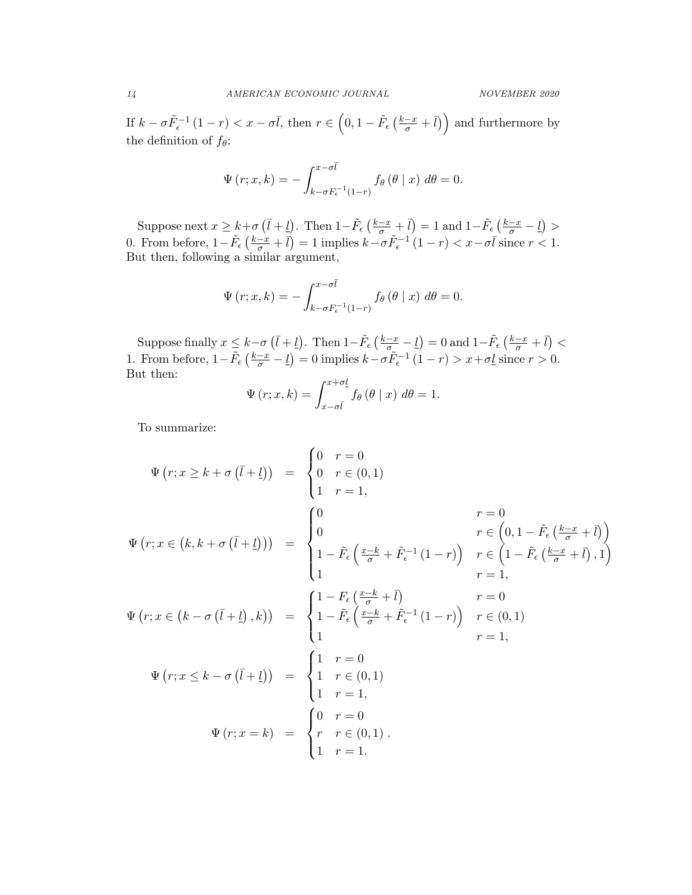If  $k - \sigma \tilde{F}_{\epsilon}^{-1} (1 - r) < x - \sigma \bar{l}$ , then  $r \in (0, 1 - \tilde{F}_{\epsilon} (\frac{k - x}{\sigma} + \bar{l}))$  and furthermore by the definition of  $f_{\theta}$ :

$$
\Psi(r;x,k) = -\int_{k-\sigma F_{\epsilon}^{-1}(1-r)}^{x-\sigma \bar{l}} f_{\theta}(\theta | x) d\theta = 0.
$$

Suppose next  $x \geq k + \sigma \left(\bar{l} + \underline{l}\right)$ . Then  $1 - \tilde{F}_{\epsilon} \left(\frac{k - x}{\sigma} + \bar{l}\right) = 1$  and  $1 - \tilde{F}_{\epsilon} \left(\frac{k - x}{\sigma} - \underline{l}\right) >$ 0. From before,  $1 - \tilde{F}_{\epsilon} \left( \frac{k - x}{\sigma} + \bar{l} \right) = 1$  implies  $k - \sigma \tilde{F}_{\epsilon}^{-1} (1 - r) < x - \sigma \bar{l}$  since  $r < 1$ . But then, following a similar argument,

$$
\Psi(r;x,k) = -\int_{k-\sigma F_{\epsilon}^{-1}(1-r)}^{x-\sigma \bar{l}} f_{\theta}(\theta | x) d\theta = 0.
$$

Suppose finally  $x \leq k-\sigma(\bar{l}+l)$ . Then  $1-\tilde{F}_{\epsilon}(\frac{k-x}{\sigma_{\epsilon}}-l)=0$  and  $1-\tilde{F}_{\epsilon}(\frac{k-x}{\sigma}+l)<$ 1. From before,  $1 - \tilde{F}_{\epsilon} \left( \frac{k - x}{\sigma} - \underline{l} \right) = 0$  implies  $k - \sigma \tilde{F}_{\epsilon}^{-1} (1 - r) > x + \sigma \underline{l}$  since  $r > 0$ . But then:

$$
\Psi(r;x,k) = \int_{x-\sigma\bar{l}}^{x+\sigma\underline{l}} f_{\theta}(\theta \mid x) d\theta = 1.
$$

To summarize:

$$
\Psi(r; x \ge k + \sigma(\bar{l} + \underline{l})) = \begin{cases}\n0 & r = 0 \\
0 & r \in (0, 1) \\
1 & r = 1,\n\end{cases}
$$
\n
$$
\Psi(r; x \in (k, k + \sigma(\bar{l} + \underline{l}))) = \begin{cases}\n0 & r = 0 \\
0 & r \in (0, 1 - \tilde{F}_{\epsilon}(\frac{k - x}{\sigma} + \bar{l})) \\
1 - \tilde{F}_{\epsilon}(\frac{x - k}{\sigma} + \tilde{F}_{\epsilon}^{-1}(1 - r)) & r \in (1 - \tilde{F}_{\epsilon}(\frac{k - x}{\sigma} + \bar{l}), 1) \\
1 & r = 1,\n\end{cases}
$$
\n
$$
\Psi(r; x \in (k - \sigma(\bar{l} + \underline{l}), k)) = \begin{cases}\n1 - F_{\epsilon}(\frac{x - k}{\sigma} + \bar{l}) & r = 0 \\
1 - \tilde{F}_{\epsilon}(\frac{x - k}{\sigma} + \tilde{F}_{\epsilon}^{-1}(1 - r)) & r \in (0, 1) \\
1 & r = 1,\n\end{cases}
$$
\n
$$
\Psi(r; x \le k - \sigma(\bar{l} + \underline{l})) = \begin{cases}\n1 & r = 0 \\
1 & r \in (0, 1) \\
1 & r = 1,\n\end{cases}
$$
\n
$$
\Psi(r; x = k) = \begin{cases}\n0 & r = 0 \\
r & r \in (0, 1) \\
r = 1.\n\end{cases}
$$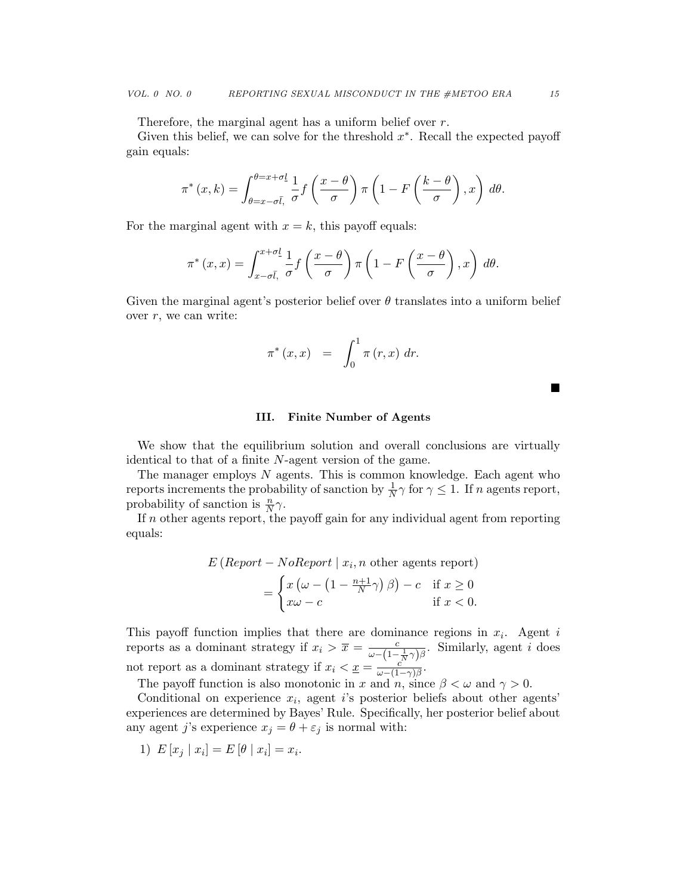Therefore, the marginal agent has a uniform belief over r.

Given this belief, we can solve for the threshold  $x^*$ . Recall the expected payoff gain equals:

$$
\pi^*(x,k) = \int_{\theta=x-\sigma\bar{l},}^{\theta=x+\sigma\underline{l}} \frac{1}{\sigma} f\left(\frac{x-\theta}{\sigma}\right) \pi\left(1 - F\left(\frac{k-\theta}{\sigma}\right), x\right) d\theta.
$$

For the marginal agent with  $x = k$ , this payoff equals:

$$
\pi^*(x,x) = \int_{x-\sigma\bar{l},\sigma}^{x+\sigma\underline{l}} \frac{1}{\sigma} f\left(\frac{x-\theta}{\sigma}\right) \pi\left(1 - F\left(\frac{x-\theta}{\sigma}\right), x\right) d\theta.
$$

Given the marginal agent's posterior belief over  $\theta$  translates into a uniform belief over  $r$ , we can write:

$$
\pi^*(x,x) = \int_0^1 \pi(r,x) dr.
$$

■

# III. Finite Number of Agents

We show that the equilibrium solution and overall conclusions are virtually identical to that of a finite N-agent version of the game.

The manager employs  $N$  agents. This is common knowledge. Each agent who reports increments the probability of sanction by  $\frac{1}{N}\gamma$  for  $\gamma \leq 1$ . If n agents report, probability of sanction is  $\frac{n}{N}\gamma$ .

If  $n$  other agents report, the payoff gain for any individual agent from reporting equals:

$$
E\left(\text{Report} - \text{NoReport} \mid x_i, n \text{ other agents report}\right)
$$

$$
= \begin{cases} x\left(\omega - \left(1 - \frac{n+1}{N}\gamma\right)\beta\right) - c & \text{if } x \ge 0\\ x\omega - c & \text{if } x < 0. \end{cases}
$$

This payoff function implies that there are dominance regions in  $x_i$ . Agent i reports as a dominant strategy if  $x_i > \overline{x} = \frac{c}{\omega - (1 - \frac{1}{N}\gamma)\beta}$ . Similarly, agent i does not report as a dominant strategy if  $x_i < \underline{x} = \frac{c}{\omega - 1}$ .  $\frac{c}{\omega-(1-\gamma)\beta}$ .

The payoff function is also monotonic in x and n, since  $\beta < \omega$  and  $\gamma > 0$ .

Conditional on experience  $x_i$ , agent i's posterior beliefs about other agents' experiences are determined by Bayes' Rule. Specifically, her posterior belief about any agent j's experience  $x_j = \theta + \varepsilon_j$  is normal with:

1)  $E[x_j | x_i] = E[\theta | x_i] = x_i$ .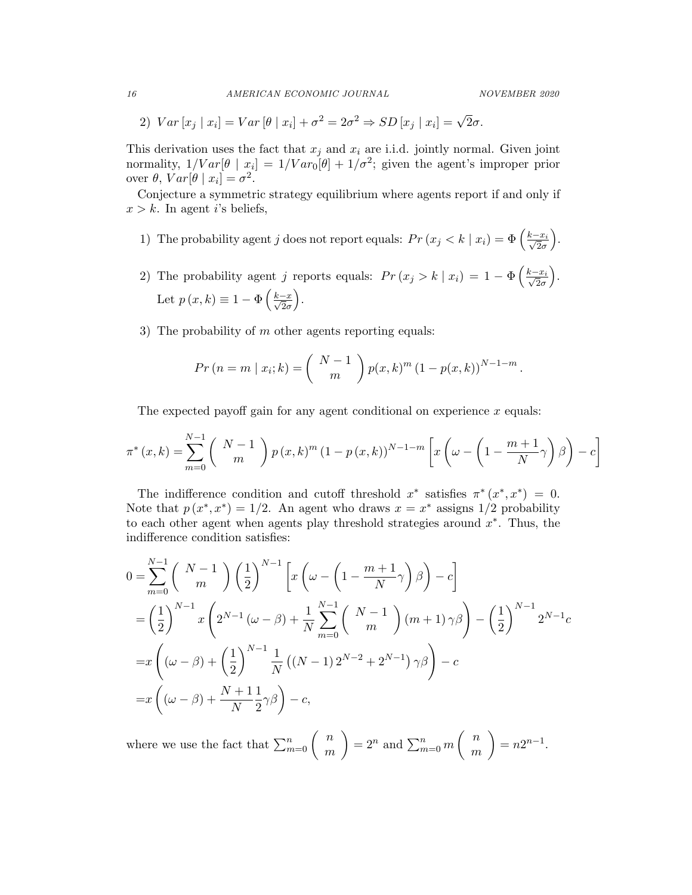2)  $Var[x_j | x_i] = Var[\theta | x_i] + \sigma^2 = 2\sigma^2 \Rightarrow SD[x_j | x_i] = \sqrt{2}\sigma.$ 

This derivation uses the fact that  $x_j$  and  $x_i$  are i.i.d. jointly normal. Given joint normality,  $1/Var[\theta | x_i] = 1/Var_0[\theta] + 1/\sigma^2$ ; given the agent's improper prior over  $\theta$ ,  $Var[\theta | x_i] = \sigma^2$ .

Conjecture a symmetric strategy equilibrium where agents report if and only if  $x > k$ . In agent i's beliefs,

- 1) The probability agent j does not report equals:  $Pr(x_j < k | x_i) = \Phi\left(\frac{k x_i}{\sqrt{2}\sigma}\right)$ .
- 2) The probability agent j reports equals:  $Pr(x_j > k | x_i) = 1 \Phi\left(\frac{k x_i}{\sqrt{2}\sigma}\right)$  . Let  $p(x,k) \equiv 1 - \Phi\left(\frac{k-x}{\sqrt{2}}\right)$  $2\sigma$ .
- 3) The probability of  $m$  other agents reporting equals:

$$
Pr (n = m | x_i; k) = {N-1 \choose m} p(x, k)^m (1 - p(x, k))^{N-1-m}.
$$

The expected payoff gain for any agent conditional on experience  $x$  equals:

$$
\pi^*(x,k) = \sum_{m=0}^{N-1} {N-1 \choose m} p(x,k)^m (1-p(x,k))^{N-1-m} \left[ x \left( \omega - \left( 1 - \frac{m+1}{N} \gamma \right) \beta \right) - c \right]
$$

The indifference condition and cutoff threshold  $x^*$  satisfies  $\pi^*(x^*, x^*) = 0$ . Note that  $p(x^*, x^*) = 1/2$ . An agent who draws  $x = x^*$  assigns  $1/2$  probability to each other agent when agents play threshold strategies around  $x^*$ . Thus, the indifference condition satisfies:

$$
0 = \sum_{m=0}^{N-1} {N-1 \choose m} \left(\frac{1}{2}\right)^{N-1} \left[ x \left(\omega - \left(1 - \frac{m+1}{N}\right)\right) \beta \right] - c \right]
$$
  
=  $\left(\frac{1}{2}\right)^{N-1} x \left(2^{N-1} (\omega - \beta) + \frac{1}{N} \sum_{m=0}^{N-1} {N-1 \choose m} (m+1) \gamma \beta \right) - \left(\frac{1}{2}\right)^{N-1} 2^{N-1} c$   
=  $x \left( (\omega - \beta) + \left(\frac{1}{2}\right)^{N-1} \frac{1}{N} ((N-1) 2^{N-2} + 2^{N-1}) \gamma \beta \right) - c$   
=  $x \left( (\omega - \beta) + \frac{N+1}{N} \frac{1}{2} \gamma \beta \right) - c$ ,

where we use the fact that  $\sum_{m=0}^{n} \begin{pmatrix} n \\ m \end{pmatrix}$ m  $= 2^n$  and  $\sum_{m=0}^n m \binom{n}{m}$ m  $\Big) = n2^{n-1}.$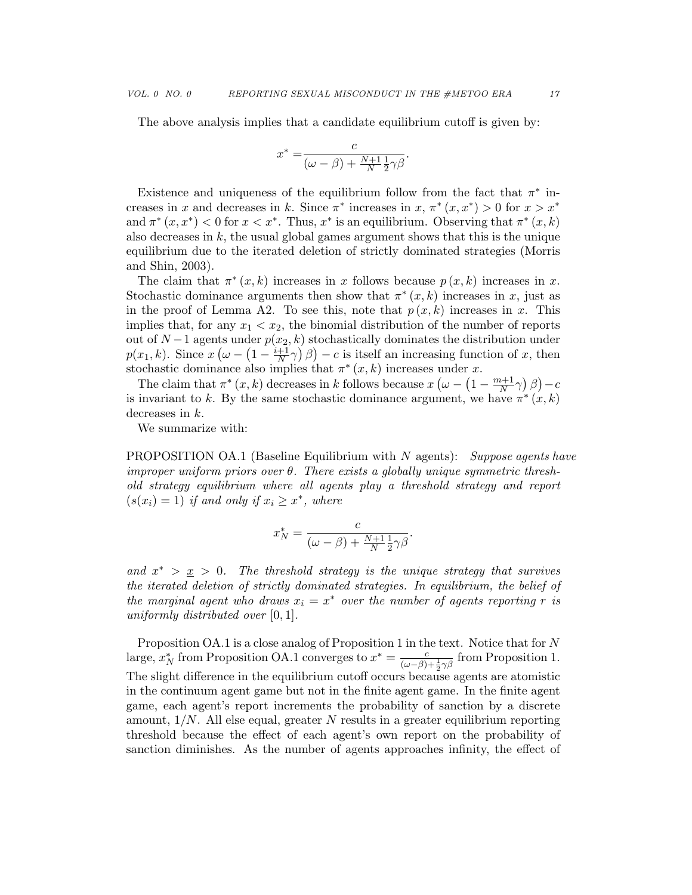The above analysis implies that a candidate equilibrium cutoff is given by:

$$
x^* = \frac{c}{(\omega - \beta) + \frac{N+1}{N} \frac{1}{2} \gamma \beta}.
$$

Existence and uniqueness of the equilibrium follow from the fact that  $\pi^*$  increases in x and decreases in k. Since  $\pi^*$  increases in x,  $\pi^*(x, x^*) > 0$  for  $x > x^*$ and  $\pi^*(x, x^*)$  < 0 for  $x < x^*$ . Thus,  $x^*$  is an equilibrium. Observing that  $\pi^*(x, k)$ also decreases in  $k$ , the usual global games argument shows that this is the unique equilibrium due to the iterated deletion of strictly dominated strategies (Morris and Shin, 2003).

The claim that  $\pi^*(x, k)$  increases in x follows because  $p(x, k)$  increases in x. Stochastic dominance arguments then show that  $\pi^*(x, k)$  increases in x, just as in the proof of Lemma A2. To see this, note that  $p(x, k)$  increases in x. This implies that, for any  $x_1 < x_2$ , the binomial distribution of the number of reports out of  $N-1$  agents under  $p(x<sub>2</sub>, k)$  stochastically dominates the distribution under  $p(x_1, k)$ . Since  $x(\omega - (1 - \frac{i+1}{N})$  $(\frac{+1}{N}\gamma)\beta$  – c is itself an increasing function of x, then stochastic dominance also implies that  $\pi^*(x, k)$  increases under x.

The claim that  $\pi^*(x, k)$  decreases in k follows because  $x (\omega - (1 - \frac{m+1}{N})$  $\frac{n+1}{N}\gamma$   $\left(\beta\right)$  – c is invariant to k. By the same stochastic dominance argument, we have  $\pi^*(x, k)$ decreases in k.

We summarize with:

**PROPOSITION OA.1** (Baseline Equilibrium with N agents): Suppose agents have improper uniform priors over  $\theta$ . There exists a globally unique symmetric threshold strategy equilibrium where all agents play a threshold strategy and report  $(s(x_i) = 1)$  if and only if  $x_i \geq x^*$ , where

$$
x_N^* = \frac{c}{(\omega - \beta) + \frac{N+1}{N} \frac{1}{2} \gamma \beta}.
$$

and  $x^* > x > 0$ . The threshold strategy is the unique strategy that survives the iterated deletion of strictly dominated strategies. In equilibrium, the belief of the marginal agent who draws  $x_i = x^*$  over the number of agents reporting r is uniformly distributed over  $[0, 1]$ .

Proposition OA.1 is a close analog of Proposition 1 in the text. Notice that for N large,  $x_N^*$  from Proposition OA.1 converges to  $x^* = \frac{c}{(\omega - \beta) + \frac{1}{2}\gamma\beta}$  from Proposition 1. The slight difference in the equilibrium cutoff occurs because agents are atomistic in the continuum agent game but not in the finite agent game. In the finite agent game, each agent's report increments the probability of sanction by a discrete amount,  $1/N$ . All else equal, greater N results in a greater equilibrium reporting threshold because the effect of each agent's own report on the probability of sanction diminishes. As the number of agents approaches infinity, the effect of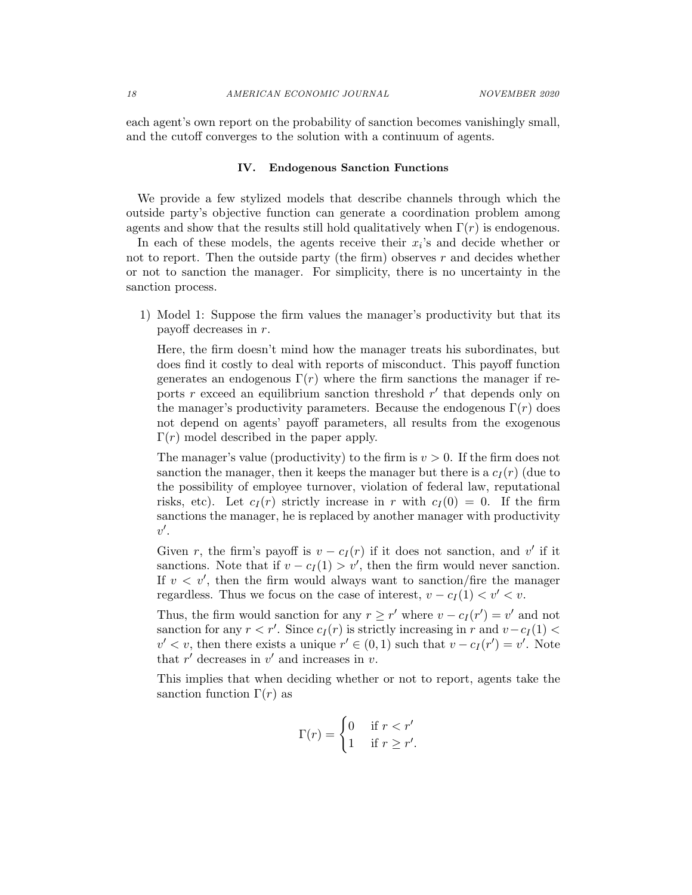each agent's own report on the probability of sanction becomes vanishingly small, and the cutoff converges to the solution with a continuum of agents.

#### IV. Endogenous Sanction Functions

We provide a few stylized models that describe channels through which the outside party's objective function can generate a coordination problem among agents and show that the results still hold qualitatively when  $\Gamma(r)$  is endogenous.

In each of these models, the agents receive their  $x_i$ 's and decide whether or not to report. Then the outside party (the firm) observes  $r$  and decides whether or not to sanction the manager. For simplicity, there is no uncertainty in the sanction process.

1) Model 1: Suppose the firm values the manager's productivity but that its payoff decreases in r.

Here, the firm doesn't mind how the manager treats his subordinates, but does find it costly to deal with reports of misconduct. This payoff function generates an endogenous  $\Gamma(r)$  where the firm sanctions the manager if reports r exceed an equilibrium sanction threshold  $r'$  that depends only on the manager's productivity parameters. Because the endogenous  $\Gamma(r)$  does not depend on agents' payoff parameters, all results from the exogenous  $\Gamma(r)$  model described in the paper apply.

The manager's value (productivity) to the firm is  $v > 0$ . If the firm does not sanction the manager, then it keeps the manager but there is a  $c_I(r)$  (due to the possibility of employee turnover, violation of federal law, reputational risks, etc). Let  $c_I(r)$  strictly increase in r with  $c_I(0) = 0$ . If the firm sanctions the manager, he is replaced by another manager with productivity  $v'.$ 

Given r, the firm's payoff is  $v - c_I(r)$  if it does not sanction, and v' if it sanctions. Note that if  $v - c_I(1) > v'$ , then the firm would never sanction. If  $v < v'$ , then the firm would always want to sanction/fire the manager regardless. Thus we focus on the case of interest,  $v - c_I(1) < v' < v$ .

Thus, the firm would sanction for any  $r \geq r'$  where  $v - c_I(r') = v'$  and not sanction for any  $r < r'$ . Since  $c_I(r)$  is strictly increasing in r and  $v - c_I(1)$  $v' < v$ , then there exists a unique  $r' \in (0,1)$  such that  $v - c_I(r') = v'$ . Note that  $r'$  decreases in  $v'$  and increases in  $v$ .

This implies that when deciding whether or not to report, agents take the sanction function  $\Gamma(r)$  as

$$
\Gamma(r) = \begin{cases} 0 & \text{if } r < r' \\ 1 & \text{if } r \ge r'. \end{cases}
$$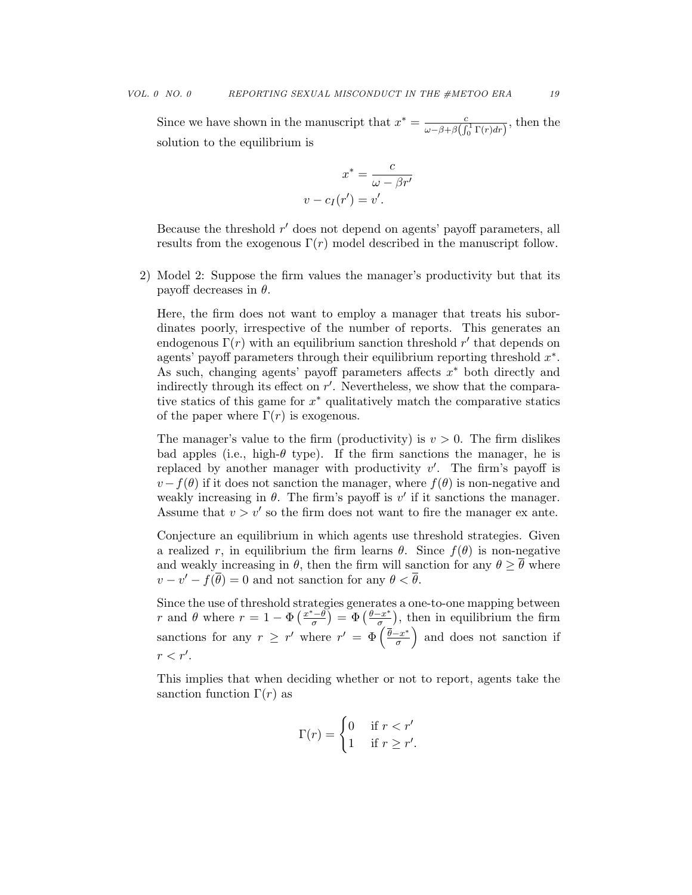Since we have shown in the manuscript that  $x^* = \frac{c}{\sqrt{c^2 + 4ac}}$  $\frac{c}{\omega - \beta + \beta \left( \int_0^1 \Gamma(r) dr \right)}$ , then the solution to the equilibrium is

$$
x^* = \frac{c}{\omega - \beta r'}
$$

$$
v - c_I(r') = v'.
$$

Because the threshold  $r'$  does not depend on agents' payoff parameters, all results from the exogenous  $\Gamma(r)$  model described in the manuscript follow.

2) Model 2: Suppose the firm values the manager's productivity but that its payoff decreases in  $\theta$ .

Here, the firm does not want to employ a manager that treats his subordinates poorly, irrespective of the number of reports. This generates an endogenous  $\Gamma(r)$  with an equilibrium sanction threshold r' that depends on agents' payoff parameters through their equilibrium reporting threshold  $x^*$ . As such, changing agents' payoff parameters affects  $x^*$  both directly and indirectly through its effect on  $r'$ . Nevertheless, we show that the comparative statics of this game for  $x^*$  qualitatively match the comparative statics of the paper where  $\Gamma(r)$  is exogenous.

The manager's value to the firm (productivity) is  $v > 0$ . The firm dislikes bad apples (i.e., high- $\theta$  type). If the firm sanctions the manager, he is replaced by another manager with productivity  $v'$ . The firm's payoff is  $v - f(\theta)$  if it does not sanction the manager, where  $f(\theta)$  is non-negative and weakly increasing in  $\theta$ . The firm's payoff is  $v'$  if it sanctions the manager. Assume that  $v > v'$  so the firm does not want to fire the manager ex ante.

Conjecture an equilibrium in which agents use threshold strategies. Given a realized r, in equilibrium the firm learns  $\theta$ . Since  $f(\theta)$  is non-negative and weakly increasing in  $\theta$ , then the firm will sanction for any  $\theta \geq \overline{\theta}$  where  $v - v' - f(\overline{\theta}) = 0$  and not sanction for any  $\theta < \overline{\theta}$ .

Since the use of threshold strategies generates a one-to-one mapping between r and  $\theta$  where  $r = 1 - \Phi\left(\frac{x^* - \theta}{\sigma}\right)$  $\left(\frac{\overline{\theta}-\theta}{\sigma}\right) = \Phi\left(\frac{\theta-x^*}{\sigma}\right)$  $\left(\frac{-x^*}{\sigma}\right)$ , then in equilibrium the firm sanctions for any  $r \geq r'$  where  $r' = \Phi\left(\frac{\bar{\theta}-x^*}{\sigma}\right)$  $\left(\frac{-x^*}{\sigma}\right)$  and does not sanction if  $r < r'.$ 

This implies that when deciding whether or not to report, agents take the sanction function  $\Gamma(r)$  as

$$
\Gamma(r) = \begin{cases} 0 & \text{if } r < r' \\ 1 & \text{if } r \ge r'. \end{cases}
$$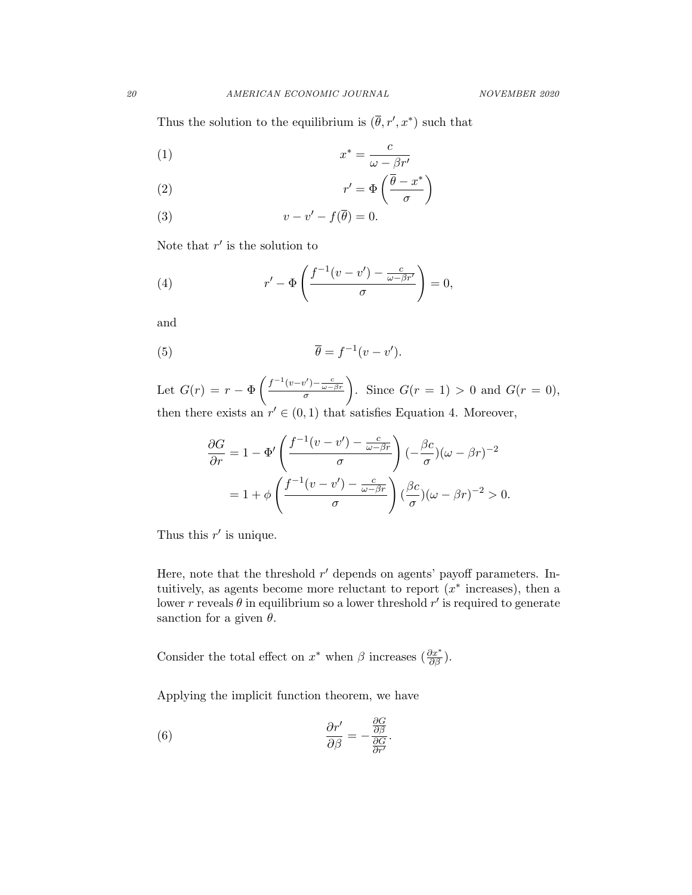Thus the solution to the equilibrium is  $(\bar{\theta}, r', x^*)$  such that

$$
(1) \t\t x^* = \frac{c}{\omega - \beta r'}
$$

(2) 
$$
r' = \Phi\left(\frac{\overline{\theta} - x^*}{\sigma}\right)
$$

(3) 
$$
v - v' - f(\overline{\theta}) = 0.
$$

Note that  $r'$  is the solution to

(4) 
$$
r' - \Phi\left(\frac{f^{-1}(v - v') - \frac{c}{\omega - \beta r'}}{\sigma}\right) = 0,
$$

and

(5) 
$$
\overline{\theta} = f^{-1}(v - v').
$$

Let  $G(r) = r - \Phi\left(\frac{f^{-1}(v-v') - \frac{c}{\omega-\beta r}}{\sigma}\right)$ ). Since  $G(r=1) > 0$  and  $G(r=0)$ , then there exists an  $r' \in (0,1)$  that satisfies Equation 4. Moreover,

$$
\frac{\partial G}{\partial r} = 1 - \Phi' \left( \frac{f^{-1}(v - v') - \frac{c}{\omega - \beta r}}{\sigma} \right) (-\frac{\beta c}{\sigma})(\omega - \beta r)^{-2}
$$

$$
= 1 + \phi \left( \frac{f^{-1}(v - v') - \frac{c}{\omega - \beta r}}{\sigma} \right) (\frac{\beta c}{\sigma})(\omega - \beta r)^{-2} > 0.
$$

Thus this  $r'$  is unique.

Here, note that the threshold  $r'$  depends on agents' payoff parameters. Intuitively, as agents become more reluctant to report  $(x^*$  increases), then a lower r reveals  $\theta$  in equilibrium so a lower threshold r' is required to generate sanction for a given  $\theta$ .

Consider the total effect on  $x^*$  when  $\beta$  increases  $(\frac{\partial x^*}{\partial \beta})$ .

Applying the implicit function theorem, we have

(6) 
$$
\frac{\partial r'}{\partial \beta} = -\frac{\frac{\partial G}{\partial \beta}}{\frac{\partial G}{\partial r'}}.
$$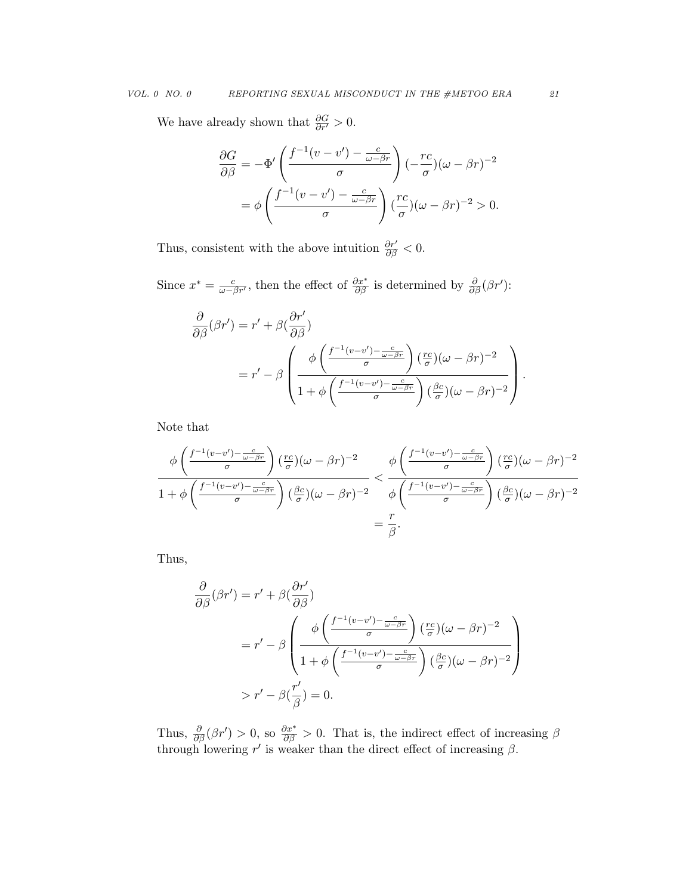We have already shown that  $\frac{\partial G}{\partial r'} > 0$ .

$$
\frac{\partial G}{\partial \beta} = -\Phi' \left( \frac{f^{-1}(v - v') - \frac{c}{\omega - \beta r}}{\sigma} \right) (-\frac{rc}{\sigma})(\omega - \beta r)^{-2}
$$

$$
= \phi \left( \frac{f^{-1}(v - v') - \frac{c}{\omega - \beta r}}{\sigma} \right) (\frac{rc}{\sigma})(\omega - \beta r)^{-2} > 0.
$$

Thus, consistent with the above intuition  $\frac{\partial r'}{\partial \beta} < 0$ .

Since  $x^* = \frac{c}{\omega - \beta r'}$ , then the effect of  $\frac{\partial x^*}{\partial \beta}$  is determined by  $\frac{\partial}{\partial \beta}(\beta r')$ :

$$
\frac{\partial}{\partial \beta}(\beta r') = r' + \beta \left(\frac{\partial r'}{\partial \beta}\right)
$$

$$
= r' - \beta \left(\frac{\phi \left(\frac{f^{-1}(v-v') - \frac{c}{\omega - \beta r}}{\sigma}\right) \left(\frac{r_c}{\sigma}\right)(\omega - \beta r)^{-2}}{1 + \phi \left(\frac{f^{-1}(v-v') - \frac{c}{\omega - \beta r}}{\sigma}\right) \left(\frac{\beta c}{\sigma}\right)(\omega - \beta r)^{-2}}\right).
$$

Note that

$$
\frac{\phi\left(\frac{f^{-1}(v-v')-\frac{c}{\omega-\beta r}}{\sigma}\right)\left(\frac{rc}{\sigma}\right)(\omega-\beta r)^{-2}}{1+\phi\left(\frac{f^{-1}(v-v')-\frac{c}{\omega-\beta r}}{\sigma}\right)\left(\frac{\beta c}{\sigma}\right)(\omega-\beta r)^{-2}} < \frac{\phi\left(\frac{f^{-1}(v-v')-\frac{c}{\omega-\beta r}}{\sigma}\right)\left(\frac{rc}{\sigma}\right)(\omega-\beta r)^{-2}}{\phi\left(\frac{f^{-1}(v-v')-\frac{c}{\omega-\beta r}}{\sigma}\right)\left(\frac{\beta c}{\sigma}\right)(\omega-\beta r)^{-2}} = \frac{r}{\beta}.
$$

Thus,

$$
\frac{\partial}{\partial \beta}(\beta r') = r' + \beta \left(\frac{\partial r'}{\partial \beta}\right)
$$

$$
= r' - \beta \left(\frac{\phi \left(\frac{f^{-1}(v-v') - \frac{c}{\omega - \beta r}}{\sigma}\right) \left(\frac{rc}{\sigma}\right)(\omega - \beta r)^{-2}}{1 + \phi \left(\frac{f^{-1}(v-v') - \frac{c}{\omega - \beta r}}{\sigma}\right) \left(\frac{\beta c}{\sigma}\right)(\omega - \beta r)^{-2}}\right)
$$

$$
> r' - \beta \left(\frac{r'}{\beta}\right) = 0.
$$

Thus,  $\frac{\partial}{\partial \beta}(\beta r') > 0$ , so  $\frac{\partial x^*}{\partial \beta} > 0$ . That is, the indirect effect of increasing  $\beta$ through lowering  $r'$  is weaker than the direct effect of increasing  $\beta$ .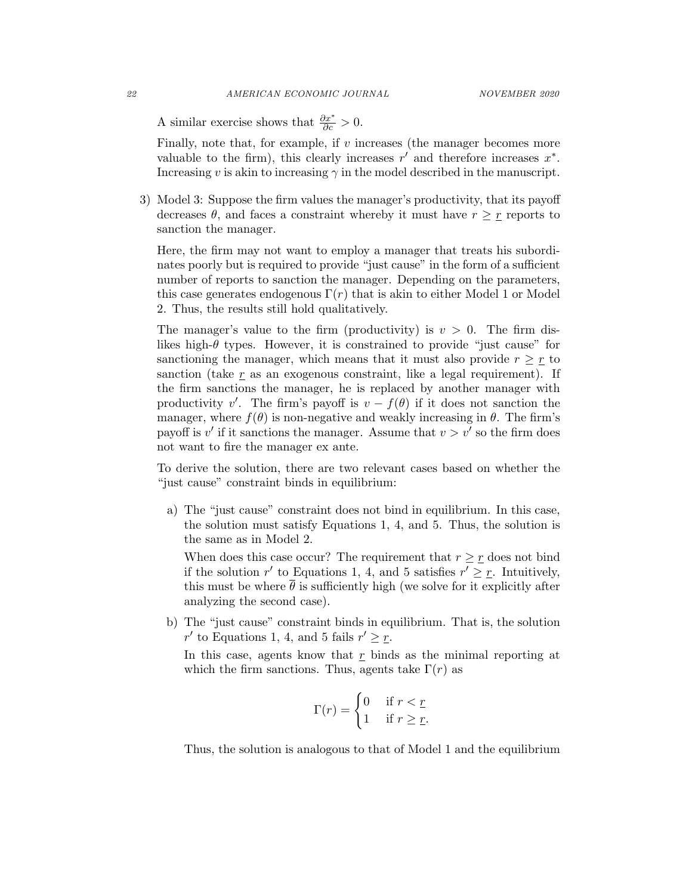A similar exercise shows that  $\frac{\partial x^*}{\partial c} > 0$ .

Finally, note that, for example, if  $v$  increases (the manager becomes more valuable to the firm), this clearly increases  $r'$  and therefore increases  $x^*$ . Increasing v is akin to increasing  $\gamma$  in the model described in the manuscript.

3) Model 3: Suppose the firm values the manager's productivity, that its payoff decreases  $\theta$ , and faces a constraint whereby it must have  $r \geq r$  reports to sanction the manager.

Here, the firm may not want to employ a manager that treats his subordinates poorly but is required to provide "just cause" in the form of a sufficient number of reports to sanction the manager. Depending on the parameters, this case generates endogenous  $\Gamma(r)$  that is akin to either Model 1 or Model 2. Thus, the results still hold qualitatively.

The manager's value to the firm (productivity) is  $v > 0$ . The firm dislikes high- $\theta$  types. However, it is constrained to provide "just cause" for sanctioning the manager, which means that it must also provide  $r \geq r$  to sanction (take  $r$  as an exogenous constraint, like a legal requirement). If the firm sanctions the manager, he is replaced by another manager with productivity v'. The firm's payoff is  $v - f(\theta)$  if it does not sanction the manager, where  $f(\theta)$  is non-negative and weakly increasing in  $\theta$ . The firm's payoff is  $v'$  if it sanctions the manager. Assume that  $v > v'$  so the firm does not want to fire the manager ex ante.

To derive the solution, there are two relevant cases based on whether the "just cause" constraint binds in equilibrium:

a) The "just cause" constraint does not bind in equilibrium. In this case, the solution must satisfy Equations 1, 4, and 5. Thus, the solution is the same as in Model 2.

When does this case occur? The requirement that  $r \geq r$  does not bind if the solution r' to Equations 1, 4, and 5 satisfies  $r' \geq r$ . Intuitively, this must be where  $\bar{\theta}$  is sufficiently high (we solve for it explicitly after analyzing the second case).

b) The "just cause" constraint binds in equilibrium. That is, the solution r' to Equations 1, 4, and 5 fails  $r' \geq r$ .

In this case, agents know that  $r$  binds as the minimal reporting at which the firm sanctions. Thus, agents take  $\Gamma(r)$  as

$$
\Gamma(r) = \begin{cases} 0 & \text{if } r < \underline{r} \\ 1 & \text{if } r \ge \underline{r} \end{cases}
$$

Thus, the solution is analogous to that of Model 1 and the equilibrium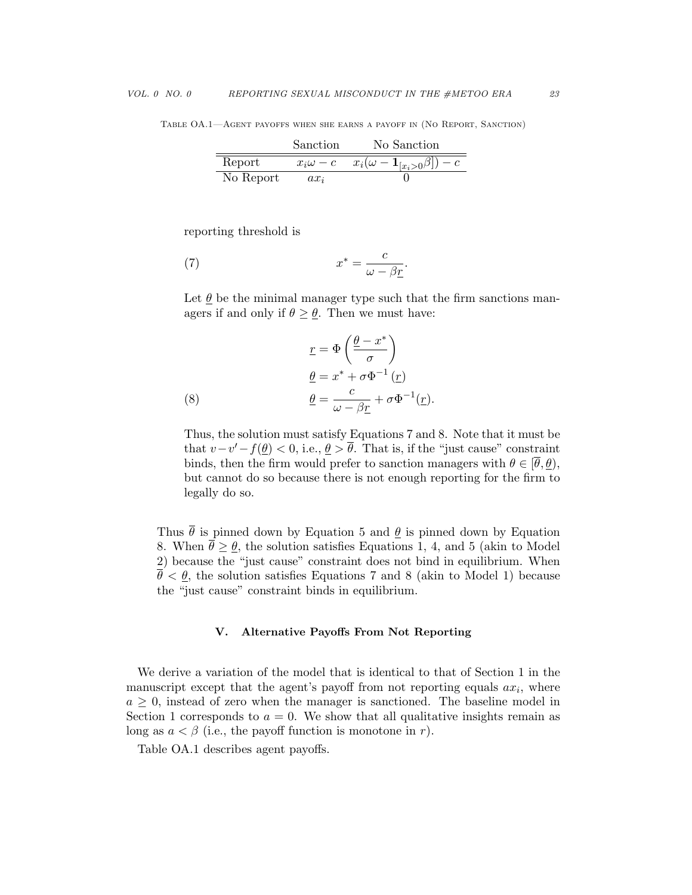Table OA.1—Agent payoffs when she earns a payoff in (No Report, Sanction)

|           | Sanction | No Sanction                                             |
|-----------|----------|---------------------------------------------------------|
| Report    |          | $x_i\omega-c$ $x_i(\omega-\mathbf{1}_{[x_i>0}\beta])-c$ |
| No Report | $ax_i$   |                                                         |

reporting threshold is

(7) 
$$
x^* = \frac{c}{\omega - \beta \underline{r}}.
$$

Let  $\theta$  be the minimal manager type such that the firm sanctions managers if and only if  $\theta \geq \theta$ . Then we must have:

(8) 
$$
\underline{r} = \Phi\left(\frac{\underline{\theta} - x^*}{\sigma}\right)
$$

$$
\underline{\theta} = x^* + \sigma \Phi^{-1}(\underline{r})
$$

$$
\underline{\theta} = \frac{c}{\omega - \beta \underline{r}} + \sigma \Phi^{-1}(\underline{r}).
$$

Thus, the solution must satisfy Equations 7 and 8. Note that it must be that  $v-v'-f(\underline{\theta}) < 0$ , i.e.,  $\underline{\theta} > \overline{\theta}$ . That is, if the "just cause" constraint binds, then the firm would prefer to sanction managers with  $\theta \in [\bar{\theta}, \theta)$ , but cannot do so because there is not enough reporting for the firm to legally do so.

Thus  $\bar{\theta}$  is pinned down by Equation 5 and  $\theta$  is pinned down by Equation 8. When  $\bar{\theta} \geq \theta$ , the solution satisfies Equations 1, 4, and 5 (akin to Model 2) because the "just cause" constraint does not bind in equilibrium. When  $\overline{\theta} < \underline{\theta}$ , the solution satisfies Equations 7 and 8 (akin to Model 1) because the "just cause" constraint binds in equilibrium.

#### V. Alternative Payoffs From Not Reporting

We derive a variation of the model that is identical to that of Section 1 in the manuscript except that the agent's payoff from not reporting equals  $ax_i$ , where  $a \geq 0$ , instead of zero when the manager is sanctioned. The baseline model in Section 1 corresponds to  $a = 0$ . We show that all qualitative insights remain as long as  $a < \beta$  (i.e., the payoff function is monotone in r).

Table OA.1 describes agent payoffs.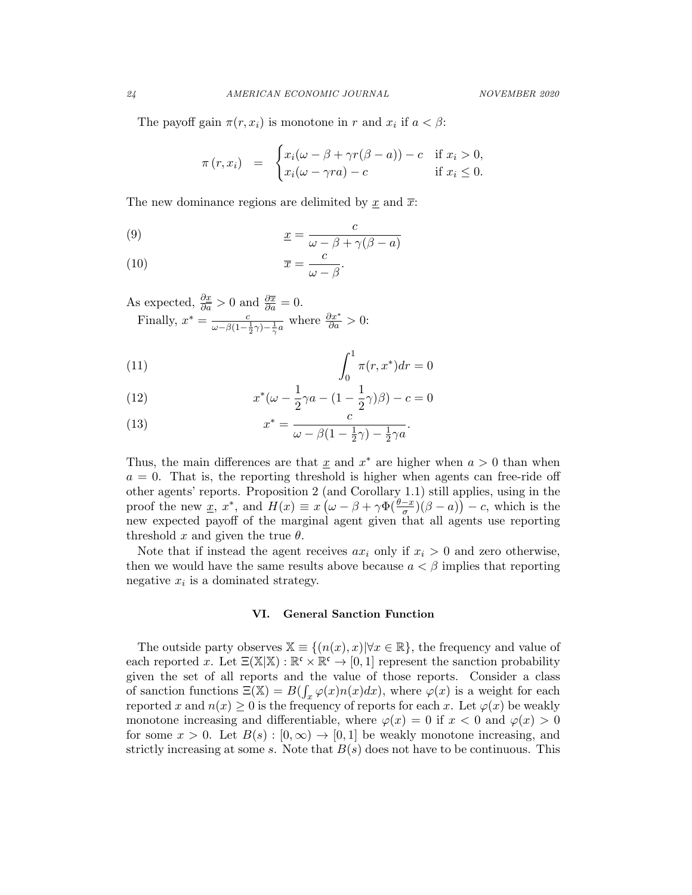The payoff gain  $\pi(r, x_i)$  is monotone in r and  $x_i$  if  $a < \beta$ :

$$
\pi(r, x_i) = \begin{cases} x_i(\omega - \beta + \gamma r(\beta - a)) - c & \text{if } x_i > 0, \\ x_i(\omega - \gamma r a) - c & \text{if } x_i \le 0. \end{cases}
$$

The new dominance regions are delimited by  $\underline{x}$  and  $\overline{x}$ :

(9) 
$$
\underline{x} = \frac{c}{\omega - \beta + \gamma(\beta - a)}
$$

(10) 
$$
\overline{x} = \frac{c}{\omega - \beta}.
$$

As expected,  $\frac{\partial x}{\partial a} > 0$  and  $\frac{\partial \overline{x}}{\partial a} = 0$ . Finally,  $x^* = \frac{c}{\omega - \beta(1 - \frac{1}{2}\gamma) - \frac{1}{\gamma}a}$  where  $\frac{\partial x^*}{\partial a} > 0$ :

(11) 
$$
\int_0^1 \pi(r, x^*) dr = 0
$$

(12) 
$$
x^*(\omega - \frac{1}{2}\gamma a - (1 - \frac{1}{2}\gamma)\beta) - c = 0
$$

(13) 
$$
x^* = \frac{c}{\omega - \beta(1 - \frac{1}{2}\gamma) - \frac{1}{2}\gamma a}.
$$

Thus, the main differences are that  $\underline{x}$  and  $x^*$  are higher when  $a > 0$  than when  $a = 0$ . That is, the reporting threshold is higher when agents can free-ride off other agents' reports. Proposition 2 (and Corollary 1.1) still applies, using in the proof the new <u>x</u>, x<sup>\*</sup>, and  $H(x) \equiv x(\omega - \beta + \gamma \Phi(\frac{\theta - x}{\sigma})(\beta - a)) - c$ , which is the new expected payoff of the marginal agent given that all agents use reporting threshold x and given the true  $\theta$ .

Note that if instead the agent receives  $ax_i$  only if  $x_i > 0$  and zero otherwise, then we would have the same results above because  $a < \beta$  implies that reporting negative  $x_i$  is a dominated strategy.

#### VI. General Sanction Function

The outside party observes  $\mathbb{X} \equiv \{(n(x),x)| \forall x \in \mathbb{R}\},\$  the frequency and value of each reported x. Let  $\Xi(\mathbb{X}|\mathbb{X}): \mathbb{R}^{\mathfrak{c}} \times \mathbb{R}^{\mathfrak{c}} \to [0,1]$  represent the sanction probability given the set of all reports and the value of those reports. Consider a class of sanction functions  $\Xi(\mathbb{X}) = B(\int_x \varphi(x) n(x) dx)$ , where  $\varphi(x)$  is a weight for each reported x and  $n(x) \geq 0$  is the frequency of reports for each x. Let  $\varphi(x)$  be weakly monotone increasing and differentiable, where  $\varphi(x) = 0$  if  $x < 0$  and  $\varphi(x) > 0$ for some  $x > 0$ . Let  $B(s) : [0, \infty) \to [0, 1]$  be weakly monotone increasing, and strictly increasing at some s. Note that  $B(s)$  does not have to be continuous. This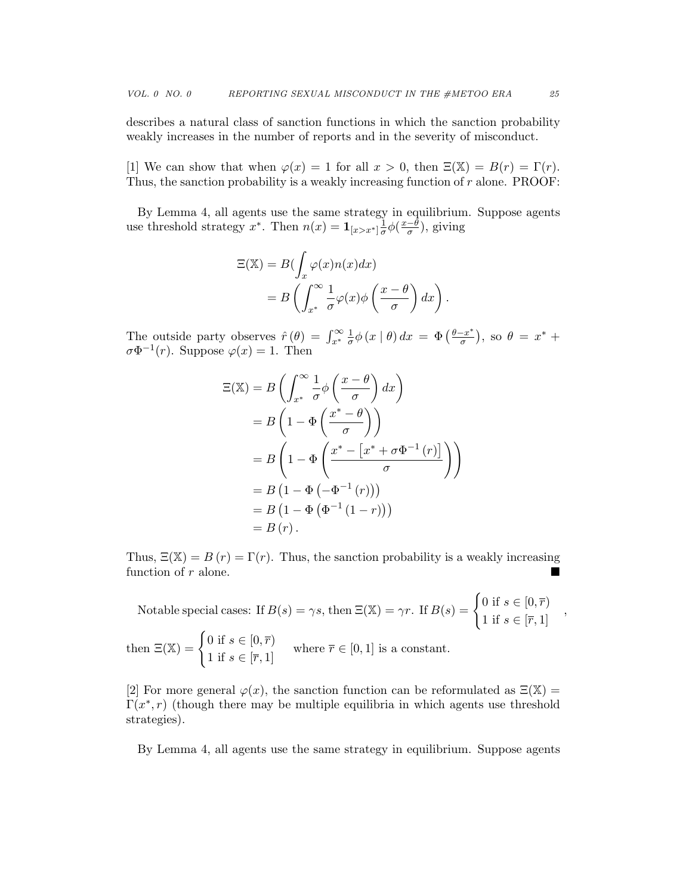describes a natural class of sanction functions in which the sanction probability weakly increases in the number of reports and in the severity of misconduct.

[1] We can show that when  $\varphi(x) = 1$  for all  $x > 0$ , then  $\Xi(\mathbb{X}) = B(r) = \Gamma(r)$ . Thus, the sanction probability is a weakly increasing function of  $r$  alone. PROOF:

By Lemma 4, all agents use the same strategy in equilibrium. Suppose agents use threshold strategy x<sup>\*</sup>. Then  $n(x) = \mathbf{1}_{[x > x^*]} \frac{1}{\sigma}$  $rac{1}{\sigma}\phi\left(\frac{x-\theta}{\sigma}\right)$  $\frac{-\theta}{\sigma}$ ), giving

$$
\Xi(\mathbb{X}) = B\left(\int_x \varphi(x)n(x)dx\right)
$$
  
= 
$$
B\left(\int_{x^*}^{\infty} \frac{1}{\sigma} \varphi(x)\phi\left(\frac{x-\theta}{\sigma}\right)dx\right).
$$

The outside party observes  $\hat{r}(\theta) = \int_{x^*}^{\infty} \frac{1}{\sigma}$  $\frac{1}{\sigma}\phi\left(x\mid\theta\right)dx = \Phi\left(\frac{\theta-x^*}{\sigma}\right)$  $\frac{-x^*}{\sigma}$ ), so  $\theta = x^* +$  $\sigma \Phi^{-1}(r)$ . Suppose  $\varphi(x) = 1$ . Then

$$
\begin{aligned} \Xi(\mathbb{X}) &= B\left(\int_{x^*}^{\infty} \frac{1}{\sigma} \phi\left(\frac{x-\theta}{\sigma}\right) dx\right) \\ &= B\left(1 - \Phi\left(\frac{x^* - \theta}{\sigma}\right)\right) \\ &= B\left(1 - \Phi\left(\frac{x^* - \left[x^* + \sigma \Phi^{-1}\left(r\right)\right]}{\sigma}\right)\right) \\ &= B\left(1 - \Phi\left(-\Phi^{-1}\left(r\right)\right)\right) \\ &= B\left(1 - \Phi\left(\Phi^{-1}\left(1 - r\right)\right)\right) \\ &= B\left(r\right). \end{aligned}
$$

Thus,  $\Xi(\mathbb{X}) = B(r) = \Gamma(r)$ . Thus, the sanction probability is a weakly increasing function of r alone.

Notable special cases: If  $B(s) = \gamma s$ , then  $\Xi(\mathbb{X}) = \gamma r$ . If  $B(s) = \begin{cases} 0 \text{ if } s \in [0, \overline{r}) \\ 1 \text{ if } s \in [\overline{r}, 1] \end{cases}$ , then  $\Xi(\mathbb{X}) = \begin{cases} 0 \text{ if } s \in [0, \overline{r}) \\ 1 \text{ if } s \in [\overline{r}, 1] \end{cases}$  where  $\overline{r} \in [0, 1]$  is a constant.

[2] For more general  $\varphi(x)$ , the sanction function can be reformulated as  $\Xi(\mathbb{X}) =$  $\Gamma(x^*, r)$  (though there may be multiple equilibria in which agents use threshold strategies).

By Lemma 4, all agents use the same strategy in equilibrium. Suppose agents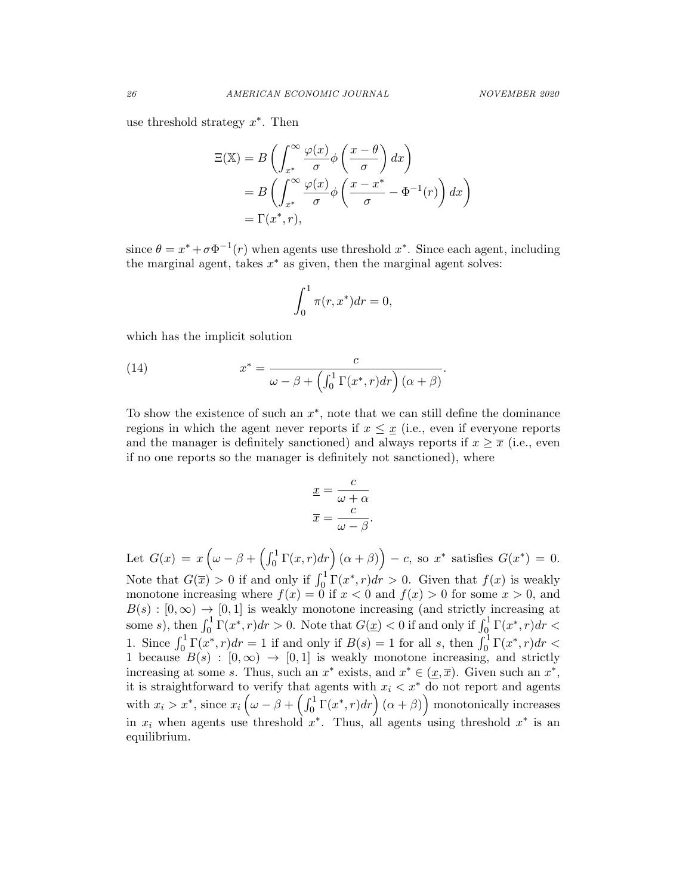use threshold strategy  $x^*$ . Then

$$
\begin{aligned} \Xi(\mathbb{X}) &= B\left(\int_{x^*}^{\infty} \frac{\varphi(x)}{\sigma} \phi\left(\frac{x-\theta}{\sigma}\right) dx\right) \\ &= B\left(\int_{x^*}^{\infty} \frac{\varphi(x)}{\sigma} \phi\left(\frac{x-x^*}{\sigma} - \Phi^{-1}(r)\right) dx\right) \\ &= \Gamma(x^*, r), \end{aligned}
$$

since  $\theta = x^* + \sigma \Phi^{-1}(r)$  when agents use threshold  $x^*$ . Since each agent, including the marginal agent, takes  $x^*$  as given, then the marginal agent solves:

$$
\int_0^1 \pi(r, x^*) dr = 0,
$$

which has the implicit solution

(14) 
$$
x^* = \frac{c}{\omega - \beta + \left(\int_0^1 \Gamma(x^*, r) dr\right) (\alpha + \beta)}.
$$

To show the existence of such an  $x^*$ , note that we can still define the dominance regions in which the agent never reports if  $x \leq \underline{x}$  (i.e., even if everyone reports and the manager is definitely sanctioned) and always reports if  $x \geq \overline{x}$  (i.e., even if no one reports so the manager is definitely not sanctioned), where

$$
\underline{x} = \frac{c}{\omega + \alpha}
$$

$$
\overline{x} = \frac{c}{\omega - \beta}.
$$

Let  $G(x) = x \left( \omega - \beta + \left( \int_0^1 \Gamma(x, r) dr \right) (\alpha + \beta) \right) - c$ , so  $x^*$  satisfies  $G(x^*) = 0$ . Note that  $G(\overline{x}) > 0$  if and only if  $\int_0^1 \Gamma(x^*, r) dr > 0$ . Given that  $f(x)$  is weakly monotone increasing where  $f(x) = 0$  if  $x < 0$  and  $f(x) > 0$  for some  $x > 0$ , and  $B(s) : [0, \infty) \to [0, 1]$  is weakly monotone increasing (and strictly increasing at some *s*), then  $\int_0^1 \Gamma(x^*, r) dr > 0$ . Note that  $G(\underline{x}) < 0$  if and only if  $\int_0^1 \Gamma(x^*, r) dr <$ 1. Since  $\int_0^1 \Gamma(x^*, r) dr = 1$  if and only if  $B(s) = 1$  for all s, then  $\int_0^1 \Gamma(x^*, r) dr <$ 1 because  $B(s) : [0, \infty) \to [0, 1]$  is weakly monotone increasing, and strictly increasing at some s. Thus, such an  $x^*$  exists, and  $x^* \in (\underline{x}, \overline{x})$ . Given such an  $x^*$ , it is straightforward to verify that agents with  $x_i < x^*$  do not report and agents with  $x_i > x^*$ , since  $x_i \left( \omega - \beta + \left( \int_0^1 \Gamma(x^*, r) dr \right) (\alpha + \beta) \right)$  monotonically increases in  $x_i$  when agents use threshold  $x^*$ . Thus, all agents using threshold  $x^*$  is an equilibrium.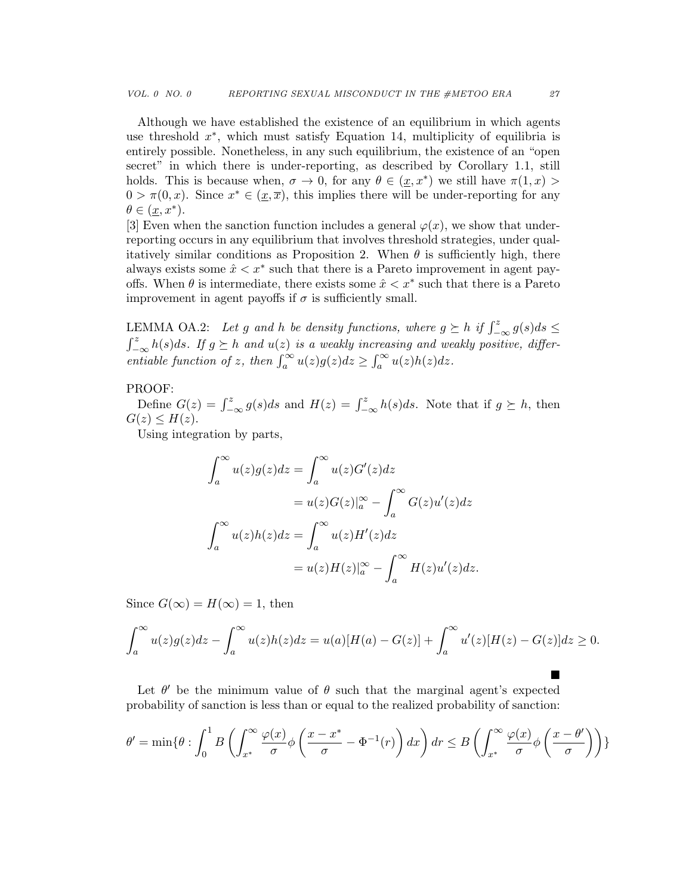Although we have established the existence of an equilibrium in which agents use threshold  $x^*$ , which must satisfy Equation 14, multiplicity of equilibria is entirely possible. Nonetheless, in any such equilibrium, the existence of an "open secret" in which there is under-reporting, as described by Corollary 1.1, still holds. This is because when,  $\sigma \to 0$ , for any  $\theta \in (\underline{x}, x^*)$  we still have  $\pi(1, x)$  $0 > \pi(0, x)$ . Since  $x^* \in (\underline{x}, \overline{x})$ , this implies there will be under-reporting for any  $\theta \in (\underline{x}, x^*).$ 

[3] Even when the sanction function includes a general  $\varphi(x)$ , we show that underreporting occurs in any equilibrium that involves threshold strategies, under qualitatively similar conditions as Proposition 2. When  $\theta$  is sufficiently high, there always exists some  $\hat{x} < x^*$  such that there is a Pareto improvement in agent payoffs. When  $\theta$  is intermediate, there exists some  $\hat{x} < x^*$  such that there is a Pareto improvement in agent payoffs if  $\sigma$  is sufficiently small.

LEMMA OA.2: Let g and h be density functions, where  $g \succeq h$  if  $\int_{-\infty}^{z} g(s)ds \leq$  $\int_{-\infty}^{z} h(s)ds$ . If  $g \succeq h$  and  $u(z)$  is a weakly increasing and weakly positive, differentiable function of z, then  $\int_a^{\infty} u(z)g(z)dz \geq \int_a^{\infty} u(z)h(z)dz$ .

## PROOF:

Define  $G(z) = \int_{-\infty}^{z} g(s)ds$  and  $H(z) = \int_{-\infty}^{z} h(s)ds$ . Note that if  $g \succeq h$ , then  $G(z) \leq H(z)$ .

Using integration by parts,

$$
\int_{a}^{\infty} u(z)g(z)dz = \int_{a}^{\infty} u(z)G'(z)dz
$$

$$
= u(z)G(z)|_{a}^{\infty} - \int_{a}^{\infty} G(z)u'(z)dz
$$

$$
\int_{a}^{\infty} u(z)h(z)dz = \int_{a}^{\infty} u(z)H'(z)dz
$$

$$
= u(z)H(z)|_{a}^{\infty} - \int_{a}^{\infty} H(z)u'(z)dz.
$$

Since  $G(\infty) = H(\infty) = 1$ , then

$$
\int_a^{\infty} u(z)g(z)dz - \int_a^{\infty} u(z)h(z)dz = u(a)[H(a) - G(z)] + \int_a^{\infty} u'(z)[H(z) - G(z)]dz \ge 0.
$$

Let  $\theta'$  be the minimum value of  $\theta$  such that the marginal agent's expected probability of sanction is less than or equal to the realized probability of sanction:

$$
\theta' = \min\{\theta : \int_0^1 B\left(\int_{x^*}^{\infty} \frac{\varphi(x)}{\sigma} \phi\left(\frac{x - x^*}{\sigma} - \Phi^{-1}(r)\right) dx\right) dr \leq B\left(\int_{x^*}^{\infty} \frac{\varphi(x)}{\sigma} \phi\left(\frac{x - \theta'}{\sigma}\right)\right)\}
$$

 $\blacksquare$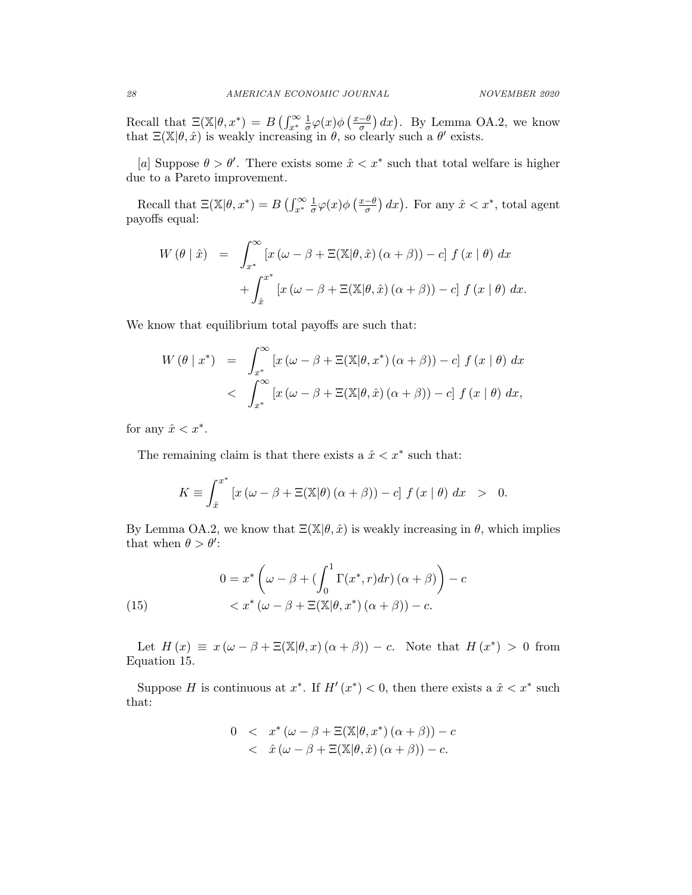Recall that  $\Xi(\mathbb{X}|\theta, x^*) = B\left(\int_{x^*}^{\infty} \frac{1}{\sigma}\right)$  $\frac{1}{\sigma}\varphi(x) \phi\left(\frac{x-\theta}{\sigma}\right)$  $\left(\frac{-\theta}{\sigma}\right)dx$ ). By Lemma OA.2, we know that  $\Xi(\mathbb{X}|\theta,\hat{x})$  is weakly increasing in  $\theta$ , so clearly such a  $\theta'$  exists.

[a] Suppose  $\theta > \theta'$ . There exists some  $\hat{x} < x^*$  such that total welfare is higher due to a Pareto improvement.

Recall that  $\Xi(\mathbb{X}|\theta, x^*) = B\left(\int_{x^*}^{\infty} \frac{1}{\sigma}\right)$  $\frac{1}{\sigma}\varphi(x)\phi\left(\frac{x-\theta}{\sigma}\right)$  $\frac{(-\theta)}{\sigma}$  dx). For any  $\hat{x} < x^*$ , total agent payoffs equal:

$$
W(\theta | \hat{x}) = \int_{x^*}^{\infty} [x (\omega - \beta + \Xi(\mathbb{X}|\theta, \hat{x}) (\alpha + \beta)) - c] f(x | \theta) dx
$$

$$
+ \int_{\hat{x}}^{x^*} [x (\omega - \beta + \Xi(\mathbb{X}|\theta, \hat{x}) (\alpha + \beta)) - c] f(x | \theta) dx.
$$

We know that equilibrium total payoffs are such that:

$$
W(\theta \mid x^*) = \int_{x^*}^{\infty} \left[ x(\omega - \beta + \Xi(\mathbb{X}|\theta, x^*)(\alpha + \beta)) - c \right] f(x \mid \theta) dx
$$
  
< 
$$
\int_{x^*}^{\infty} \left[ x(\omega - \beta + \Xi(\mathbb{X}|\theta, \hat{x})(\alpha + \beta)) - c \right] f(x \mid \theta) dx,
$$

for any  $\hat{x} < x^*$ .

The remaining claim is that there exists a  $\hat{x} < x^*$  such that:

$$
K \equiv \int_{\hat{x}}^{x^*} \left[ x \left( \omega - \beta + \Xi(\mathbb{X}|\theta) \left( \alpha + \beta \right) \right) - c \right] f \left( x \mid \theta \right) dx > 0.
$$

By Lemma OA.2, we know that  $E(X|\theta, \hat{x})$  is weakly increasing in  $\theta$ , which implies that when  $\theta > \theta'$ :

(15) 
$$
0 = x^* \left( \omega - \beta + \left( \int_0^1 \Gamma(x^*, r) dr \right) (\alpha + \beta) \right) - c
$$

$$
< x^* \left( \omega - \beta + \Xi(\mathbb{X}|\theta, x^*) \left( \alpha + \beta \right) \right) - c.
$$

Let  $H(x) \equiv x (\omega - \beta + \Xi(\mathbb{X}|\theta, x) (\alpha + \beta)) - c$ . Note that  $H(x^*) > 0$  from Equation 15.

Suppose H is continuous at  $x^*$ . If  $H'(x^*) < 0$ , then there exists a  $\hat{x} < x^*$  such that:

$$
0 < x^* (\omega - \beta + \Xi(\mathbb{X}|\theta, x^*) (\alpha + \beta)) - c
$$
  

$$
< \hat{x} (\omega - \beta + \Xi(\mathbb{X}|\theta, \hat{x}) (\alpha + \beta)) - c.
$$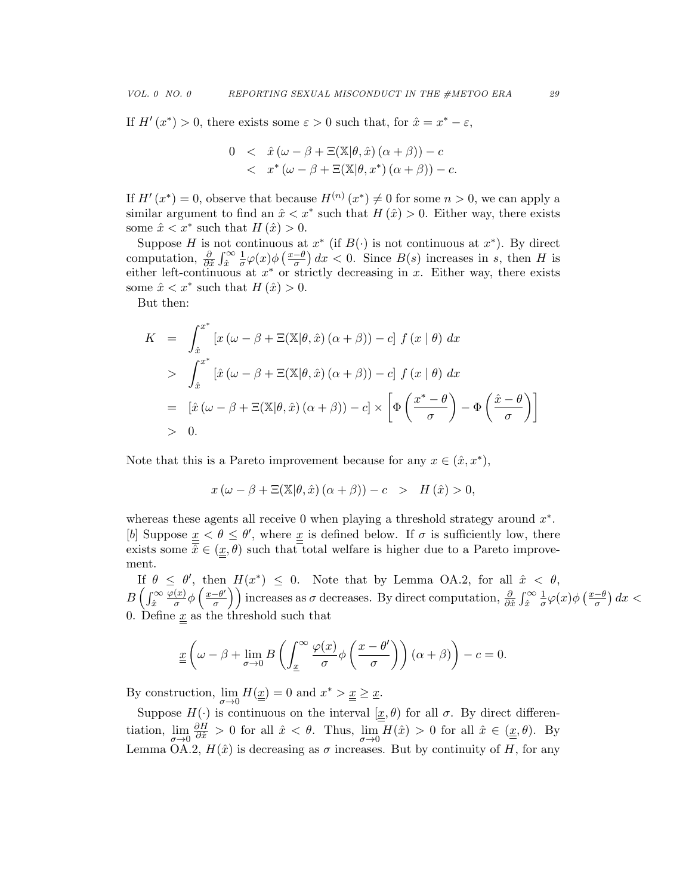If  $H'(x^*) > 0$ , there exists some  $\varepsilon > 0$  such that, for  $\hat{x} = x^* - \varepsilon$ ,

$$
0 < \hat{x} (\omega - \beta + \Xi(\mathbb{X}|\theta, \hat{x}) (\alpha + \beta)) - c
$$
  
< 
$$
x^* (\omega - \beta + \Xi(\mathbb{X}|\theta, x^*) (\alpha + \beta)) - c.
$$

If  $H'(x^*) = 0$ , observe that because  $H^{(n)}(x^*) \neq 0$  for some  $n > 0$ , we can apply a similar argument to find an  $\hat{x} < x^*$  such that  $H(\hat{x}) > 0$ . Either way, there exists some  $\hat{x} < x^*$  such that  $H(\hat{x}) > 0$ .

Suppose H is not continuous at  $x^*$  (if  $B(\cdot)$  is not continuous at  $x^*$ ). By direct computation,  $\frac{\partial}{\partial \hat{x}} \int_{\hat{x}}^{\infty}$ 1  $\frac{1}{\sigma}\varphi(x)\phi\left(\frac{x-\theta}{\sigma}\right)$  $\frac{-\theta}{\sigma}$  dx < 0. Since  $B(s)$  increases in s, then H is either left-continuous at  $x^*$  or strictly decreasing in x. Either way, there exists some  $\hat{x} < x^*$  such that  $H(\hat{x}) > 0$ .

But then:

$$
K = \int_{\hat{x}}^{x^*} \left[ x (\omega - \beta + \Xi(\mathbb{X}|\theta, \hat{x}) (\alpha + \beta)) - c \right] f(x | \theta) dx
$$
  
> 
$$
\int_{\hat{x}}^{x^*} \left[ \hat{x} (\omega - \beta + \Xi(\mathbb{X}|\theta, \hat{x}) (\alpha + \beta)) - c \right] f(x | \theta) dx
$$
  
= 
$$
\left[ \hat{x} (\omega - \beta + \Xi(\mathbb{X}|\theta, \hat{x}) (\alpha + \beta)) - c \right] \times \left[ \Phi \left( \frac{x^* - \theta}{\sigma} \right) - \Phi \left( \frac{\hat{x} - \theta}{\sigma} \right) \right]
$$
  
> 0.

Note that this is a Pareto improvement because for any  $x \in (\hat{x}, x^*)$ ,

$$
x(\omega - \beta + \Xi(\mathbb{X}|\theta, \hat{x}) (\alpha + \beta)) - c > H(\hat{x}) > 0,
$$

whereas these agents all receive  $0$  when playing a threshold strategy around  $x^*$ . [b] Suppose  $\underline{x} < \theta \leq \theta'$ , where  $\underline{x}$  is defined below. If  $\sigma$  is sufficiently low, there exists some  $\hat{x} \in (\underline{x}, \theta)$  such that total welfare is higher due to a Pareto improvement.

If  $\theta \leq \theta'$ , then  $H(x^*) \leq 0$ . Note that by Lemma OA.2, for all  $\hat{x} < \theta$ ,  $B\left(\int_{\hat{x}}^{\infty}$  $\varphi(x)$  $\frac{(x)}{σ}$ φ  $\left(\frac{x-\theta'}{σ}\right)$  $\left(\frac{-\theta'}{\sigma}\right)$  increases as  $\sigma$  decreases. By direct computation,  $\frac{\partial}{\partial \hat{x}} \int_{\hat{x}}^{\infty}$ 1  $\frac{1}{\sigma}\varphi(x)\phi\left(\frac{x-\theta}{\sigma}\right)$  $\frac{-\theta}{\sigma}$ ) dx < 0. Define  $\underline{x}$  as the threshold such that

$$
\underline{x}\left(\omega-\beta+\lim_{\sigma\to 0}B\left(\int_{\underline{x}}^{\infty}\frac{\varphi(x)}{\sigma}\phi\left(\frac{x-\theta'}{\sigma}\right)\right)(\alpha+\beta)\right)-c=0.
$$

By construction,  $\lim_{\sigma \to 0} H(\underline{x}) = 0$  and  $x^* > \underline{x} \geq \underline{x}$ .

Suppose  $H(\cdot)$  is continuous on the interval  $[\underline{x}, \theta)$  for all  $\sigma$ . By direct differentiation,  $\lim_{\sigma \to 0}$  $\frac{\partial H}{\partial \hat{x}} > 0$  for all  $\hat{x} < \theta$ . Thus,  $\lim_{\sigma \to 0} H(\hat{x}) > 0$  for all  $\hat{x} \in (\underline{x}, \theta)$ . By Lemma OA.2,  $H(\hat{x})$  is decreasing as  $\sigma$  increases. But by continuity of H, for any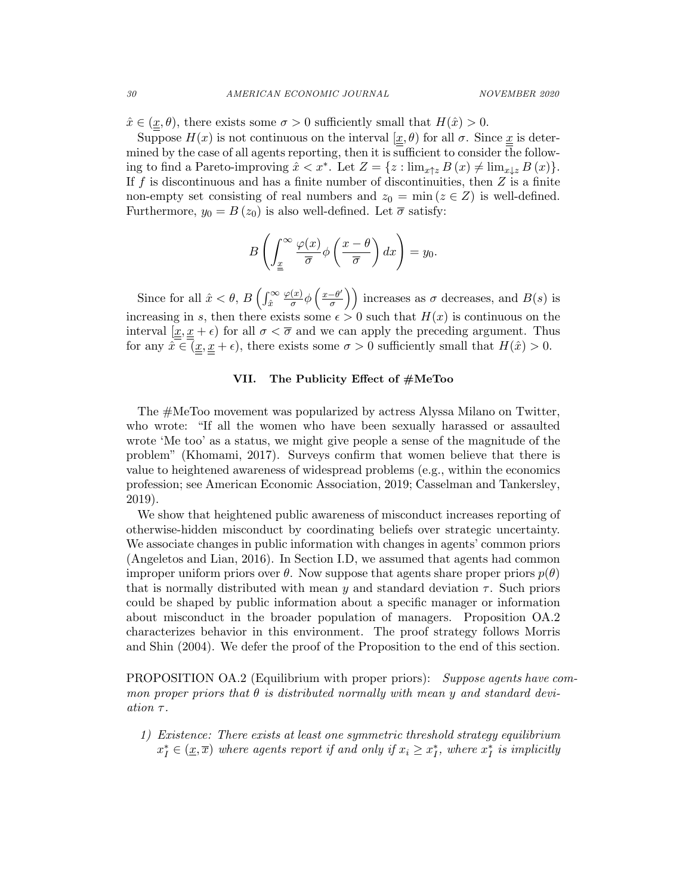$\hat{x} \in (\underline{x}, \theta)$ , there exists some  $\sigma > 0$  sufficiently small that  $H(\hat{x}) > 0$ .

Suppose  $H(x)$  is not continuous on the interval  $[\underline{x}, \theta)$  for all  $\sigma$ . Since  $\underline{x}$  is determined by the case of all agents reporting, then it is sufficient to consider the following to find a Pareto-improving  $\hat{x} < x^*$ . Let  $Z = \{z : \lim_{x \uparrow z} B(x) \neq \lim_{x \downarrow z} B(x)\}.$ If f is discontinuous and has a finite number of discontinuities, then  $Z$  is a finite non-empty set consisting of real numbers and  $z_0 = \min(z \in Z)$  is well-defined. Furthermore,  $y_0 = B(z_0)$  is also well-defined. Let  $\bar{\sigma}$  satisfy:

$$
B\left(\int_{\underline{x}}^{\infty} \frac{\varphi(x)}{\overline{\sigma}} \phi\left(\frac{x-\theta}{\overline{\sigma}}\right) dx\right) = y_0.
$$

Since for all  $\hat{x} < \theta$ ,  $B\left(\int_{\hat{x}}^{\infty}$  $\varphi(x)$  $\frac{(x)}{σ}$ φ  $\left(\frac{x-\theta'}{σ}\right)$  $\left(\frac{-\theta'}{\sigma}\right)$  increases as  $\sigma$  decreases, and  $B(s)$  is increasing in s, then there exists some  $\epsilon > 0$  such that  $H(x)$  is continuous on the interval  $[x, \underline{x} + \epsilon)$  for all  $\sigma < \overline{\sigma}$  and we can apply the preceding argument. Thus for any  $\hat{x} \in (\underline{x}, \underline{x} + \epsilon)$ , there exists some  $\sigma > 0$  sufficiently small that  $H(\hat{x}) > 0$ .

#### VII. The Publicity Effect of #MeToo

The #MeToo movement was popularized by actress Alyssa Milano on Twitter, who wrote: "If all the women who have been sexually harassed or assaulted wrote 'Me too' as a status, we might give people a sense of the magnitude of the problem" (Khomami, 2017). Surveys confirm that women believe that there is value to heightened awareness of widespread problems (e.g., within the economics profession; see American Economic Association, 2019; Casselman and Tankersley, 2019).

We show that heightened public awareness of misconduct increases reporting of otherwise-hidden misconduct by coordinating beliefs over strategic uncertainty. We associate changes in public information with changes in agents' common priors (Angeletos and Lian, 2016). In Section I.D, we assumed that agents had common improper uniform priors over  $\theta$ . Now suppose that agents share proper priors  $p(\theta)$ that is normally distributed with mean y and standard deviation  $\tau$ . Such priors could be shaped by public information about a specific manager or information about misconduct in the broader population of managers. Proposition OA.2 characterizes behavior in this environment. The proof strategy follows Morris and Shin (2004). We defer the proof of the Proposition to the end of this section.

PROPOSITION OA.2 (Equilibrium with proper priors): Suppose agents have common proper priors that  $\theta$  is distributed normally with mean y and standard deviation τ.

1) Existence: There exists at least one symmetric threshold strategy equilibrium  $x_I^* \in (\underline{x}, \overline{x})$  where agents report if and only if  $x_i \geq x_I^*$ , where  $x_I^*$  is implicitly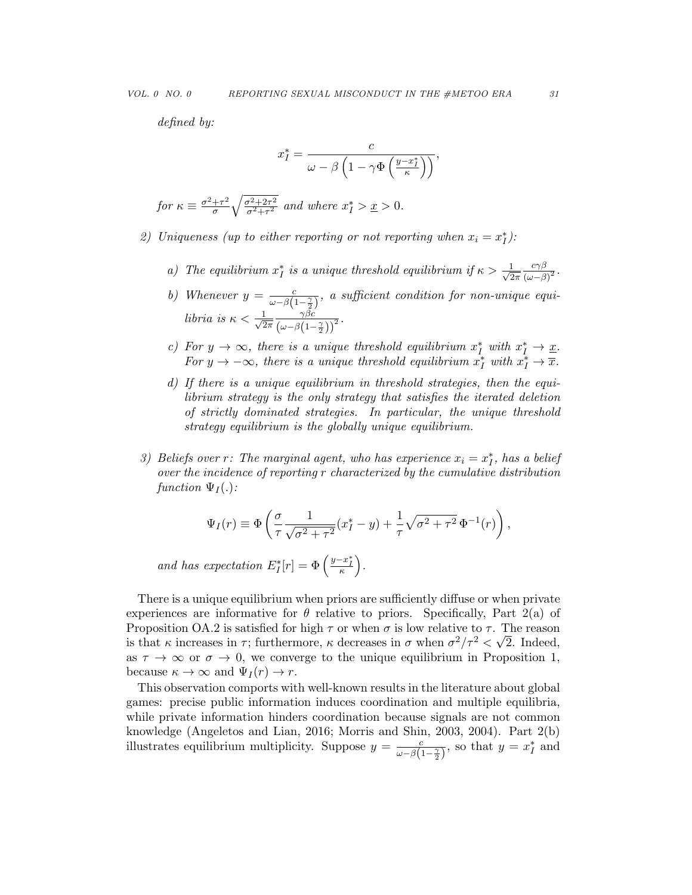defined by:

$$
x_I^* = \frac{c}{\omega - \beta \left(1 - \gamma \Phi \left(\frac{y - x_I^*}{\kappa}\right)\right)},
$$

for 
$$
\kappa \equiv \frac{\sigma^2 + \tau^2}{\sigma} \sqrt{\frac{\sigma^2 + 2\tau^2}{\sigma^2 + \tau^2}}
$$
 and where  $x_I^* > \underline{x} > 0$ .

- 2) Uniqueness (up to either reporting or not reporting when  $x_i = x_i^*$ ):
	- a) The equilibrium  $x_I^*$  is a unique threshold equilibrium if  $\kappa > \frac{1}{\sqrt{2}}$  $2\pi$  $c\gamma\beta$  $\frac{c\gamma\beta}{\left(\omega-\beta\right)^{2}}$  .
	- b) Whenever  $y = \frac{c}{\sqrt{c}}$  $\frac{c}{\omega - \beta \left(1 - \frac{\gamma}{2}\right)}$ , a sufficient condition for non-unique equilibria is  $\kappa < \frac{1}{\sqrt{2}}$  $2\pi$  $\gamma \beta c$  $\frac{\gamma \beta c}{\left(\omega-\beta\left(1-\frac{\gamma}{2}\right)\right)^2}$ .
	- c) For  $y \to \infty$ , there is a unique threshold equilibrium  $x_I^*$  with  $x_I^* \to \underline{x}$ . For  $y \to -\infty$ , there is a unique threshold equilibrium  $x_I^*$  with  $x_I^* \to \overline{x}$ .
	- d) If there is a unique equilibrium in threshold strategies, then the equilibrium strategy is the only strategy that satisfies the iterated deletion of strictly dominated strategies. In particular, the unique threshold strategy equilibrium is the globally unique equilibrium.
- 3) Beliefs over r: The marginal agent, who has experience  $x_i = x_i^*$ , has a belief over the incidence of reporting r characterized by the cumulative distribution function  $\Psi_I(.)$ :

$$
\Psi_I(r) \equiv \Phi\left(\frac{\sigma}{\tau} \frac{1}{\sqrt{\sigma^2 + \tau^2}} (x_I^* - y) + \frac{1}{\tau} \sqrt{\sigma^2 + \tau^2} \Phi^{-1}(r)\right),\,
$$

and has expectation  $E_I^*[r] = \Phi\left(\frac{y - x_I^*}{\kappa}\right)$ .

There is a unique equilibrium when priors are sufficiently diffuse or when private experiences are informative for  $\theta$  relative to priors. Specifically, Part 2(a) of Proposition OA.2 is satisfied for high  $\tau$  or when  $\sigma$  is low relative to  $\tau$ . The reason is that  $\kappa$  increases in  $\tau$ ; furthermore,  $\kappa$  decreases in  $\sigma$  when  $\sigma^2/\tau^2 < \sqrt{2}$ . Indeed, as  $\tau \to \infty$  or  $\sigma \to 0$ , we converge to the unique equilibrium in Proposition 1, because  $\kappa \to \infty$  and  $\Psi_I(r) \to r$ .

This observation comports with well-known results in the literature about global games: precise public information induces coordination and multiple equilibria, while private information hinders coordination because signals are not common knowledge (Angeletos and Lian, 2016; Morris and Shin, 2003, 2004). Part 2(b) illustrates equilibrium multiplicity. Suppose  $y = \frac{c}{\sqrt{a}}$  $\frac{c}{\omega - \beta(1-\frac{\gamma}{2})}$ , so that  $y = x_I^*$  and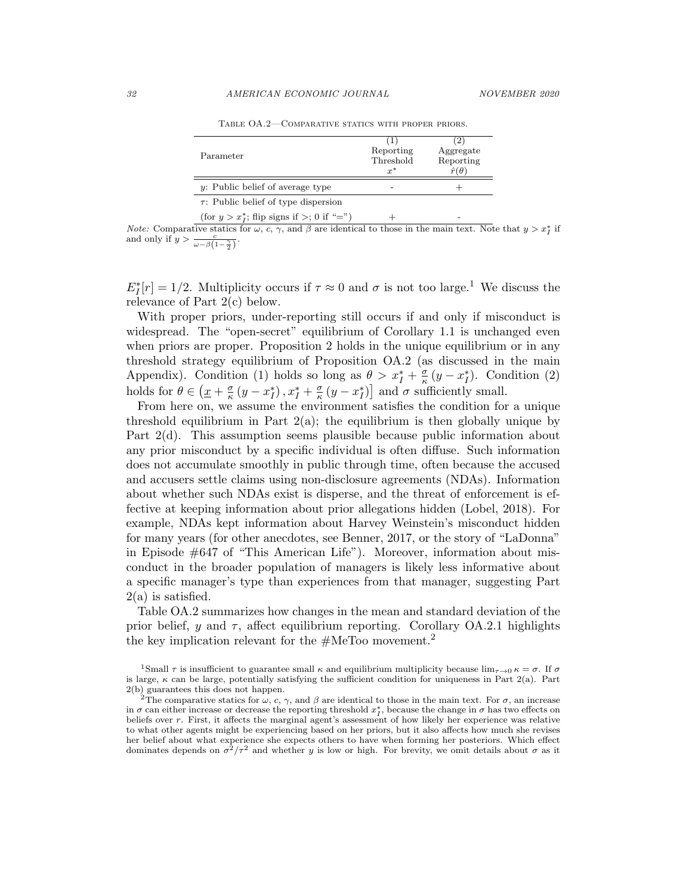| Parameter                                     | Reporting<br>Threshold<br>$x^*$ | 2<br>Aggregate<br>Reporting<br>$\hat{r}(\theta)$ |
|-----------------------------------------------|---------------------------------|--------------------------------------------------|
| y: Public belief of average type              |                                 |                                                  |
| $\tau$ : Public belief of type dispersion     |                                 |                                                  |
| (for $y > x_i^*$ ; flip signs if >; 0 if "=") |                                 |                                                  |

Table OA.2—Comparative statics with proper priors.

*Note:* Comparative statics for  $\omega$ ,  $c$ ,  $\gamma$ , and  $\beta$  are identical to those in the main text. Note that  $y > x_I^*$  if and only if  $y > \frac{c}{\omega - \beta(1 - \frac{\gamma}{2})}$ .

 $E_I^*[r] = 1/2$ . Multiplicity occurs if  $\tau \approx 0$  and  $\sigma$  is not too large.<sup>1</sup> We discuss the relevance of Part 2(c) below.

With proper priors, under-reporting still occurs if and only if misconduct is widespread. The "open-secret" equilibrium of Corollary 1.1 is unchanged even when priors are proper. Proposition 2 holds in the unique equilibrium or in any threshold strategy equilibrium of Proposition OA.2 (as discussed in the main Appendix). Condition (1) holds so long as  $\theta > x_I^* + \frac{\sigma}{\kappa}$  $\frac{\sigma}{\kappa}$  (y –  $x_I^*$ ). Condition (2) holds for  $\theta \in (\underline{x} + \frac{\sigma}{\kappa})$  $\frac{\sigma}{\kappa}(y-x_I^*), x_I^*+\frac{\sigma}{\kappa}$  $\frac{\sigma}{\kappa} (y - x_I^*)$  and  $\sigma$  sufficiently small.

From here on, we assume the environment satisfies the condition for a unique threshold equilibrium in Part  $2(a)$ ; the equilibrium is then globally unique by Part  $2(d)$ . This assumption seems plausible because public information about any prior misconduct by a specific individual is often diffuse. Such information does not accumulate smoothly in public through time, often because the accused and accusers settle claims using non-disclosure agreements (NDAs). Information about whether such NDAs exist is disperse, and the threat of enforcement is effective at keeping information about prior allegations hidden (Lobel, 2018). For example, NDAs kept information about Harvey Weinstein's misconduct hidden for many years (for other anecdotes, see Benner, 2017, or the story of "LaDonna" in Episode #647 of "This American Life"). Moreover, information about misconduct in the broader population of managers is likely less informative about a specific manager's type than experiences from that manager, suggesting Part  $2(a)$  is satisfied.

Table OA.2 summarizes how changes in the mean and standard deviation of the prior belief, y and  $\tau$ , affect equilibrium reporting. Corollary OA.2.1 highlights the key implication relevant for the  $#MeToo$  movement.<sup>2</sup>

<sup>&</sup>lt;sup>1</sup>Small  $\tau$  is insufficient to guarantee small  $\kappa$  and equilibrium multiplicity because  $\lim_{\tau\to 0} \kappa = \sigma$ . If  $\sigma$ is large,  $\kappa$  can be large, potentially satisfying the sufficient condition for uniqueness in Part 2(a). Part 2(b) guarantees this does not happen.

<sup>&</sup>lt;sup>2</sup>The comparative statics for  $\omega$ , c,  $\gamma$ , and  $\beta$  are identical to those in the main text. For  $\sigma$ , an increase in  $\sigma$  can either increase or decrease the reporting threshold  $x_I^*$ , because the change in  $\sigma$  has two effects on beliefs over r. First, it affects the marginal agent's assessment of how likely her experience was relative to what other agents might be experiencing based on her priors, but it also affects how much she revises her belief about what experience she expects others to have when forming her posteriors. Which effect dominates depends on  $\sigma^2/\tau^2$  and whether y is low or high. For brevity, we omit details about  $\sigma$  as it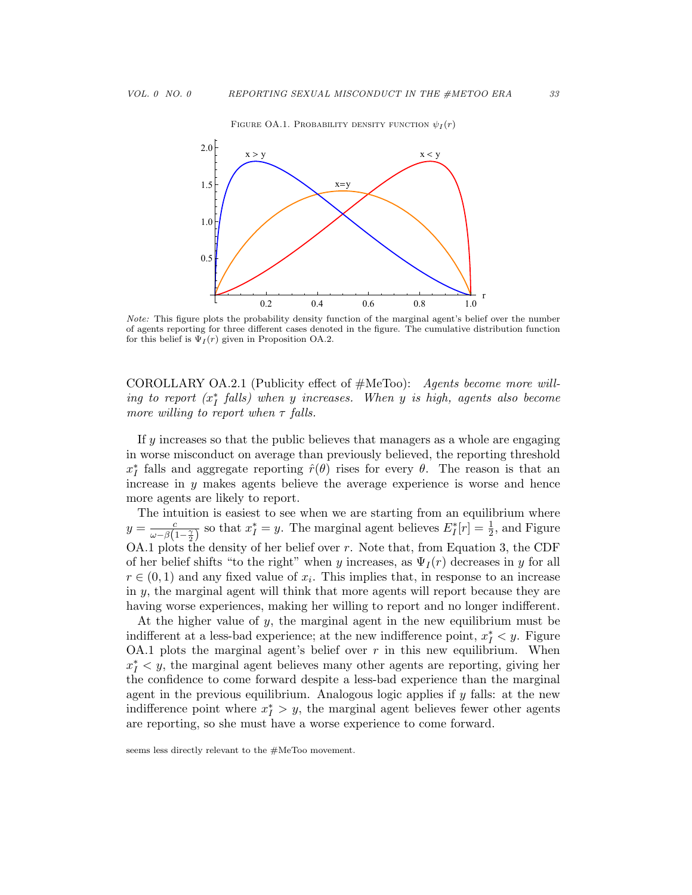#### FIGURE OA.1. PROBABILITY DENSITY FUNCTION  $\psi_I(r)$



Note: This figure plots the probability density function of the marginal agent's belief over the number of agents reporting for three different cases denoted in the figure. The cumulative distribution function for this belief is  $\Psi_I(r)$  given in Proposition OA.2.

COROLLARY OA.2.1 (Publicity effect of  $#MeTwo$ ): Agents become more willing to report  $(x_I^*$  falls) when y increases. When y is high, agents also become more willing to report when  $\tau$  falls.

If  $y$  increases so that the public believes that managers as a whole are engaging in worse misconduct on average than previously believed, the reporting threshold  $x_I^*$  falls and aggregate reporting  $\hat{r}(\theta)$  rises for every  $\theta$ . The reason is that an increase in  $y$  makes agents believe the average experience is worse and hence more agents are likely to report.

The intuition is easiest to see when we are starting from an equilibrium where  $y=\frac{c}{\sqrt{c}}$  $\frac{c}{\omega - \beta(1-\frac{\gamma}{2})}$  so that  $x_I^* = y$ . The marginal agent believes  $E_I^*[r] = \frac{1}{2}$ , and Figure OA.1 plots the density of her belief over r. Note that, from Equation 3, the CDF of her belief shifts "to the right" when y increases, as  $\Psi_I(r)$  decreases in y for all  $r \in (0,1)$  and any fixed value of  $x_i$ . This implies that, in response to an increase in y, the marginal agent will think that more agents will report because they are having worse experiences, making her willing to report and no longer indifferent.

At the higher value of  $y$ , the marginal agent in the new equilibrium must be indifferent at a less-bad experience; at the new indifference point,  $x_I^* < y$ . Figure OA.1 plots the marginal agent's belief over  $r$  in this new equilibrium. When  $x_I^*$  < y, the marginal agent believes many other agents are reporting, giving her the confidence to come forward despite a less-bad experience than the marginal agent in the previous equilibrium. Analogous logic applies if  $y$  falls: at the new indifference point where  $x_I^* > y$ , the marginal agent believes fewer other agents are reporting, so she must have a worse experience to come forward.

seems less directly relevant to the #MeToo movement.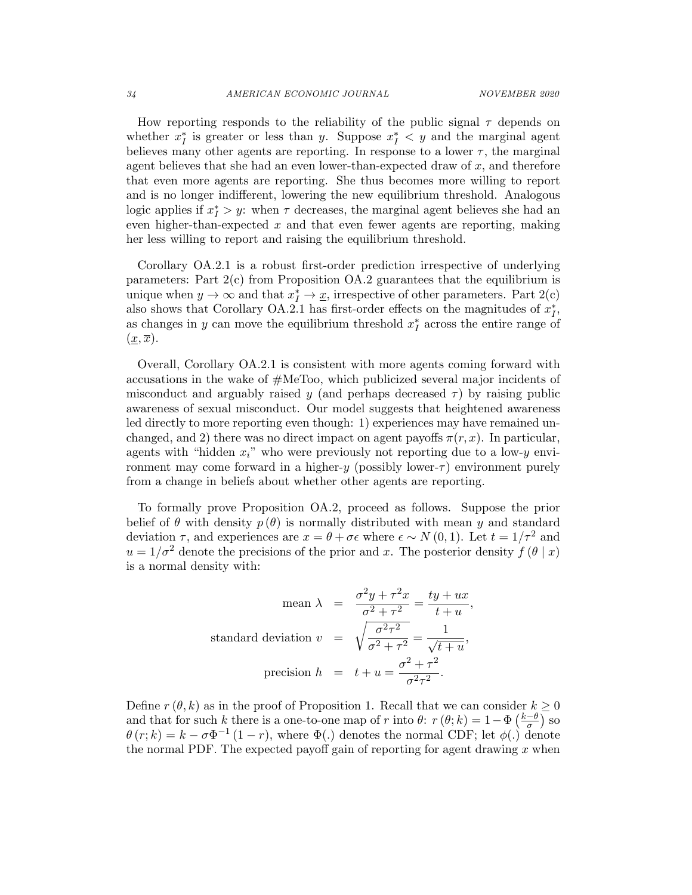How reporting responds to the reliability of the public signal  $\tau$  depends on whether  $x_I^*$  is greater or less than y. Suppose  $x_I^* < y$  and the marginal agent believes many other agents are reporting. In response to a lower  $\tau$ , the marginal agent believes that she had an even lower-than-expected draw of x, and therefore that even more agents are reporting. She thus becomes more willing to report and is no longer indifferent, lowering the new equilibrium threshold. Analogous logic applies if  $x_I^* > y$ : when  $\tau$  decreases, the marginal agent believes she had an even higher-than-expected  $x$  and that even fewer agents are reporting, making her less willing to report and raising the equilibrium threshold.

Corollary OA.2.1 is a robust first-order prediction irrespective of underlying parameters: Part  $2(c)$  from Proposition OA.2 guarantees that the equilibrium is unique when  $y \to \infty$  and that  $x_I^* \to \underline{x}$ , irrespective of other parameters. Part 2(c) also shows that Corollary OA.2.1 has first-order effects on the magnitudes of  $x_I^*$ , as changes in y can move the equilibrium threshold  $x_I^*$  across the entire range of  $(\underline{x}, \overline{x})$ .

Overall, Corollary OA.2.1 is consistent with more agents coming forward with accusations in the wake of #MeToo, which publicized several major incidents of misconduct and arguably raised y (and perhaps decreased  $\tau$ ) by raising public awareness of sexual misconduct. Our model suggests that heightened awareness led directly to more reporting even though: 1) experiences may have remained unchanged, and 2) there was no direct impact on agent payoffs  $\pi(r, x)$ . In particular, agents with "hidden  $x_i$ " who were previously not reporting due to a low-y environment may come forward in a higher-y (possibly lower- $\tau$ ) environment purely from a change in beliefs about whether other agents are reporting.

To formally prove Proposition OA.2, proceed as follows. Suppose the prior belief of  $\theta$  with density  $p(\theta)$  is normally distributed with mean y and standard deviation  $\tau$ , and experiences are  $x = \theta + \sigma \epsilon$  where  $\epsilon \sim N(0, 1)$ . Let  $t = 1/\tau^2$  and  $u = 1/\sigma^2$  denote the precisions of the prior and x. The posterior density  $f(\theta | x)$ is a normal density with:

$$
\text{mean } \lambda = \frac{\sigma^2 y + \tau^2 x}{\sigma^2 + \tau^2} = \frac{ty + ux}{t + u},
$$
\n
$$
\text{standard deviation } v = \sqrt{\frac{\sigma^2 \tau^2}{\sigma^2 + \tau^2}} = \frac{1}{\sqrt{t + u}},
$$
\n
$$
\text{precision } h = t + u = \frac{\sigma^2 + \tau^2}{\sigma^2 \tau^2}.
$$

Define  $r(\theta, k)$  as in the proof of Proposition 1. Recall that we can consider  $k \geq 0$ and that for such k there is a one-to-one map of r into  $\theta$ :  $r(\theta; k) = 1 - \Phi\left(\frac{k-\theta}{\sigma}\right)$  $\frac{-\theta}{\sigma}$ ) so  $\theta(r;k) = k - \sigma \Phi^{-1} (1-r)$ , where  $\Phi(.)$  denotes the normal CDF; let  $\phi(.)$  denote the normal PDF. The expected payoff gain of reporting for agent drawing  $x$  when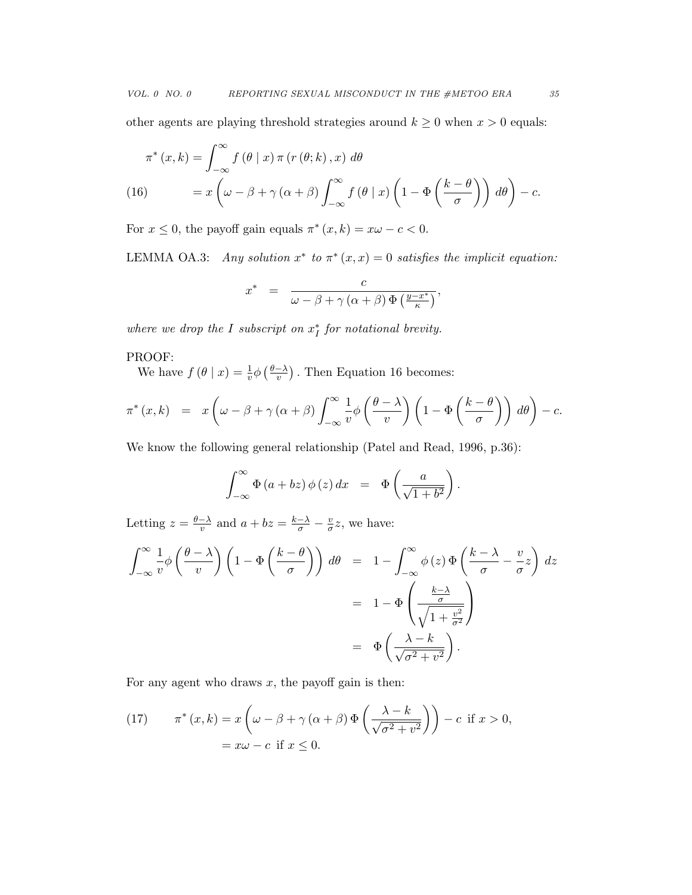other agents are playing threshold strategies around  $k\geq 0$  when  $x>0$  equals:

$$
\pi^*(x,k) = \int_{-\infty}^{\infty} f(\theta \mid x) \pi(r(\theta;k),x) d\theta
$$
  
(16) 
$$
= x \left(\omega - \beta + \gamma(\alpha+\beta) \int_{-\infty}^{\infty} f(\theta \mid x) \left(1 - \Phi\left(\frac{k-\theta}{\sigma}\right)\right) d\theta\right) - c.
$$

For  $x \leq 0$ , the payoff gain equals  $\pi^*(x, k) = x\omega - c < 0$ .

LEMMA OA.3: Any solution  $x^*$  to  $\pi^*(x, x) = 0$  satisfies the implicit equation:

$$
x^* = \frac{c}{\omega - \beta + \gamma (\alpha + \beta) \Phi (\frac{y - x^*}{\kappa})},
$$

where we drop the I subscript on  $x_I^*$  for notational brevity.

## PROOF:

We have  $f(\theta | x) = \frac{1}{v} \phi\left(\frac{\theta - \lambda}{v}\right)$  $(\frac{-\lambda}{v})$ . Then Equation 16 becomes:

$$
\pi^*(x,k) = x \left( \omega - \beta + \gamma (\alpha + \beta) \int_{-\infty}^{\infty} \frac{1}{v} \phi \left( \frac{\theta - \lambda}{v} \right) \left( 1 - \Phi \left( \frac{k - \theta}{\sigma} \right) \right) d\theta \right) - c.
$$

We know the following general relationship (Patel and Read, 1996, p.36):

$$
\int_{-\infty}^{\infty} \Phi(a+bz) \phi(z) dx = \Phi\left(\frac{a}{\sqrt{1+b^2}}\right).
$$

Letting  $z = \frac{\theta - \lambda}{n}$  $\frac{-\lambda}{v}$  and  $a + bz = \frac{k-\lambda}{\sigma} - \frac{v}{\sigma}$  $\frac{v}{\sigma}z$ , we have:

$$
\int_{-\infty}^{\infty} \frac{1}{v} \phi\left(\frac{\theta - \lambda}{v}\right) \left(1 - \Phi\left(\frac{k - \theta}{\sigma}\right)\right) d\theta = 1 - \int_{-\infty}^{\infty} \phi(z) \Phi\left(\frac{k - \lambda}{\sigma} - \frac{v}{\sigma}z\right) dz
$$

$$
= 1 - \Phi\left(\frac{\frac{k - \lambda}{\sigma}}{\sqrt{1 + \frac{v^2}{\sigma^2}}}\right)
$$

$$
= \Phi\left(\frac{\lambda - k}{\sqrt{\sigma^2 + v^2}}\right).
$$

For any agent who draws  $x$ , the payoff gain is then:

(17) 
$$
\pi^*(x,k) = x \left( \omega - \beta + \gamma (\alpha + \beta) \Phi \left( \frac{\lambda - k}{\sqrt{\sigma^2 + v^2}} \right) \right) - c \text{ if } x > 0,
$$

$$
= x\omega - c \text{ if } x \le 0.
$$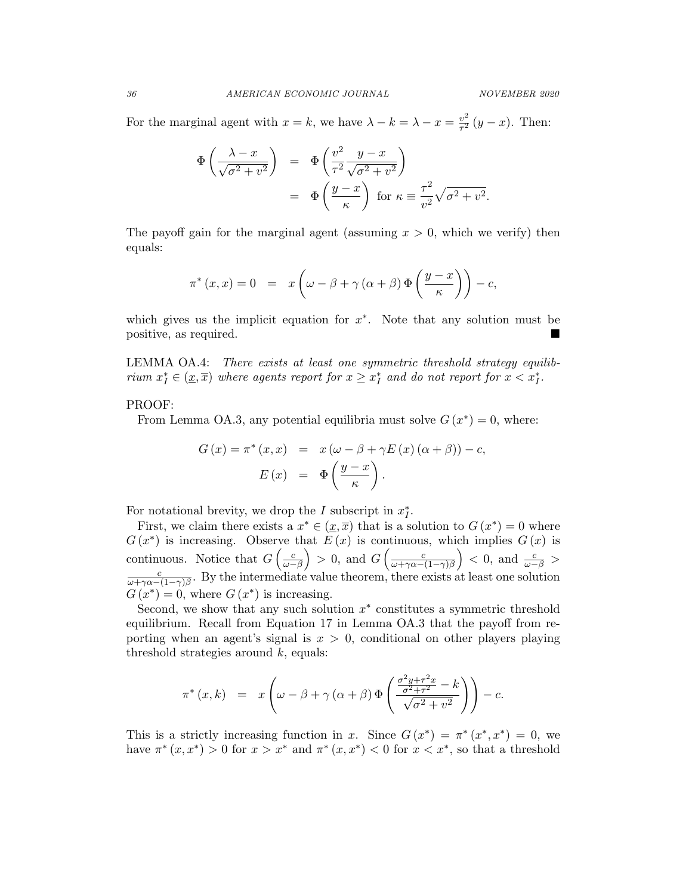For the marginal agent with  $x = k$ , we have  $\lambda - k = \lambda - x = \frac{v^2}{\tau^2}$  $\frac{v^2}{\tau^2}(y-x)$ . Then:

$$
\Phi\left(\frac{\lambda - x}{\sqrt{\sigma^2 + v^2}}\right) = \Phi\left(\frac{v^2}{\tau^2} \frac{y - x}{\sqrt{\sigma^2 + v^2}}\right)
$$

$$
= \Phi\left(\frac{y - x}{\kappa}\right) \text{ for } \kappa \equiv \frac{\tau^2}{v^2} \sqrt{\sigma^2 + v^2}.
$$

The payoff gain for the marginal agent (assuming  $x > 0$ , which we verify) then equals:

$$
\pi^*(x, x) = 0 = x \left( \omega - \beta + \gamma (\alpha + \beta) \Phi \left( \frac{y - x}{\kappa} \right) \right) - c,
$$

which gives us the implicit equation for  $x^*$ . Note that any solution must be positive, as required.

LEMMA OA.4: There exists at least one symmetric threshold strategy equilibrium  $x_I^* \in (\underline{x}, \overline{x})$  where agents report for  $x \geq x_I^*$  and do not report for  $x < x_I^*$ .

## PROOF:

From Lemma OA.3, any potential equilibria must solve  $G(x^*) = 0$ , where:

$$
G(x) = \pi^* (x, x) = x (\omega - \beta + \gamma E(x) (\alpha + \beta)) - c,
$$
  

$$
E(x) = \Phi\left(\frac{y - x}{\kappa}\right).
$$

For notational brevity, we drop the I subscript in  $x_I^*$ .

First, we claim there exists a  $x^* \in (\underline{x}, \overline{x})$  that is a solution to  $G(x^*) = 0$  where  $G(x^*)$  is increasing. Observe that  $E(x)$  is continuous, which implies  $G(x)$  is continuous. Notice that  $G\left(\frac{c}{\omega-\beta}\right) > 0$ , and  $G\left(\frac{c}{\omega+\gamma\alpha-\beta}\right)$ s uous. Notice that  $G\left(\frac{c}{\omega-\beta}\right) > 0$ , and  $G\left(\frac{c}{\omega+\gamma\alpha-(1-\gamma)\beta}\right) < 0$ , and  $\frac{c}{\omega-\beta} >$ <br>
∴ By the intermediate value theorem, there exists at least one solution  $\frac{c}{\omega + \gamma \alpha - (1-\gamma)\beta}$ . By the intermediate value theorem, there exists at least one solution  $G(x^*) = 0$ , where  $G(x^*)$  is increasing.

Second, we show that any such solution  $x^*$  constitutes a symmetric threshold equilibrium. Recall from Equation 17 in Lemma OA.3 that the payoff from reporting when an agent's signal is  $x > 0$ , conditional on other players playing threshold strategies around  $k$ , equals:

$$
\pi^*(x,k) = x \left( \omega - \beta + \gamma (\alpha + \beta) \Phi \left( \frac{\frac{\sigma^2 y + \tau^2 x}{\sigma^2 + \tau^2} - k}{\sqrt{\sigma^2 + v^2}} \right) \right) - c.
$$

This is a strictly increasing function in x. Since  $G(x^*) = \pi^*(x^*, x^*) = 0$ , we have  $\pi^*(x, x^*) > 0$  for  $x > x^*$  and  $\pi^*(x, x^*) < 0$  for  $x < x^*$ , so that a threshold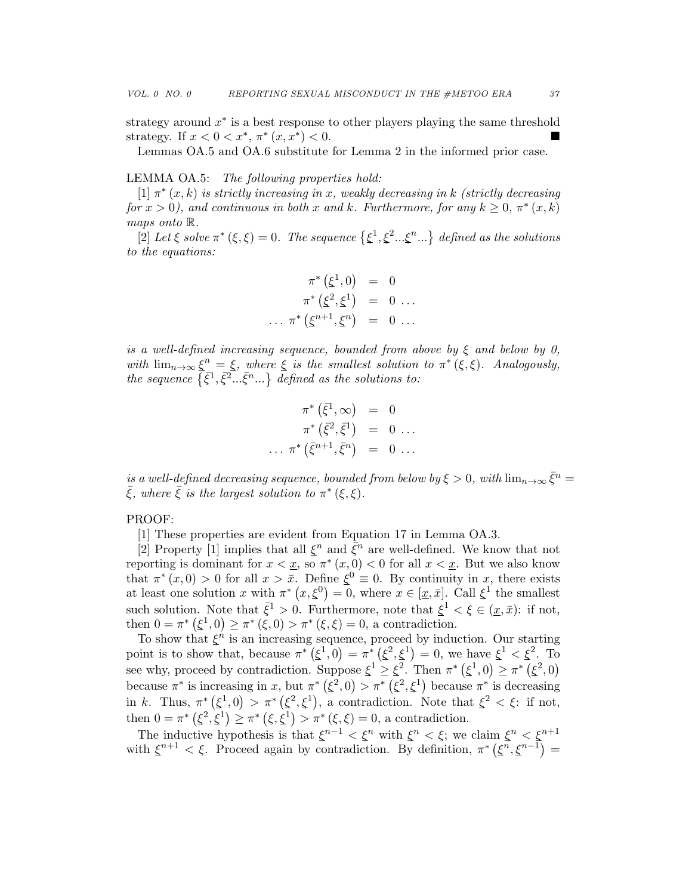strategy around  $x^*$  is a best response to other players playing the same threshold strategy. If  $x < 0 < x^*$ ,  $\pi^* (x, x^*)$  $)< 0.$ 

Lemmas OA.5 and OA.6 substitute for Lemma 2 in the informed prior case.

#### LEMMA OA.5: The following properties hold:

[1]  $\pi^*(x, k)$  is strictly increasing in x, weakly decreasing in k (strictly decreasing for  $x > 0$ ), and continuous in both x and k. Furthermore, for any  $k \geq 0$ ,  $\pi^*(x, k)$ maps onto R.

[2] Let  $\xi$  solve  $\pi^*(\xi,\xi) = 0$ . The sequence  $\{\xi^1,\xi^2...\xi^n...\}$  defined as the solutions to the equations:

$$
\pi^* \left( \xi^1, 0 \right) = 0 \n\pi^* \left( \xi^2, \xi^1 \right) = 0 \dots \n\dots \pi^* \left( \xi^{n+1}, \xi^n \right) = 0 \dots
$$

is a well-defined increasing sequence, bounded from above by  $\xi$  and below by 0, with  $\lim_{n\to\infty} \xi^n = \xi$ , where  $\xi$  is the smallest solution to  $\pi^*(\xi,\xi)$ . Analogously, the sequence  $\{\bar{\xi}^1,\bar{\xi}^2...\bar{\xi}^n...\}$  defined as the solutions to:

$$
\pi^* \left( \bar{\xi}^1, \infty \right) = 0
$$
  

$$
\pi^* \left( \bar{\xi}^2, \bar{\xi}^1 \right) = 0 \dots
$$
  

$$
\dots \pi^* \left( \bar{\xi}^{n+1}, \bar{\xi}^n \right) = 0 \dots
$$

is a well-defined decreasing sequence, bounded from below by  $\xi > 0$ , with  $\lim_{n\to\infty} \bar{\xi}^n = 0$  $\bar{\xi}$ , where  $\bar{\xi}$  is the largest solution to  $\pi^*(\xi,\xi)$ .

#### PROOF:

[1] These properties are evident from Equation 17 in Lemma OA.3.

[2] Property [1] implies that all  $\xi^n$  and  $\bar{\xi}^n$  are well-defined. We know that not reporting is dominant for  $x < x$ , so  $\pi^*(x, 0) < 0$  for all  $x < x$ . But we also know that  $\pi^*(x,0) > 0$  for all  $x > \bar{x}$ . Define  $\xi^0 \equiv 0$ . By continuity in x, there exists at least one solution x with  $\pi^*(x,\xi^0)=0$ , where  $x \in [\underline{x},\overline{x}]$ . Call  $\xi^1$  the smallest such solution. Note that  $\bar{\xi}^1 > 0$ . Furthermore, note that  $\xi^1 < \xi \in (\underline{x}, \bar{x})$ : if not, then  $0 = \pi^* (\xi^1, 0) \ge \pi^* (\xi, 0) > \pi^* (\xi, \xi) = 0$ , a contradiction.

To show that  $\xi^{\hat{n}}$  is an increasing sequence, proceed by induction. Our starting point is to show that, because  $\pi^* (\xi^1, 0) = \pi^* (\xi^2, \xi^1) = 0$ , we have  $\xi^1 < \xi^2$ . To see why, proceed by contradiction. Suppose  $\xi^1 \geq \xi^2$ . Then  $\pi^* (\xi^1, 0) \geq \pi^* (\xi^2, 0)$ because  $\pi^*$  is increasing in x, but  $\pi^*$  ( $\xi^2$ , 0)  $>\pi^*$  ( $\xi^2$ ,  $\xi^1$ ) because  $\pi^*$  is decreasing in k. Thus,  $\pi^* (\xi^1, 0) > \pi^* (\xi^2, \xi^1)$ , a contradiction. Note that  $\xi^2 < \xi$ : if not, then  $0 = \pi^* (\xi^2, \xi^1) \ge \pi^* (\xi, \xi^1) > \pi^* (\xi, \xi) = 0$ , a contradiction.

The inductive hypothesis is that  $\xi^{n-1} < \xi^n$  with  $\xi^n < \xi$ ; we claim  $\xi^n < \xi^{n+1}$ with  $\xi^{n+1} < \xi$ . Proceed again by contradiction. By definition,  $\pi^* (\xi^n, \xi^{n-1}) =$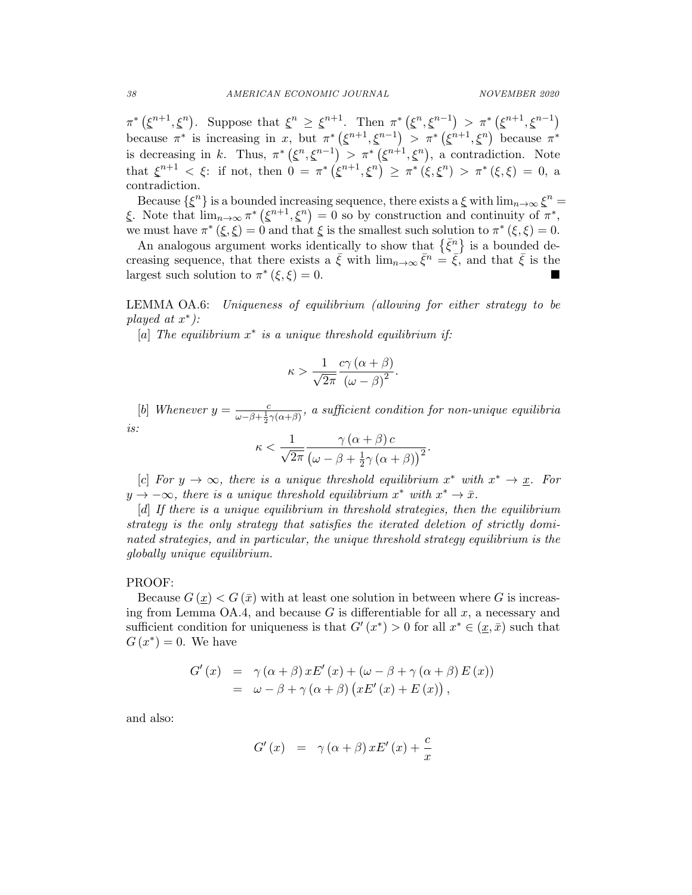$\pi^*\left(\xi^{n+1},\xi^n\right)$ . Suppose that  $\xi^n \geq \xi^{n+1}$ . Then  $\pi^*\left(\xi^n,\xi^{n-1}\right) > \pi^*\left(\xi^{n+1},\xi^{n-1}\right)$ because  $\pi^*$  is increasing in x, but  $\pi^* (\xi^{n+1}, \xi^{n-1}) > \pi^* (\xi^{n+1}, \xi^n)$  because  $\pi^*$ is decreasing in k. Thus,  $\pi^* (\xi^n, \xi^{n-1}) > \pi^* (\xi^{n+1}, \xi^n)$ , a contradiction. Note that  $\xi^{n+1} < \xi$ : if not, then  $0 = \pi^* (\xi^{n+1}, \xi^n) \geq \pi^* (\xi, \xi^n) > \pi^* (\xi, \xi) = 0$ , a contradiction.

Because  $\{\xi^n\}$  is a bounded increasing sequence, there exists a  $\xi$  with  $\lim_{n\to\infty}\xi^n =$  $\xi$ . Note that  $\lim_{n\to\infty} \pi^* (\xi^{n+1}, \xi^n) = 0$  so by construction and continuity of  $\pi^*$ , we must have  $\pi^*(\xi,\xi) = 0$  and that  $\xi$  is the smallest such solution to  $\pi^*(\xi,\xi) = 0$ .

An analogous argument works identically to show that  $\{\bar{\xi}^n\}$  is a bounded decreasing sequence, that there exists a  $\bar{\xi}$  with  $\lim_{n\to\infty} \bar{\xi}^n = \bar{\xi}$ , and that  $\bar{\xi}$  is the largest such solution to  $\pi^*(\xi, \xi) = 0$ .

LEMMA OA.6: Uniqueness of equilibrium (allowing for either strategy to be played at  $x^*$ ):

[a] The equilibrium  $x^*$  is a unique threshold equilibrium if:

$$
\kappa > \frac{1}{\sqrt{2\pi}} \frac{c\gamma(\alpha + \beta)}{\left(\omega - \beta\right)^2}.
$$

[b] Whenever  $y = \frac{c}{\omega - \beta + \frac{1}{2}\gamma(\alpha + \beta)}$ , a sufficient condition for non-unique equilibria is:

$$
\kappa < \frac{1}{\sqrt{2\pi}} \frac{\gamma(\alpha + \beta) c}{(\omega - \beta + \frac{1}{2}\gamma(\alpha + \beta))^2}
$$

.

[c] For  $y \to \infty$ , there is a unique threshold equilibrium  $x^*$  with  $x^* \to \underline{x}$ . For  $y \to -\infty$ , there is a unique threshold equilibrium  $x^*$  with  $x^* \to \bar{x}$ .

[d] If there is a unique equilibrium in threshold strategies, then the equilibrium strategy is the only strategy that satisfies the iterated deletion of strictly dominated strategies, and in particular, the unique threshold strategy equilibrium is the globally unique equilibrium.

#### PROOF:

Because  $G(x) < G(\bar{x})$  with at least one solution in between where G is increasing from Lemma OA.4, and because G is differentiable for all  $x$ , a necessary and sufficient condition for uniqueness is that  $G'(x^*) > 0$  for all  $x^* \in (\underline{x}, \overline{x})$  such that  $G(x^*)=0$ . We have

$$
G'(x) = \gamma (\alpha + \beta) x E'(x) + (\omega - \beta + \gamma (\alpha + \beta) E(x))
$$
  
=  $\omega - \beta + \gamma (\alpha + \beta) (x E'(x) + E(x)),$ 

and also:

$$
G'(x) = \gamma(\alpha + \beta) x E'(x) + \frac{c}{x}
$$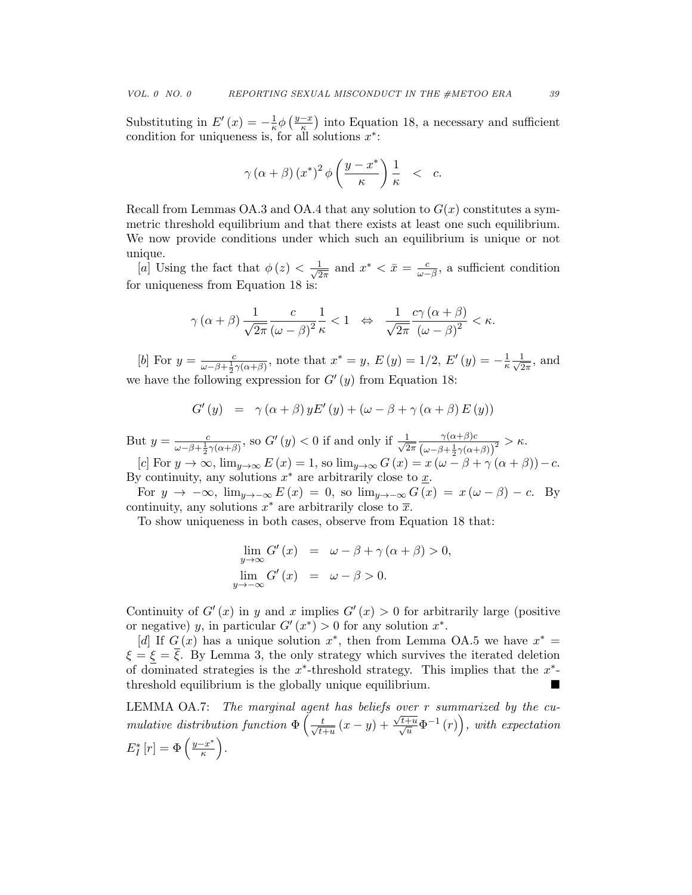Substituting in  $E'(x) = -\frac{1}{x}$  $rac{1}{\kappa} \phi \left( \frac{y-x}{\kappa} \right)$  $\frac{-x}{\kappa}$ ) into Equation 18, a necessary and sufficient condition for uniqueness is, for all solutions  $x^*$ :

$$
\gamma(\alpha+\beta)(x^*)^2\phi\left(\frac{y-x^*}{\kappa}\right)\frac{1}{\kappa} < c.
$$

Recall from Lemmas OA.3 and OA.4 that any solution to  $G(x)$  constitutes a symmetric threshold equilibrium and that there exists at least one such equilibrium. We now provide conditions under which such an equilibrium is unique or not unique.

[a] Using the fact that  $\phi(z) < \frac{1}{\sqrt{2}}$  $\frac{1}{2\pi}$  and  $x^* < \bar{x} = \frac{c}{\omega - \beta}$ , a sufficient condition for uniqueness from Equation 18 is:

$$
\gamma(\alpha+\beta)\frac{1}{\sqrt{2\pi}}\frac{c}{(\omega-\beta)^2}\frac{1}{\kappa}<1 \quad \Leftrightarrow \quad \frac{1}{\sqrt{2\pi}}\frac{c\gamma(\alpha+\beta)}{(\omega-\beta)^2}<\kappa.
$$

[b] For  $y = \frac{c}{\omega - \beta + \frac{1}{2}\gamma(\alpha + \beta)}$ , note that  $x^* = y$ ,  $E(y) = 1/2$ ,  $E'(y) = -\frac{1}{\kappa}$  $\frac{1}{\kappa} \frac{1}{\sqrt{2}}$  $\frac{1}{2\pi}$ , and we have the following expression for  $G'(y)$  from Equation 18:

$$
G'(y) = \gamma(\alpha + \beta) y E'(y) + (\omega - \beta + \gamma(\alpha + \beta) E(y))
$$

But  $y = \frac{c}{\omega - \beta + \frac{1}{2}\gamma(\alpha + \beta)}$ , so  $G'(y) < 0$  if and only if  $\frac{1}{\sqrt{2}}$  $2\pi$  $\gamma(\alpha+\beta)c$  $\frac{\gamma(\alpha+\beta)c}{(\omega-\beta+\frac{1}{2}\gamma(\alpha+\beta))^2} > \kappa.$ 

[c] For  $y \to \infty$ ,  $\lim_{y \to \infty} E(x) = 1$ , so  $\lim_{y \to \infty} G(x) = x (\omega - \beta + \gamma (\alpha + \beta)) - c$ . By continuity, any solutions  $x^*$  are arbitrarily close to  $\underline{x}$ .

For  $y \to -\infty$ ,  $\lim_{y\to-\infty} E(x) = 0$ , so  $\lim_{y\to-\infty} G(x) = x(\omega-\beta) - c$ . By continuity, any solutions  $x^*$  are arbitrarily close to  $\overline{x}$ .

To show uniqueness in both cases, observe from Equation 18 that:

$$
\lim_{y \to \infty} G'(x) = \omega - \beta + \gamma (\alpha + \beta) > 0,
$$
  

$$
\lim_{y \to -\infty} G'(x) = \omega - \beta > 0.
$$

Continuity of  $G'(x)$  in y and x implies  $G'(x) > 0$  for arbitrarily large (positive or negative) y, in particular  $G'(x^*) > 0$  for any solution  $x^*$ .

[d] If  $G(x)$  has a unique solution  $x^*$ , then from Lemma OA.5 we have  $x^* =$  $\xi = \overline{\xi}$ . By Lemma 3, the only strategy which survives the iterated deletion of dominated strategies is the  $x^*$ -threshold strategy. This implies that the  $x^*$ threshold equilibrium is the globally unique equilibrium.

LEMMA OA.7: The marginal agent has beliefs over r summarized by the cumulative distribution function  $\Phi\left(\frac{t}{\sqrt{t}}\right)$  $\frac{t}{t+u}(x-y)+$  $\frac{\sqrt{t+u}}{\sqrt{u}}\Phi^{-1}(r)$ , with expectation  $E_I^*\left[r\right] = \Phi\left(\frac{y-x^*}{\kappa}\right)$  $\frac{-x^*}{\kappa}$ ).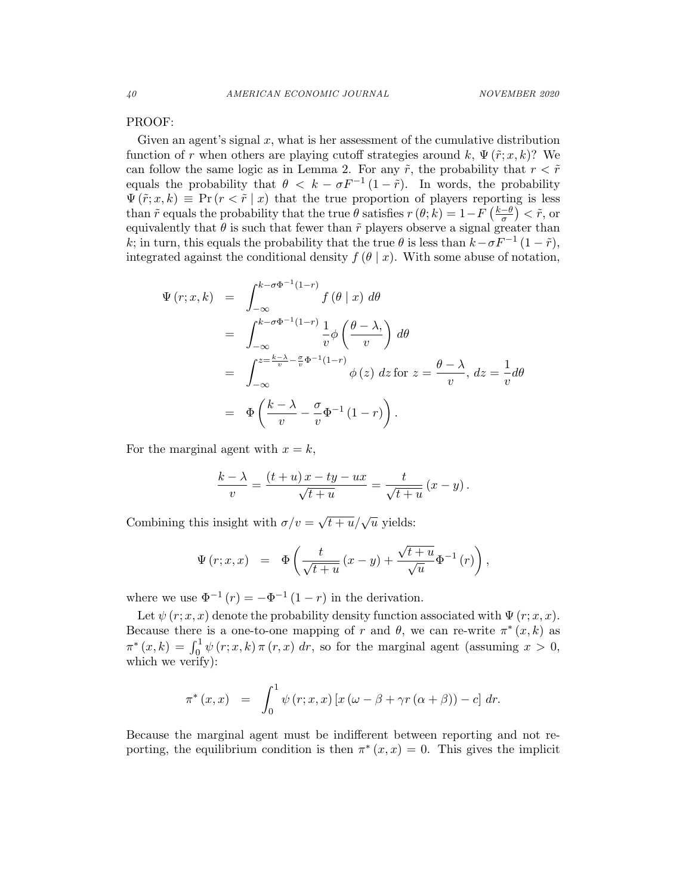#### PROOF:

Given an agent's signal  $x$ , what is her assessment of the cumulative distribution function of r when others are playing cutoff strategies around k,  $\Psi(\tilde{r};x,k)$ ? We can follow the same logic as in Lemma 2. For any  $\tilde{r}$ , the probability that  $r < \tilde{r}$ equals the probability that  $\theta < k - \sigma F^{-1} (1 - \tilde{r})$ . In words, the probability  $\Psi(\tilde{r};x,k) \equiv \Pr(r < \tilde{r} | x)$  that the true proportion of players reporting is less than  $\tilde{r}$  equals the probability that the true  $\theta$  satisfies  $r(\theta; k) = 1 - F\left(\frac{k-\theta}{\sigma}\right)$  $\left(\frac{-\theta}{\sigma}\right) < \tilde{r}$ , or equivalently that  $\theta$  is such that fewer than  $\tilde{r}$  players observe a signal greater than k; in turn, this equals the probability that the true  $\theta$  is less than  $k-\sigma F^{-1}(1-\tilde{r})$ , integrated against the conditional density  $f(\theta | x)$ . With some abuse of notation,

$$
\Psi(r;x,k) = \int_{-\infty}^{k-\sigma\Phi^{-1}(1-r)} f(\theta | x) d\theta
$$
  
\n
$$
= \int_{-\infty}^{k-\sigma\Phi^{-1}(1-r)} \frac{1}{v} \phi\left(\frac{\theta - \lambda}{v}\right) d\theta
$$
  
\n
$$
= \int_{-\infty}^{z = \frac{k-\lambda}{v} - \frac{\sigma}{v}\Phi^{-1}(1-r)} \phi(z) dz \text{ for } z = \frac{\theta - \lambda}{v}, dz = \frac{1}{v} d\theta
$$
  
\n
$$
= \Phi\left(\frac{k-\lambda}{v} - \frac{\sigma}{v}\Phi^{-1}(1-r)\right).
$$

For the marginal agent with  $x = k$ ,

$$
\frac{k-\lambda}{v} = \frac{(t+u)x - ty - ux}{\sqrt{t+u}} = \frac{t}{\sqrt{t+u}} (x - y).
$$

Combining this insight with  $\sigma/v =$  $\sqrt{t+u}/\sqrt{u}$  yields:

$$
\Psi(r;x,x) = \Phi\left(\frac{t}{\sqrt{t+u}}(x-y) + \frac{\sqrt{t+u}}{\sqrt{u}}\Phi^{-1}(r)\right),\,
$$

where we use  $\Phi^{-1}(r) = -\Phi^{-1}(1-r)$  in the derivation.

Let  $\psi(r; x, x)$  denote the probability density function associated with  $\Psi(r; x, x)$ . Because there is a one-to-one mapping of r and  $\theta$ , we can re-write  $\pi^*(x, k)$  as  $\pi^*(x, k) = \int_0^1 \psi(r; x, k) \pi(r, x) dr$ , so for the marginal agent (assuming  $x > 0$ , which we verify):

$$
\pi^*(x,x) = \int_0^1 \psi(r;x,x) \left[ x \left( \omega - \beta + \gamma r \left( \alpha + \beta \right) \right) - c \right] dr.
$$

Because the marginal agent must be indifferent between reporting and not reporting, the equilibrium condition is then  $\pi^*(x, x) = 0$ . This gives the implicit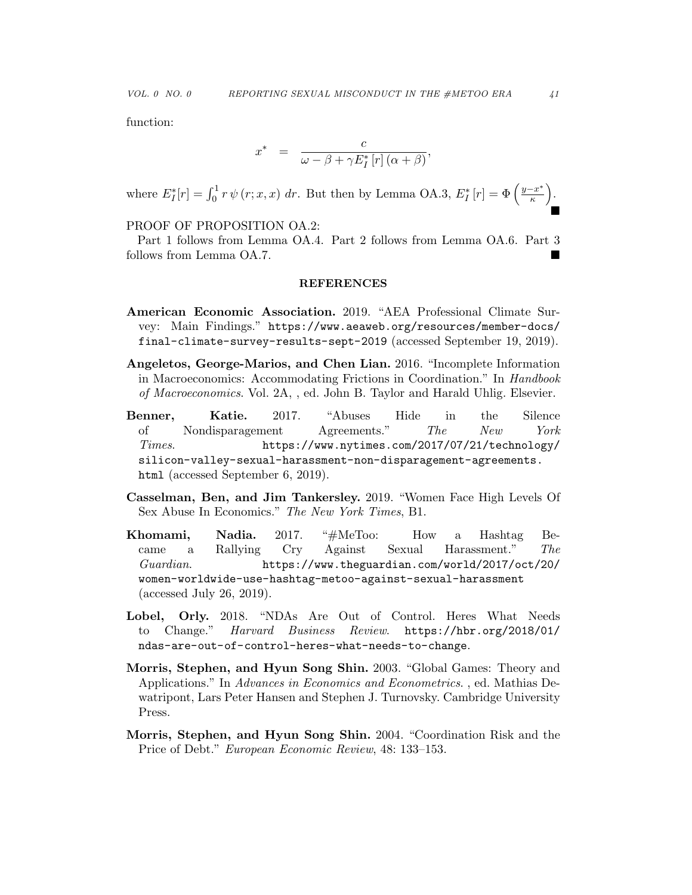function:

$$
x^* = \frac{c}{\omega - \beta + \gamma E_I^* [r] (\alpha + \beta)},
$$

where  $E_I^*[r] = \int_0^1 r \psi(r; x, x) dr$ . But then by Lemma OA.3,  $E_I^*[r] = \Phi\left(\frac{y - x^*}{\kappa}\right)$  $\frac{-x^*}{\kappa}$ ).  $\blacksquare$ 

# PROOF OF PROPOSITION OA.2:

Part 1 follows from Lemma OA.4. Part 2 follows from Lemma OA.6. Part 3 follows from Lemma OA.7.

#### REFERENCES

- American Economic Association. 2019. "AEA Professional Climate Survey: Main Findings." https://www.aeaweb.org/resources/member-docs/ final-climate-survey-results-sept-2019 (accessed September 19, 2019).
- Angeletos, George-Marios, and Chen Lian. 2016. "Incomplete Information in Macroeconomics: Accommodating Frictions in Coordination." In Handbook of Macroeconomics. Vol. 2A, , ed. John B. Taylor and Harald Uhlig. Elsevier.
- Benner, Katie. 2017. "Abuses Hide in the Silence of Nondisparagement Agreements." The New York Times. https://www.nytimes.com/2017/07/21/technology/ silicon-valley-sexual-harassment-non-disparagement-agreements. html (accessed September 6, 2019).
- Casselman, Ben, and Jim Tankersley. 2019. "Women Face High Levels Of Sex Abuse In Economics." The New York Times, B1.
- Khomami, Nadia. 2017. "#MeToo: How a Hashtag Became a Rallying Cry Against Sexual Harassment." The Guardian. https://www.theguardian.com/world/2017/oct/20/ women-worldwide-use-hashtag-metoo-against-sexual-harassment (accessed July 26, 2019).
- Lobel, Orly. 2018. "NDAs Are Out of Control. Heres What Needs to Change." Harvard Business Review. https://hbr.org/2018/01/ ndas-are-out-of-control-heres-what-needs-to-change.
- Morris, Stephen, and Hyun Song Shin. 2003. "Global Games: Theory and Applications." In Advances in Economics and Econometrics. , ed. Mathias Dewatripont, Lars Peter Hansen and Stephen J. Turnovsky. Cambridge University Press.
- Morris, Stephen, and Hyun Song Shin. 2004. "Coordination Risk and the Price of Debt." European Economic Review, 48: 133–153.